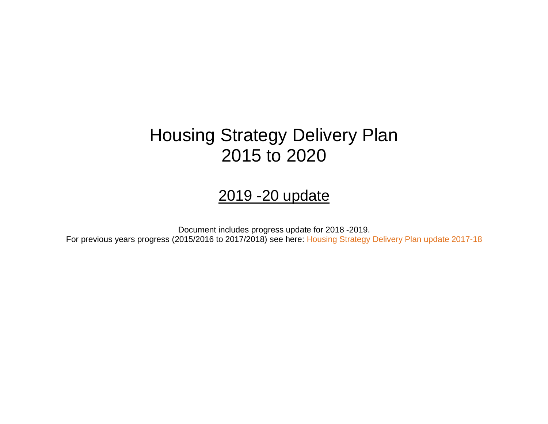# Housing Strategy Delivery Plan 2015 to 2020

## 2019 -20 update

Document includes progress update for 2018 -2019. For previous years progress (2015/2016 to 2017/2018) see here: [Housing Strategy Delivery Plan update 2017-18](https://cbccrmdata.blob.core.windows.net/noteattachment/Housing%20Strategy%20Delivery%20Plan%20updated%202017-18%20Final.pdf)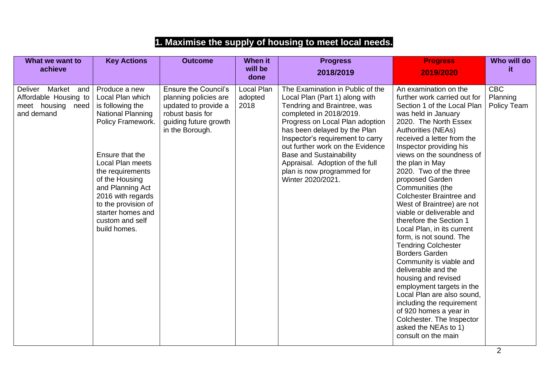## **1. Maximise the supply of housing to meet local needs.**

| What we want to<br>achieve                                                        | <b>Key Actions</b>                                                                                                                                                                                                                                                                                                 | <b>Outcome</b>                                                                                                                               | <b>When it</b><br>will be     | <b>Progress</b>                                                                                                                                                                                                                                                                                                                                                                                 | <b>Progress</b>                                                                                                                                                                                                                                                                                                                                                                                                                                                                                                                                                                                                                                                                                                                                                                                       | Who will do<br>it.                    |
|-----------------------------------------------------------------------------------|--------------------------------------------------------------------------------------------------------------------------------------------------------------------------------------------------------------------------------------------------------------------------------------------------------------------|----------------------------------------------------------------------------------------------------------------------------------------------|-------------------------------|-------------------------------------------------------------------------------------------------------------------------------------------------------------------------------------------------------------------------------------------------------------------------------------------------------------------------------------------------------------------------------------------------|-------------------------------------------------------------------------------------------------------------------------------------------------------------------------------------------------------------------------------------------------------------------------------------------------------------------------------------------------------------------------------------------------------------------------------------------------------------------------------------------------------------------------------------------------------------------------------------------------------------------------------------------------------------------------------------------------------------------------------------------------------------------------------------------------------|---------------------------------------|
|                                                                                   |                                                                                                                                                                                                                                                                                                                    |                                                                                                                                              | done                          | 2018/2019                                                                                                                                                                                                                                                                                                                                                                                       | 2019/2020                                                                                                                                                                                                                                                                                                                                                                                                                                                                                                                                                                                                                                                                                                                                                                                             |                                       |
| Deliver Market<br>and<br>Affordable Housing to<br>meet housing need<br>and demand | Produce a new<br>Local Plan which<br>is following the<br><b>National Planning</b><br>Policy Framework.<br>Ensure that the<br><b>Local Plan meets</b><br>the requirements<br>of the Housing<br>and Planning Act<br>2016 with regards<br>to the provision of<br>starter homes and<br>custom and self<br>build homes. | <b>Ensure the Council's</b><br>planning policies are<br>updated to provide a<br>robust basis for<br>guiding future growth<br>in the Borough. | Local Plan<br>adopted<br>2018 | The Examination in Public of the<br>Local Plan (Part 1) along with<br>Tendring and Braintree, was<br>completed in 2018/2019.<br>Progress on Local Plan adoption<br>has been delayed by the Plan<br>Inspector's requirement to carry<br>out further work on the Evidence<br><b>Base and Sustainability</b><br>Appraisal. Adoption of the full<br>plan is now programmed for<br>Winter 2020/2021. | An examination on the<br>further work carried out for<br>Section 1 of the Local Plan<br>was held in January<br>2020. The North Essex<br><b>Authorities (NEAs)</b><br>received a letter from the<br>Inspector providing his<br>views on the soundness of<br>the plan in May<br>2020. Two of the three<br>proposed Garden<br>Communities (the<br>Colchester Braintree and<br>West of Braintree) are not<br>viable or deliverable and<br>therefore the Section 1<br>Local Plan, in its current<br>form, is not sound. The<br><b>Tendring Colchester</b><br><b>Borders Garden</b><br>Community is viable and<br>deliverable and the<br>housing and revised<br>employment targets in the<br>Local Plan are also sound,<br>including the requirement<br>of 920 homes a year in<br>Colchester. The Inspector | <b>CBC</b><br>Planning<br>Policy Team |
|                                                                                   |                                                                                                                                                                                                                                                                                                                    |                                                                                                                                              |                               |                                                                                                                                                                                                                                                                                                                                                                                                 | asked the NEAs to 1)<br>consult on the main                                                                                                                                                                                                                                                                                                                                                                                                                                                                                                                                                                                                                                                                                                                                                           |                                       |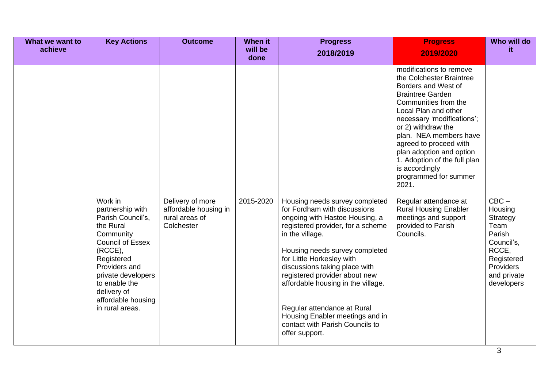| What we want to<br>achieve | <b>Key Actions</b>                                                                                                                                                                                                                             | <b>Outcome</b>                                                            | <b>When it</b><br>will be | <b>Progress</b><br>2018/2019                                                                                                                                                                                                                                                                                                                                                                                                                           | <b>Progress</b><br>2019/2020                                                                                                                                                                                                                                                                                                                                                                                                                                                                      | Who will do<br>it.                                                                                                              |
|----------------------------|------------------------------------------------------------------------------------------------------------------------------------------------------------------------------------------------------------------------------------------------|---------------------------------------------------------------------------|---------------------------|--------------------------------------------------------------------------------------------------------------------------------------------------------------------------------------------------------------------------------------------------------------------------------------------------------------------------------------------------------------------------------------------------------------------------------------------------------|---------------------------------------------------------------------------------------------------------------------------------------------------------------------------------------------------------------------------------------------------------------------------------------------------------------------------------------------------------------------------------------------------------------------------------------------------------------------------------------------------|---------------------------------------------------------------------------------------------------------------------------------|
|                            |                                                                                                                                                                                                                                                |                                                                           | done                      |                                                                                                                                                                                                                                                                                                                                                                                                                                                        |                                                                                                                                                                                                                                                                                                                                                                                                                                                                                                   |                                                                                                                                 |
|                            | Work in<br>partnership with<br>Parish Council's,<br>the Rural<br>Community<br><b>Council of Essex</b><br>(RCCE),<br>Registered<br>Providers and<br>private developers<br>to enable the<br>delivery of<br>affordable housing<br>in rural areas. | Delivery of more<br>affordable housing in<br>rural areas of<br>Colchester | 2015-2020                 | Housing needs survey completed<br>for Fordham with discussions<br>ongoing with Hastoe Housing, a<br>registered provider, for a scheme<br>in the village.<br>Housing needs survey completed<br>for Little Horkesley with<br>discussions taking place with<br>registered provider about new<br>affordable housing in the village.<br>Regular attendance at Rural<br>Housing Enabler meetings and in<br>contact with Parish Councils to<br>offer support. | modifications to remove<br>the Colchester Braintree<br>Borders and West of<br><b>Braintree Garden</b><br>Communities from the<br>Local Plan and other<br>necessary 'modifications';<br>or 2) withdraw the<br>plan. NEA members have<br>agreed to proceed with<br>plan adoption and option<br>1. Adoption of the full plan<br>is accordingly<br>programmed for summer<br>2021.<br>Regular attendance at<br><b>Rural Housing Enabler</b><br>meetings and support<br>provided to Parish<br>Councils. | $CBC -$<br>Housing<br>Strategy<br>Team<br>Parish<br>Council's,<br>RCCE,<br>Registered<br>Providers<br>and private<br>developers |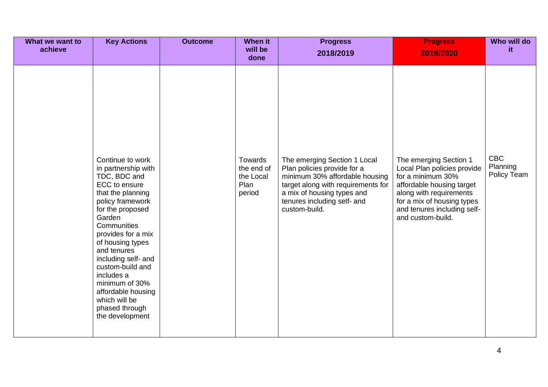| What we want to<br>achieve          | <b>Key Actions</b>                                                                                                                                                                                                                                                                                 | <b>Outcome</b> | <b>When it</b><br>will be                                    | <b>Progress</b>                                                                                                                                                                                                                | <b>Progress</b>                                                                                                                                                                                                                   | Who will do<br>it.                    |
|-------------------------------------|----------------------------------------------------------------------------------------------------------------------------------------------------------------------------------------------------------------------------------------------------------------------------------------------------|----------------|--------------------------------------------------------------|--------------------------------------------------------------------------------------------------------------------------------------------------------------------------------------------------------------------------------|-----------------------------------------------------------------------------------------------------------------------------------------------------------------------------------------------------------------------------------|---------------------------------------|
| Garden<br>and tenures<br>includes a | Continue to work<br>in partnership with<br>TDC, BDC and<br>ECC to ensure<br>that the planning<br>policy framework<br>for the proposed<br>Communities<br>provides for a mix<br>of housing types<br>including self- and<br>custom-build and<br>minimum of 30%<br>affordable housing<br>which will be |                | done<br>Towards<br>the end of<br>the Local<br>Plan<br>period | 2018/2019<br>The emerging Section 1 Local<br>Plan policies provide for a<br>minimum 30% affordable housing<br>target along with requirements for<br>a mix of housing types and<br>tenures including self- and<br>custom-build. | 2019/2020<br>The emerging Section 1<br>Local Plan policies provide<br>for a minimum 30%<br>affordable housing target<br>along with requirements<br>for a mix of housing types<br>and tenures including self-<br>and custom-build. | <b>CBC</b><br>Planning<br>Policy Team |
|                                     | phased through<br>the development                                                                                                                                                                                                                                                                  |                |                                                              |                                                                                                                                                                                                                                |                                                                                                                                                                                                                                   |                                       |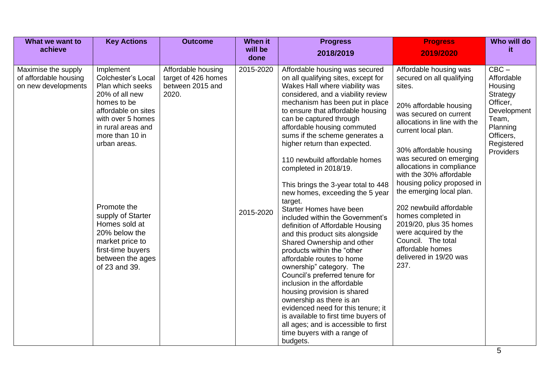| What we want to                                                     | <b>Key Actions</b>                                                                                                                                                                                                                                                                                                                                  | <b>Outcome</b>                                                         | When it                | <b>Progress</b>                                                                                                                                                                                                                                                                                                                                                                                                                                                                                                                                                                                                                                                                                                                                                                                                                                                                                                                                                                                                                                          | <b>Progress</b>                                                                                                                                                                                                                                                                                                                                                                                                                                                                                                                | Who will do                                                                                                                          |
|---------------------------------------------------------------------|-----------------------------------------------------------------------------------------------------------------------------------------------------------------------------------------------------------------------------------------------------------------------------------------------------------------------------------------------------|------------------------------------------------------------------------|------------------------|----------------------------------------------------------------------------------------------------------------------------------------------------------------------------------------------------------------------------------------------------------------------------------------------------------------------------------------------------------------------------------------------------------------------------------------------------------------------------------------------------------------------------------------------------------------------------------------------------------------------------------------------------------------------------------------------------------------------------------------------------------------------------------------------------------------------------------------------------------------------------------------------------------------------------------------------------------------------------------------------------------------------------------------------------------|--------------------------------------------------------------------------------------------------------------------------------------------------------------------------------------------------------------------------------------------------------------------------------------------------------------------------------------------------------------------------------------------------------------------------------------------------------------------------------------------------------------------------------|--------------------------------------------------------------------------------------------------------------------------------------|
| achieve                                                             |                                                                                                                                                                                                                                                                                                                                                     |                                                                        | will be<br>done        | 2018/2019                                                                                                                                                                                                                                                                                                                                                                                                                                                                                                                                                                                                                                                                                                                                                                                                                                                                                                                                                                                                                                                | 2019/2020                                                                                                                                                                                                                                                                                                                                                                                                                                                                                                                      | it.                                                                                                                                  |
| Maximise the supply<br>of affordable housing<br>on new developments | Implement<br><b>Colchester's Local</b><br>Plan which seeks<br>20% of all new<br>homes to be<br>affordable on sites<br>with over 5 homes<br>in rural areas and<br>more than 10 in<br>urban areas.<br>Promote the<br>supply of Starter<br>Homes sold at<br>20% below the<br>market price to<br>first-time buyers<br>between the ages<br>of 23 and 39. | Affordable housing<br>target of 426 homes<br>between 2015 and<br>2020. | 2015-2020<br>2015-2020 | Affordable housing was secured<br>on all qualifying sites, except for<br>Wakes Hall where viability was<br>considered, and a viability review<br>mechanism has been put in place<br>to ensure that affordable housing<br>can be captured through<br>affordable housing commuted<br>sums if the scheme generates a<br>higher return than expected.<br>110 newbuild affordable homes<br>completed in 2018/19.<br>This brings the 3-year total to 448<br>new homes, exceeding the 5 year<br>target.<br>Starter Homes have been<br>included within the Government's<br>definition of Affordable Housing<br>and this product sits alongside<br>Shared Ownership and other<br>products within the "other<br>affordable routes to home<br>ownership" category. The<br>Council's preferred tenure for<br>inclusion in the affordable<br>housing provision is shared<br>ownership as there is an<br>evidenced need for this tenure; it<br>is available to first time buyers of<br>all ages; and is accessible to first<br>time buyers with a range of<br>budgets. | Affordable housing was<br>secured on all qualifying<br>sites.<br>20% affordable housing<br>was secured on current<br>allocations in line with the<br>current local plan.<br>30% affordable housing<br>was secured on emerging<br>allocations in compliance<br>with the 30% affordable<br>housing policy proposed in<br>the emerging local plan.<br>202 newbuild affordable<br>homes completed in<br>2019/20, plus 35 homes<br>were acquired by the<br>Council. The total<br>affordable homes<br>delivered in 19/20 was<br>237. | $CBC -$<br>Affordable<br>Housing<br>Strategy<br>Officer,<br>Development<br>Team,<br>Planning<br>Officers,<br>Registered<br>Providers |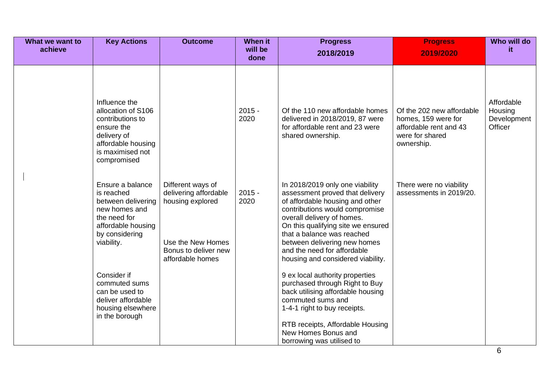| What we want to<br>achieve | <b>Key Actions</b>                                                                                                                            | <b>Outcome</b>                                                                                                                  | When it<br>will be<br>done | <b>Progress</b><br>2018/2019                                                                                                                                                                                                                                                                                                                  | <b>Progress</b><br>2019/2020                                                                                | Who will do<br>it.                              |
|----------------------------|-----------------------------------------------------------------------------------------------------------------------------------------------|---------------------------------------------------------------------------------------------------------------------------------|----------------------------|-----------------------------------------------------------------------------------------------------------------------------------------------------------------------------------------------------------------------------------------------------------------------------------------------------------------------------------------------|-------------------------------------------------------------------------------------------------------------|-------------------------------------------------|
|                            | Influence the<br>allocation of S106<br>contributions to<br>ensure the<br>delivery of<br>affordable housing<br>is maximised not<br>compromised |                                                                                                                                 | $2015 -$<br>2020           | Of the 110 new affordable homes<br>delivered in 2018/2019, 87 were<br>for affordable rent and 23 were<br>shared ownership.                                                                                                                                                                                                                    | Of the 202 new affordable<br>homes, 159 were for<br>affordable rent and 43<br>were for shared<br>ownership. | Affordable<br>Housing<br>Development<br>Officer |
|                            | Ensure a balance<br>is reached<br>between delivering<br>new homes and<br>the need for<br>affordable housing<br>by considering<br>viability.   | Different ways of<br>delivering affordable<br>housing explored<br>Use the New Homes<br>Bonus to deliver new<br>affordable homes | $2015 -$<br>2020           | In 2018/2019 only one viability<br>assessment proved that delivery<br>of affordable housing and other<br>contributions would compromise<br>overall delivery of homes.<br>On this qualifying site we ensured<br>that a balance was reached<br>between delivering new homes<br>and the need for affordable<br>housing and considered viability. | There were no viability<br>assessments in 2019/20.                                                          |                                                 |
|                            | Consider if<br>commuted sums<br>can be used to<br>deliver affordable<br>housing elsewhere<br>in the borough                                   |                                                                                                                                 |                            | 9 ex local authority properties<br>purchased through Right to Buy<br>back utilising affordable housing<br>commuted sums and<br>1-4-1 right to buy receipts.<br>RTB receipts, Affordable Housing<br>New Homes Bonus and<br>borrowing was utilised to                                                                                           |                                                                                                             |                                                 |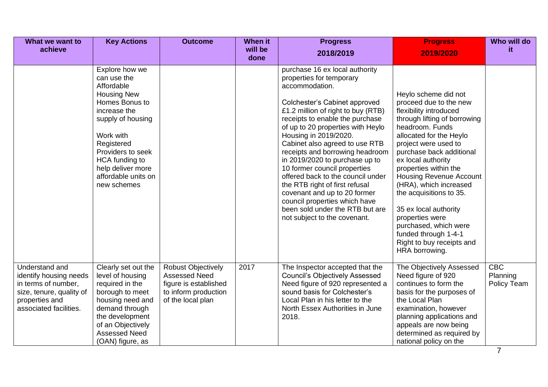| What we want to<br>achieve                                                                                                              | <b>Key Actions</b>                                                                                                                                                                                                                                    | <b>Outcome</b>                                                                                                          | When it<br>will be<br>done | <b>Progress</b><br>2018/2019                                                                                                                                                                                                                                                                                                                                                                                                                                                                                                                                                                           | <b>Progress</b><br>2019/2020                                                                                                                                                                                                                                                                                                                                                                                                                                                                 | Who will do<br>it.             |
|-----------------------------------------------------------------------------------------------------------------------------------------|-------------------------------------------------------------------------------------------------------------------------------------------------------------------------------------------------------------------------------------------------------|-------------------------------------------------------------------------------------------------------------------------|----------------------------|--------------------------------------------------------------------------------------------------------------------------------------------------------------------------------------------------------------------------------------------------------------------------------------------------------------------------------------------------------------------------------------------------------------------------------------------------------------------------------------------------------------------------------------------------------------------------------------------------------|----------------------------------------------------------------------------------------------------------------------------------------------------------------------------------------------------------------------------------------------------------------------------------------------------------------------------------------------------------------------------------------------------------------------------------------------------------------------------------------------|--------------------------------|
|                                                                                                                                         | Explore how we<br>can use the<br>Affordable<br><b>Housing New</b><br>Homes Bonus to<br>increase the<br>supply of housing<br>Work with<br>Registered<br>Providers to seek<br>HCA funding to<br>help deliver more<br>affordable units on<br>new schemes |                                                                                                                         |                            | purchase 16 ex local authority<br>properties for temporary<br>accommodation.<br>Colchester's Cabinet approved<br>£1.2 million of right to buy (RTB)<br>receipts to enable the purchase<br>of up to 20 properties with Heylo<br>Housing in 2019/2020.<br>Cabinet also agreed to use RTB<br>receipts and borrowing headroom<br>in 2019/2020 to purchase up to<br>10 former council properties<br>offered back to the council under<br>the RTB right of first refusal<br>covenant and up to 20 former<br>council properties which have<br>been sold under the RTB but are<br>not subject to the covenant. | Heylo scheme did not<br>proceed due to the new<br>flexibility introduced<br>through lifting of borrowing<br>headroom. Funds<br>allocated for the Heylo<br>project were used to<br>purchase back additional<br>ex local authority<br>properties within the<br><b>Housing Revenue Account</b><br>(HRA), which increased<br>the acquisitions to 35.<br>35 ex local authority<br>properties were<br>purchased, which were<br>funded through 1-4-1<br>Right to buy receipts and<br>HRA borrowing. |                                |
| Understand and<br>identify housing needs<br>in terms of number,<br>size, tenure, quality of<br>properties and<br>associated facilities. | Clearly set out the<br>level of housing<br>required in the<br>borough to meet<br>housing need and<br>demand through<br>the development<br>of an Objectively<br><b>Assessed Need</b><br>(OAN) figure, as                                               | <b>Robust Objectively</b><br><b>Assessed Need</b><br>figure is established<br>to inform production<br>of the local plan | 2017                       | The Inspector accepted that the<br><b>Council's Objectively Assessed</b><br>Need figure of 920 represented a<br>sound basis for Colchester's<br>Local Plan in his letter to the<br>North Essex Authorities in June<br>2018.                                                                                                                                                                                                                                                                                                                                                                            | The Objectively Assessed<br>Need figure of 920<br>continues to form the<br>basis for the purposes of<br>the Local Plan<br>examination, however<br>planning applications and<br>appeals are now being<br>determined as required by<br>national policy on the                                                                                                                                                                                                                                  | CBC<br>Planning<br>Policy Team |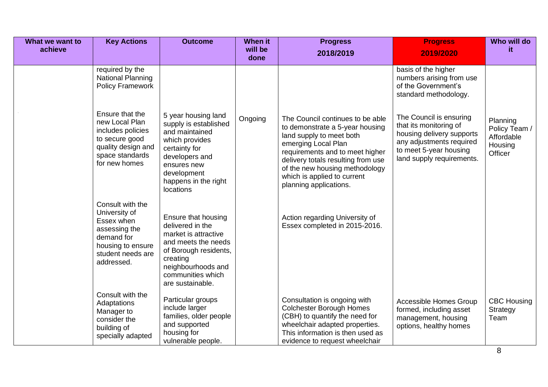| What we want to | <b>Key Actions</b>                                                                                                                     | <b>Outcome</b>                                                                                                                                                                                | <b>When it</b>  | <b>Progress</b>                                                                                                                                                                                                                                                                            | <b>Progress</b>                                                                                                                                                   | Who will do                                                   |
|-----------------|----------------------------------------------------------------------------------------------------------------------------------------|-----------------------------------------------------------------------------------------------------------------------------------------------------------------------------------------------|-----------------|--------------------------------------------------------------------------------------------------------------------------------------------------------------------------------------------------------------------------------------------------------------------------------------------|-------------------------------------------------------------------------------------------------------------------------------------------------------------------|---------------------------------------------------------------|
| achieve         |                                                                                                                                        |                                                                                                                                                                                               | will be<br>done | 2018/2019                                                                                                                                                                                                                                                                                  | 2019/2020                                                                                                                                                         | it.                                                           |
|                 | required by the<br><b>National Planning</b><br><b>Policy Framework</b>                                                                 |                                                                                                                                                                                               |                 |                                                                                                                                                                                                                                                                                            | basis of the higher<br>numbers arising from use<br>of the Government's<br>standard methodology.                                                                   |                                                               |
|                 | Ensure that the<br>new Local Plan<br>includes policies<br>to secure good<br>quality design and<br>space standards<br>for new homes     | 5 year housing land<br>supply is established<br>and maintained<br>which provides<br>certainty for<br>developers and<br>ensures new<br>development<br>happens in the right<br><b>locations</b> | Ongoing         | The Council continues to be able<br>to demonstrate a 5-year housing<br>land supply to meet both<br>emerging Local Plan<br>requirements and to meet higher<br>delivery totals resulting from use<br>of the new housing methodology<br>which is applied to current<br>planning applications. | The Council is ensuring<br>that its monitoring of<br>housing delivery supports<br>any adjustments required<br>to meet 5-year housing<br>land supply requirements. | Planning<br>Policy Team /<br>Affordable<br>Housing<br>Officer |
|                 | Consult with the<br>University of<br>Essex when<br>assessing the<br>demand for<br>housing to ensure<br>student needs are<br>addressed. | Ensure that housing<br>delivered in the<br>market is attractive<br>and meets the needs<br>of Borough residents,<br>creating<br>neighbourhoods and<br>communities which<br>are sustainable.    |                 | Action regarding University of<br>Essex completed in 2015-2016.                                                                                                                                                                                                                            |                                                                                                                                                                   |                                                               |
|                 | Consult with the<br>Adaptations<br>Manager to<br>consider the<br>building of<br>specially adapted                                      | Particular groups<br>include larger<br>families, older people<br>and supported<br>housing for<br>vulnerable people.                                                                           |                 | Consultation is ongoing with<br><b>Colchester Borough Homes</b><br>(CBH) to quantify the need for<br>wheelchair adapted properties.<br>This information is then used as<br>evidence to request wheelchair                                                                                  | Accessible Homes Group<br>formed, including asset<br>management, housing<br>options, healthy homes                                                                | <b>CBC Housing</b><br>Strategy<br>Team                        |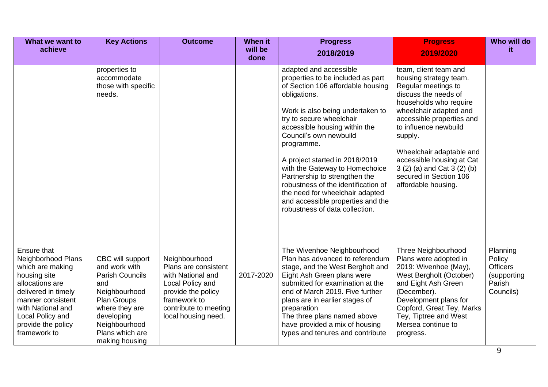| What we want to                                                                                                                                                                                                     | <b>Key Actions</b>                                                                                                                                                                       | <b>Outcome</b>                                                                                                                                                       | When it         | <b>Progress</b>                                                                                                                                                                                                                                                                                                                                                                                                                                                                                                 | <b>Progress</b>                                                                                                                                                                                                                                                                                                                                              | Who will do                                                                 |
|---------------------------------------------------------------------------------------------------------------------------------------------------------------------------------------------------------------------|------------------------------------------------------------------------------------------------------------------------------------------------------------------------------------------|----------------------------------------------------------------------------------------------------------------------------------------------------------------------|-----------------|-----------------------------------------------------------------------------------------------------------------------------------------------------------------------------------------------------------------------------------------------------------------------------------------------------------------------------------------------------------------------------------------------------------------------------------------------------------------------------------------------------------------|--------------------------------------------------------------------------------------------------------------------------------------------------------------------------------------------------------------------------------------------------------------------------------------------------------------------------------------------------------------|-----------------------------------------------------------------------------|
| achieve                                                                                                                                                                                                             |                                                                                                                                                                                          |                                                                                                                                                                      | will be<br>done | 2018/2019                                                                                                                                                                                                                                                                                                                                                                                                                                                                                                       | 2019/2020                                                                                                                                                                                                                                                                                                                                                    | it.                                                                         |
|                                                                                                                                                                                                                     | properties to<br>accommodate<br>those with specific<br>needs.                                                                                                                            |                                                                                                                                                                      |                 | adapted and accessible<br>properties to be included as part<br>of Section 106 affordable housing<br>obligations.<br>Work is also being undertaken to<br>try to secure wheelchair<br>accessible housing within the<br>Council's own newbuild<br>programme.<br>A project started in 2018/2019<br>with the Gateway to Homechoice<br>Partnership to strengthen the<br>robustness of the identification of<br>the need for wheelchair adapted<br>and accessible properties and the<br>robustness of data collection. | team, client team and<br>housing strategy team.<br>Regular meetings to<br>discuss the needs of<br>households who require<br>wheelchair adapted and<br>accessible properties and<br>to influence newbuild<br>supply.<br>Wheelchair adaptable and<br>accessible housing at Cat<br>3 (2) (a) and Cat 3 (2) (b)<br>secured in Section 106<br>affordable housing. |                                                                             |
| Ensure that<br>Neighborhood Plans<br>which are making<br>housing site<br>allocations are<br>delivered in timely<br>manner consistent<br>with National and<br>Local Policy and<br>provide the policy<br>framework to | CBC will support<br>and work with<br><b>Parish Councils</b><br>and<br>Neighbourhood<br>Plan Groups<br>where they are<br>developing<br>Neighbourhood<br>Plans which are<br>making housing | Neighbourhood<br>Plans are consistent<br>with National and<br>Local Policy and<br>provide the policy<br>framework to<br>contribute to meeting<br>local housing need. | 2017-2020       | The Wivenhoe Neighbourhood<br>Plan has advanced to referendum<br>stage, and the West Bergholt and<br>Eight Ash Green plans were<br>submitted for examination at the<br>end of March 2019. Five further<br>plans are in earlier stages of<br>preparation<br>The three plans named above<br>have provided a mix of housing<br>types and tenures and contribute                                                                                                                                                    | Three Neighbourhood<br>Plans were adopted in<br>2019: Wivenhoe (May),<br>West Bergholt (October)<br>and Eight Ash Green<br>(December).<br>Development plans for<br>Copford, Great Tey, Marks<br>Tey, Tiptree and West<br>Mersea continue to<br>progress.                                                                                                     | Planning<br>Policy<br><b>Officers</b><br>(supporting<br>Parish<br>Councils) |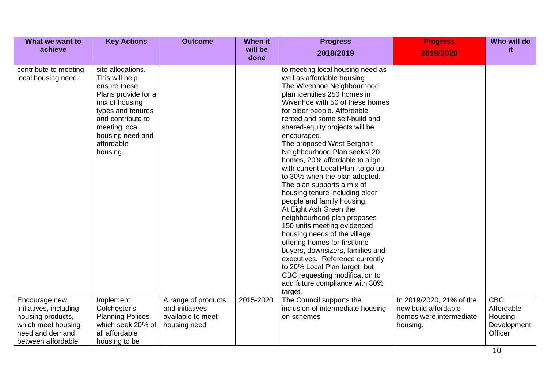| What we want to<br>achieve                                                                                                  | <b>Key Actions</b>                                                                                                                                                                                    | <b>Outcome</b>                                                              | When it<br>will be | <b>Progress</b>                                                                                                                                                                                                                                                                                                                                                                                                                                                                                                                                                                                                                                                                                                                                                                                                                                                                                         | <b>Progress</b>                                                                         | Who will do<br>it.                                     |
|-----------------------------------------------------------------------------------------------------------------------------|-------------------------------------------------------------------------------------------------------------------------------------------------------------------------------------------------------|-----------------------------------------------------------------------------|--------------------|---------------------------------------------------------------------------------------------------------------------------------------------------------------------------------------------------------------------------------------------------------------------------------------------------------------------------------------------------------------------------------------------------------------------------------------------------------------------------------------------------------------------------------------------------------------------------------------------------------------------------------------------------------------------------------------------------------------------------------------------------------------------------------------------------------------------------------------------------------------------------------------------------------|-----------------------------------------------------------------------------------------|--------------------------------------------------------|
|                                                                                                                             |                                                                                                                                                                                                       |                                                                             | done               | 2018/2019                                                                                                                                                                                                                                                                                                                                                                                                                                                                                                                                                                                                                                                                                                                                                                                                                                                                                               | 2019/2020                                                                               |                                                        |
| contribute to meeting<br>local housing need.                                                                                | site allocations.<br>This will help<br>ensure these<br>Plans provide for a<br>mix of housing<br>types and tenures<br>and contribute to<br>meeting local<br>housing need and<br>affordable<br>housing. |                                                                             |                    | to meeting local housing need as<br>well as affordable housing.<br>The Wivenhoe Neighbourhood<br>plan identifies 250 homes in<br>Wivenhoe with 50 of these homes<br>for older people. Affordable<br>rented and some self-build and<br>shared-equity projects will be<br>encouraged.<br>The proposed West Bergholt<br>Neighbourhood Plan seeks120<br>homes, 20% affordable to align<br>with current Local Plan, to go up<br>to 30% when the plan adopted.<br>The plan supports a mix of<br>housing tenure including older<br>people and family housing.<br>At Eight Ash Green the<br>neighbourhood plan proposes<br>150 units meeting evidenced<br>housing needs of the village,<br>offering homes for first time<br>buyers, downsizers, families and<br>executives. Reference currently<br>to 20% Local Plan target, but<br>CBC requesting modification to<br>add future compliance with 30%<br>target. |                                                                                         |                                                        |
| Encourage new<br>initiatives, including<br>housing products,<br>which meet housing<br>need and demand<br>between affordable | Implement<br>Colchester's<br><b>Planning Polices</b><br>which seek 20% of<br>all affordable<br>housing to be                                                                                          | A range of products<br>and initiatives<br>available to meet<br>housing need | 2015-2020          | The Council supports the<br>inclusion of intermediate housing<br>on schemes                                                                                                                                                                                                                                                                                                                                                                                                                                                                                                                                                                                                                                                                                                                                                                                                                             | In 2019/2020, 21% of the<br>new build affordable<br>homes were intermediate<br>housing. | CBC<br>Affordable<br>Housing<br>Development<br>Officer |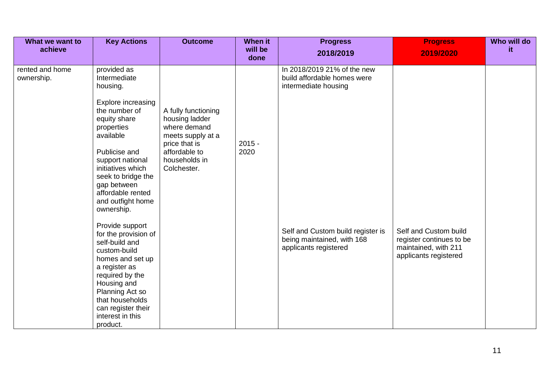| What we want to<br>achieve    | <b>Key Actions</b>                                                                                                                                                                                                                           | <b>Outcome</b>                                                                                                                               | <b>When it</b><br>will be | <b>Progress</b><br>2018/2019                                                             | <b>Progress</b><br>2019/2020                                                                       | Who will do<br>it. |
|-------------------------------|----------------------------------------------------------------------------------------------------------------------------------------------------------------------------------------------------------------------------------------------|----------------------------------------------------------------------------------------------------------------------------------------------|---------------------------|------------------------------------------------------------------------------------------|----------------------------------------------------------------------------------------------------|--------------------|
|                               |                                                                                                                                                                                                                                              |                                                                                                                                              | done                      |                                                                                          |                                                                                                    |                    |
| rented and home<br>ownership. | provided as<br>Intermediate<br>housing.                                                                                                                                                                                                      |                                                                                                                                              |                           | In 2018/2019 21% of the new<br>build affordable homes were<br>intermediate housing       |                                                                                                    |                    |
|                               | Explore increasing<br>the number of<br>equity share<br>properties<br>available<br>Publicise and<br>support national<br>initiatives which<br>seek to bridge the<br>gap between<br>affordable rented<br>and outfight home<br>ownership.        | A fully functioning<br>housing ladder<br>where demand<br>meets supply at a<br>price that is<br>affordable to<br>households in<br>Colchester. | $2015 -$<br>2020          |                                                                                          |                                                                                                    |                    |
|                               | Provide support<br>for the provision of<br>self-build and<br>custom-build<br>homes and set up<br>a register as<br>required by the<br>Housing and<br>Planning Act so<br>that households<br>can register their<br>interest in this<br>product. |                                                                                                                                              |                           | Self and Custom build register is<br>being maintained, with 168<br>applicants registered | Self and Custom build<br>register continues to be<br>maintained, with 211<br>applicants registered |                    |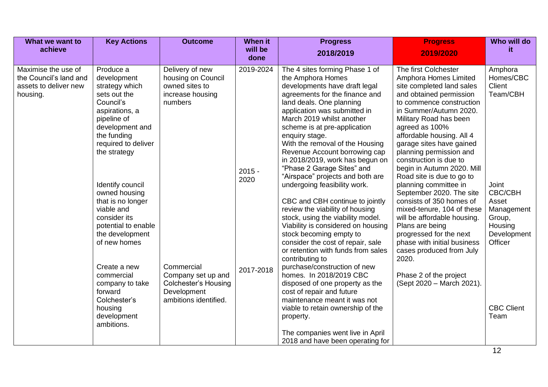| What we want to                                                                    | <b>Key Actions</b>                                                                                                                                                                                                                                                                                                                  | <b>Outcome</b>                                                                                          | When it                       | <b>Progress</b>                                                                                                                                                                                                                                                                                                                                                                                                                                                                                                                                                                                                                                                                                                                                      | <b>Progress</b>                                                                                                                                                                                                                                                                                                                                                                                                                                                                                                                                                                                                                                  | Who will do                                                                                                                          |
|------------------------------------------------------------------------------------|-------------------------------------------------------------------------------------------------------------------------------------------------------------------------------------------------------------------------------------------------------------------------------------------------------------------------------------|---------------------------------------------------------------------------------------------------------|-------------------------------|------------------------------------------------------------------------------------------------------------------------------------------------------------------------------------------------------------------------------------------------------------------------------------------------------------------------------------------------------------------------------------------------------------------------------------------------------------------------------------------------------------------------------------------------------------------------------------------------------------------------------------------------------------------------------------------------------------------------------------------------------|--------------------------------------------------------------------------------------------------------------------------------------------------------------------------------------------------------------------------------------------------------------------------------------------------------------------------------------------------------------------------------------------------------------------------------------------------------------------------------------------------------------------------------------------------------------------------------------------------------------------------------------------------|--------------------------------------------------------------------------------------------------------------------------------------|
| achieve                                                                            |                                                                                                                                                                                                                                                                                                                                     |                                                                                                         | will be<br>done               | 2018/2019                                                                                                                                                                                                                                                                                                                                                                                                                                                                                                                                                                                                                                                                                                                                            | 2019/2020                                                                                                                                                                                                                                                                                                                                                                                                                                                                                                                                                                                                                                        | it.                                                                                                                                  |
| Maximise the use of<br>the Council's land and<br>assets to deliver new<br>housing. | Produce a<br>development<br>strategy which<br>sets out the<br>Council's<br>aspirations, a<br>pipeline of<br>development and<br>the funding<br>required to deliver<br>the strategy<br>Identify council<br>owned housing<br>that is no longer<br>viable and<br>consider its<br>potential to enable<br>the development<br>of new homes | Delivery of new<br>housing on Council<br>owned sites to<br>increase housing<br>numbers                  | 2019-2024<br>$2015 -$<br>2020 | The 4 sites forming Phase 1 of<br>the Amphora Homes<br>developments have draft legal<br>agreements for the finance and<br>land deals. One planning<br>application was submitted in<br>March 2019 whilst another<br>scheme is at pre-application<br>enquiry stage.<br>With the removal of the Housing<br>Revenue Account borrowing cap<br>in 2018/2019, work has begun on<br>"Phase 2 Garage Sites" and<br>"Airspace" projects and both are<br>undergoing feasibility work.<br>CBC and CBH continue to jointly<br>review the viability of housing<br>stock, using the viability model.<br>Viability is considered on housing<br>stock becoming empty to<br>consider the cost of repair, sale<br>or retention with funds from sales<br>contributing to | The first Colchester<br>Amphora Homes Limited<br>site completed land sales<br>and obtained permission<br>to commence construction<br>in Summer/Autumn 2020.<br>Military Road has been<br>agreed as 100%<br>affordable housing. All 4<br>garage sites have gained<br>planning permission and<br>construction is due to<br>begin in Autumn 2020. Mill<br>Road site is due to go to<br>planning committee in<br>September 2020. The site<br>consists of 350 homes of<br>mixed-tenure, 104 of these<br>will be affordable housing.<br>Plans are being<br>progressed for the next<br>phase with initial business<br>cases produced from July<br>2020. | Amphora<br>Homes/CBC<br>Client<br>Team/CBH<br>Joint<br>CBC/CBH<br>Asset<br>Management<br>Group,<br>Housing<br>Development<br>Officer |
|                                                                                    | Create a new<br>commercial<br>company to take<br>forward<br>Colchester's<br>housing<br>development<br>ambitions.                                                                                                                                                                                                                    | Commercial<br>Company set up and<br><b>Colchester's Housing</b><br>Development<br>ambitions identified. | 2017-2018                     | purchase/construction of new<br>homes. In 2018/2019 CBC<br>disposed of one property as the<br>cost of repair and future<br>maintenance meant it was not<br>viable to retain ownership of the<br>property.<br>The companies went live in April<br>2018 and have been operating for                                                                                                                                                                                                                                                                                                                                                                                                                                                                    | Phase 2 of the project<br>(Sept 2020 - March 2021).                                                                                                                                                                                                                                                                                                                                                                                                                                                                                                                                                                                              | <b>CBC Client</b><br>Team                                                                                                            |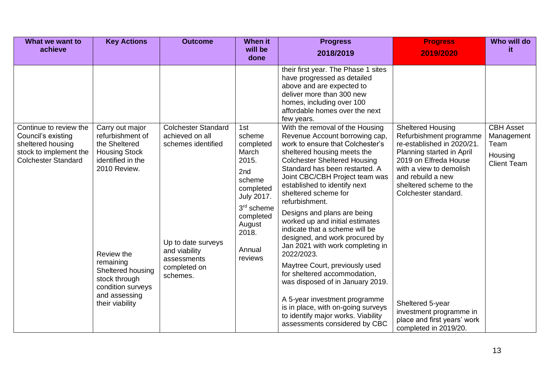| What we want to                                                                                         | <b>Key Actions</b>                                                       | <b>Outcome</b>                                                      | <b>When it</b>                                                                                                                                                | <b>Progress</b>                                                                                                                                                                                                                                                                                                                                                                                          | <b>Progress</b>                                                                                                                                       | Who will do                            |
|---------------------------------------------------------------------------------------------------------|--------------------------------------------------------------------------|---------------------------------------------------------------------|---------------------------------------------------------------------------------------------------------------------------------------------------------------|----------------------------------------------------------------------------------------------------------------------------------------------------------------------------------------------------------------------------------------------------------------------------------------------------------------------------------------------------------------------------------------------------------|-------------------------------------------------------------------------------------------------------------------------------------------------------|----------------------------------------|
| achieve                                                                                                 |                                                                          |                                                                     | will be<br>done                                                                                                                                               | 2018/2019                                                                                                                                                                                                                                                                                                                                                                                                | 2019/2020                                                                                                                                             | it.                                    |
|                                                                                                         |                                                                          |                                                                     |                                                                                                                                                               | their first year. The Phase 1 sites<br>have progressed as detailed<br>above and are expected to<br>deliver more than 300 new<br>homes, including over 100<br>affordable homes over the next<br>few years.                                                                                                                                                                                                |                                                                                                                                                       |                                        |
| Continue to review the<br>Council's existing                                                            | Carry out major<br>refurbishment of                                      | <b>Colchester Standard</b><br>achieved on all<br>schemes identified | 1st<br>scheme                                                                                                                                                 | With the removal of the Housing<br>Revenue Account borrowing cap,<br>work to ensure that Colchester's                                                                                                                                                                                                                                                                                                    | <b>Sheltered Housing</b><br>Refurbishment programme<br>re-established in 2020/21.                                                                     | <b>CBH Asset</b><br>Management<br>Team |
| the Sheltered<br>sheltered housing<br>stock to implement the<br><b>Colchester Standard</b><br>remaining | <b>Housing Stock</b><br>identified in the<br>2010 Review.<br>Review the  | Up to date surveys<br>and viability<br>assessments                  | completed<br>March<br>2015.<br>2nd<br>scheme<br>completed<br><b>July 2017.</b><br>3 <sup>rd</sup> scheme<br>completed<br>August<br>2018.<br>Annual<br>reviews | sheltered housing meets the<br><b>Colchester Sheltered Housing</b><br>Standard has been restarted. A<br>Joint CBC/CBH Project team was<br>established to identify next<br>sheltered scheme for<br>refurbishment.<br>Designs and plans are being<br>worked up and initial estimates<br>indicate that a scheme will be<br>designed, and work procured by<br>Jan 2021 with work completing in<br>2022/2023. | Planning started in April<br>2019 on Elfreda House<br>with a view to demolish<br>and rebuild a new<br>sheltered scheme to the<br>Colchester standard. | Housing<br><b>Client Team</b>          |
|                                                                                                         | Sheltered housing<br>stock through<br>condition surveys<br>and assessing | completed on<br>schemes.                                            |                                                                                                                                                               | Maytree Court, previously used<br>for sheltered accommodation,<br>was disposed of in January 2019.                                                                                                                                                                                                                                                                                                       |                                                                                                                                                       |                                        |
|                                                                                                         | their viability                                                          |                                                                     |                                                                                                                                                               | A 5-year investment programme<br>is in place, with on-going surveys<br>to identify major works. Viability<br>assessments considered by CBC                                                                                                                                                                                                                                                               | Sheltered 5-year<br>investment programme in<br>place and first years' work<br>completed in 2019/20.                                                   |                                        |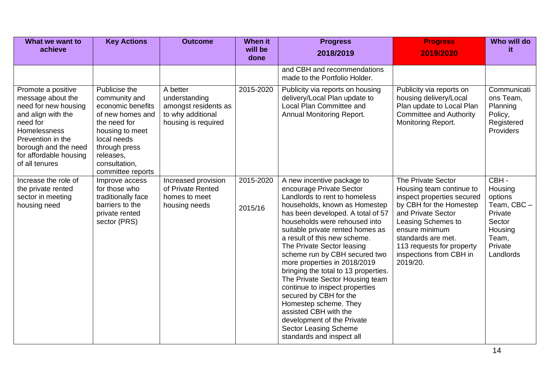| What we want to<br>achieve                                                                                                                                                                                 | <b>Key Actions</b>                                                                                                                                                                            | <b>Outcome</b>                                                                                | <b>When it</b><br>will be<br>done | <b>Progress</b><br>2018/2019                                                                                                                                                                                                                                                                                                                                                                                                                                                                                                                                                                                                                          | <b>Progress</b><br>2019/2020                                                                                                                                                                                                                                    | Who will do<br>it.                                                                                         |
|------------------------------------------------------------------------------------------------------------------------------------------------------------------------------------------------------------|-----------------------------------------------------------------------------------------------------------------------------------------------------------------------------------------------|-----------------------------------------------------------------------------------------------|-----------------------------------|-------------------------------------------------------------------------------------------------------------------------------------------------------------------------------------------------------------------------------------------------------------------------------------------------------------------------------------------------------------------------------------------------------------------------------------------------------------------------------------------------------------------------------------------------------------------------------------------------------------------------------------------------------|-----------------------------------------------------------------------------------------------------------------------------------------------------------------------------------------------------------------------------------------------------------------|------------------------------------------------------------------------------------------------------------|
|                                                                                                                                                                                                            |                                                                                                                                                                                               |                                                                                               |                                   | and CBH and recommendations<br>made to the Portfolio Holder.                                                                                                                                                                                                                                                                                                                                                                                                                                                                                                                                                                                          |                                                                                                                                                                                                                                                                 |                                                                                                            |
| Promote a positive<br>message about the<br>need for new housing<br>and align with the<br>need for<br>Homelessness<br>Prevention in the<br>borough and the need<br>for affordable housing<br>of all tenures | Publicise the<br>community and<br>economic benefits<br>of new homes and<br>the need for<br>housing to meet<br>local needs<br>through press<br>releases,<br>consultation,<br>committee reports | A better<br>understanding<br>amongst residents as<br>to why additional<br>housing is required | 2015-2020                         | Publicity via reports on housing<br>delivery/Local Plan update to<br>Local Plan Committee and<br>Annual Monitoring Report.                                                                                                                                                                                                                                                                                                                                                                                                                                                                                                                            | Publicity via reports on<br>housing delivery/Local<br>Plan update to Local Plan<br><b>Committee and Authority</b><br>Monitoring Report.                                                                                                                         | Communicati<br>ons Team,<br>Planning<br>Policy,<br>Registered<br>Providers                                 |
| Increase the role of<br>the private rented<br>sector in meeting<br>housing need                                                                                                                            | Improve access<br>for those who<br>traditionally face<br>barriers to the<br>private rented<br>sector (PRS)                                                                                    | Increased provision<br>of Private Rented<br>homes to meet<br>housing needs                    | 2015-2020<br>2015/16              | A new incentive package to<br>encourage Private Sector<br>Landlords to rent to homeless<br>households, known as Homestep<br>has been developed. A total of 57<br>households were rehoused into<br>suitable private rented homes as<br>a result of this new scheme.<br>The Private Sector leasing<br>scheme run by CBH secured two<br>more properties in 2018/2019<br>bringing the total to 13 properties.<br>The Private Sector Housing team<br>continue to inspect properties<br>secured by CBH for the<br>Homestep scheme. They<br>assisted CBH with the<br>development of the Private<br><b>Sector Leasing Scheme</b><br>standards and inspect all | The Private Sector<br>Housing team continue to<br>inspect properties secured<br>by CBH for the Homestep<br>and Private Sector<br>Leasing Schemes to<br>ensure minimum<br>standards are met.<br>113 requests for property<br>inspections from CBH in<br>2019/20. | CBH-<br>Housing<br>options<br>Team, CBC -<br>Private<br>Sector<br>Housing<br>Team,<br>Private<br>Landlords |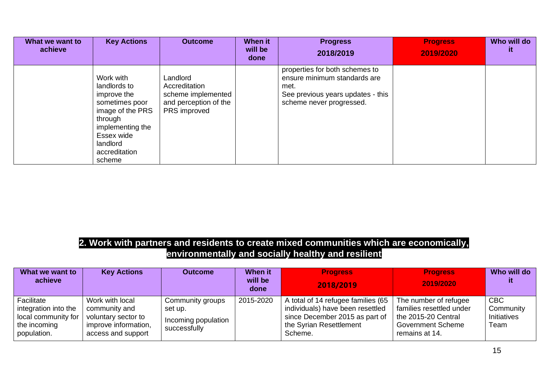| What we want to<br>achieve | <b>Key Actions</b>                                                                                                                                                 | <b>Outcome</b>                                                                           | When it<br>will be<br>done | <b>Progress</b><br>2018/2019                                                                                                            | <b>Progress</b><br>2019/2020 | Who will do<br>it. |
|----------------------------|--------------------------------------------------------------------------------------------------------------------------------------------------------------------|------------------------------------------------------------------------------------------|----------------------------|-----------------------------------------------------------------------------------------------------------------------------------------|------------------------------|--------------------|
|                            | Work with<br>landlords to<br>improve the<br>sometimes poor<br>image of the PRS<br>through<br>implementing the<br>Essex wide<br>landlord<br>accreditation<br>scheme | Landlord<br>Accreditation<br>scheme implemented<br>and perception of the<br>PRS improved |                            | properties for both schemes to<br>ensure minimum standards are<br>met.<br>See previous years updates - this<br>scheme never progressed. |                              |                    |

#### **2. Work with partners and residents to create mixed communities which are economically, environmentally and socially healthy and resilient**

| What we want to<br>achieve                                                               | <b>Key Actions</b>                                                                                    | <b>Outcome</b>                                                     | <b>When it</b><br>will be<br>done | <b>Progress</b><br>2018/2019                                                                                                                   | <b>Progress</b><br>2019/2020                                                                                           | Who will do                                           |
|------------------------------------------------------------------------------------------|-------------------------------------------------------------------------------------------------------|--------------------------------------------------------------------|-----------------------------------|------------------------------------------------------------------------------------------------------------------------------------------------|------------------------------------------------------------------------------------------------------------------------|-------------------------------------------------------|
| Facilitate<br>integration into the<br>local community for<br>the incoming<br>population. | Work with local<br>community and<br>voluntary sector to<br>improve information,<br>access and support | Community groups<br>set up.<br>Incoming population<br>successfully | 2015-2020                         | A total of 14 refugee families (65<br>individuals) have been resettled<br>since December 2015 as part of<br>the Syrian Resettlement<br>Scheme. | The number of refugee<br>families resettled under<br>the 2015-20 Central<br><b>Government Scheme</b><br>remains at 14. | <b>CBC</b><br>Community<br><b>Initiatives</b><br>Team |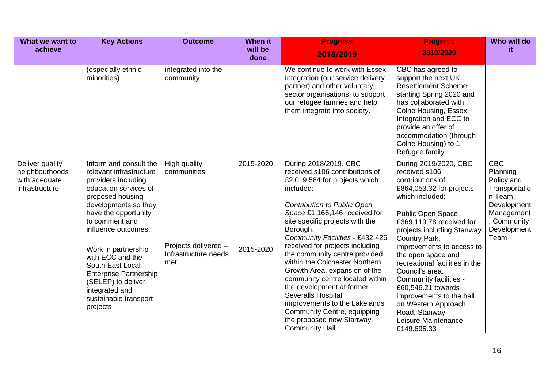| What we want to                                                       | <b>Key Actions</b>                                                                                                                                                                                                                                                                                                                                                                          | <b>Outcome</b>                                                                     | <b>When it</b>         | <b>Progress</b>                                                                                                                                                                                                                                                                                                                                                                                                                                                                                                                                                                                       | <b>Progress</b>                                                                                                                                                                                                                                                                                                                                                                                                                                                                   | Who will do                                                                                                                         |
|-----------------------------------------------------------------------|---------------------------------------------------------------------------------------------------------------------------------------------------------------------------------------------------------------------------------------------------------------------------------------------------------------------------------------------------------------------------------------------|------------------------------------------------------------------------------------|------------------------|-------------------------------------------------------------------------------------------------------------------------------------------------------------------------------------------------------------------------------------------------------------------------------------------------------------------------------------------------------------------------------------------------------------------------------------------------------------------------------------------------------------------------------------------------------------------------------------------------------|-----------------------------------------------------------------------------------------------------------------------------------------------------------------------------------------------------------------------------------------------------------------------------------------------------------------------------------------------------------------------------------------------------------------------------------------------------------------------------------|-------------------------------------------------------------------------------------------------------------------------------------|
| achieve                                                               |                                                                                                                                                                                                                                                                                                                                                                                             |                                                                                    | will be<br>done        | 2018/2019                                                                                                                                                                                                                                                                                                                                                                                                                                                                                                                                                                                             | 2019/2020                                                                                                                                                                                                                                                                                                                                                                                                                                                                         | it                                                                                                                                  |
|                                                                       | (especially ethnic<br>minorities)                                                                                                                                                                                                                                                                                                                                                           | integrated into the<br>community.                                                  |                        | We continue to work with Essex<br>Integration (our service delivery<br>partner) and other voluntary<br>sector organisations, to support<br>our refugee families and help<br>them integrate into society.                                                                                                                                                                                                                                                                                                                                                                                              | CBC has agreed to<br>support the next UK<br><b>Resettlement Scheme</b><br>starting Spring 2020 and<br>has collaborated with<br><b>Colne Housing, Essex</b><br>Integration and ECC to<br>provide an offer of<br>accommodation (through<br>Colne Housing) to 1<br>Refugee family.                                                                                                                                                                                                   |                                                                                                                                     |
| Deliver quality<br>neighbourhoods<br>with adequate<br>infrastructure. | Inform and consult the<br>relevant infrastructure<br>providers including<br>education services of<br>proposed housing<br>developments so they<br>have the opportunity<br>to comment and<br>influence outcomes.<br>Work in partnership<br>with ECC and the<br>South East Local<br><b>Enterprise Partnership</b><br>(SELEP) to deliver<br>integrated and<br>sustainable transport<br>projects | High quality<br>communities<br>Projects delivered -<br>Infrastructure needs<br>met | 2015-2020<br>2015-2020 | During 2018/2019, CBC<br>received s106 contributions of<br>£2,019.584 for projects which<br>included:-<br>Contribution to Public Open<br>Space £1,166,146 received for<br>site specific projects with the<br>Borough.<br>Community Facilities - £432,426<br>received for projects including<br>the community centre provided<br>within the Colchester Northern<br>Growth Area, expansion of the<br>community centre located within<br>the development at former<br>Severalls Hospital,<br>improvements to the Lakelands<br>Community Centre, equipping<br>the proposed new Stanway<br>Community Hall. | During 2019/2020, CBC<br>received s106<br>contributions of<br>£864,053.32 for projects<br>which included: -<br>Public Open Space -<br>£369,119.78 received for<br>projects including Stanway<br>Country Park,<br>improvements to access to<br>the open space and<br>recreational facilities in the<br>Council's area.<br>Community facilities -<br>£60,546.21 towards<br>improvements to the hall<br>on Western Approach<br>Road, Stanway<br>Leisure Maintenance -<br>£149,695.33 | <b>CBC</b><br>Planning<br>Policy and<br>Transportatio<br>n Team,<br>Development<br>Management<br>, Community<br>Development<br>Team |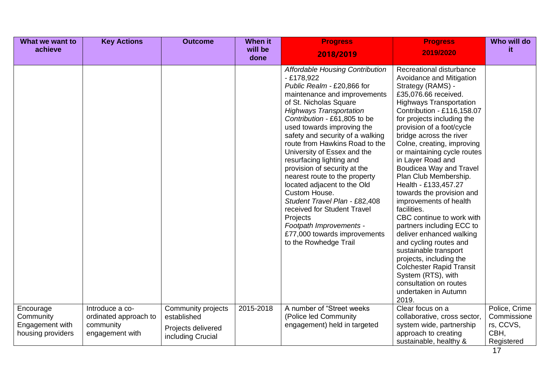| What we want to                                                | <b>Key Actions</b>                                                       | <b>Outcome</b>                                                               | <b>When it</b>  | <b>Progress</b>                                                                                                                                                                                                                                                                                                                                                                                                                                                                                                                                                                                                                                                 | <b>Progress</b>                                                                                                                                                                                                                                                                                                                                                                                                                                                                                                                                                                                                                                                                                                                                                                     | Who will do                                                     |
|----------------------------------------------------------------|--------------------------------------------------------------------------|------------------------------------------------------------------------------|-----------------|-----------------------------------------------------------------------------------------------------------------------------------------------------------------------------------------------------------------------------------------------------------------------------------------------------------------------------------------------------------------------------------------------------------------------------------------------------------------------------------------------------------------------------------------------------------------------------------------------------------------------------------------------------------------|-------------------------------------------------------------------------------------------------------------------------------------------------------------------------------------------------------------------------------------------------------------------------------------------------------------------------------------------------------------------------------------------------------------------------------------------------------------------------------------------------------------------------------------------------------------------------------------------------------------------------------------------------------------------------------------------------------------------------------------------------------------------------------------|-----------------------------------------------------------------|
| achieve                                                        |                                                                          |                                                                              | will be<br>done | 2018/2019                                                                                                                                                                                                                                                                                                                                                                                                                                                                                                                                                                                                                                                       | 2019/2020                                                                                                                                                                                                                                                                                                                                                                                                                                                                                                                                                                                                                                                                                                                                                                           | it.                                                             |
|                                                                |                                                                          |                                                                              |                 | <b>Affordable Housing Contribution</b><br>$-£178,922$<br>Public Realm - £20,866 for<br>maintenance and improvements<br>of St. Nicholas Square<br><b>Highways Transportation</b><br>Contribution - £61,805 to be<br>used towards improving the<br>safety and security of a walking<br>route from Hawkins Road to the<br>University of Essex and the<br>resurfacing lighting and<br>provision of security at the<br>nearest route to the property<br>located adjacent to the Old<br>Custom House.<br>Student Travel Plan - £82,408<br>received for Student Travel<br>Projects<br>Footpath Improvements -<br>£77,000 towards improvements<br>to the Rowhedge Trail | Recreational disturbance<br>Avoidance and Mitigation<br>Strategy (RAMS) -<br>£35,076.66 received.<br><b>Highways Transportation</b><br>Contribution - £116,158.07<br>for projects including the<br>provision of a foot/cycle<br>bridge across the river<br>Colne, creating, improving<br>or maintaining cycle routes<br>in Layer Road and<br>Boudicea Way and Travel<br>Plan Club Membership.<br>Health - £133,457.27<br>towards the provision and<br>improvements of health<br>facilities.<br>CBC continue to work with<br>partners including ECC to<br>deliver enhanced walking<br>and cycling routes and<br>sustainable transport<br>projects, including the<br><b>Colchester Rapid Transit</b><br>System (RTS), with<br>consultation on routes<br>undertaken in Autumn<br>2019. |                                                                 |
| Encourage<br>Community<br>Engagement with<br>housing providers | Introduce a co-<br>ordinated approach to<br>community<br>engagement with | Community projects<br>established<br>Projects delivered<br>including Crucial | 2015-2018       | A number of "Street weeks"<br>(Police led Community<br>engagement) held in targeted                                                                                                                                                                                                                                                                                                                                                                                                                                                                                                                                                                             | Clear focus on a<br>collaborative, cross sector,<br>system wide, partnership<br>approach to creating<br>sustainable, healthy &                                                                                                                                                                                                                                                                                                                                                                                                                                                                                                                                                                                                                                                      | Police, Crime<br>Commissione<br>rs, CCVS,<br>CBH,<br>Registered |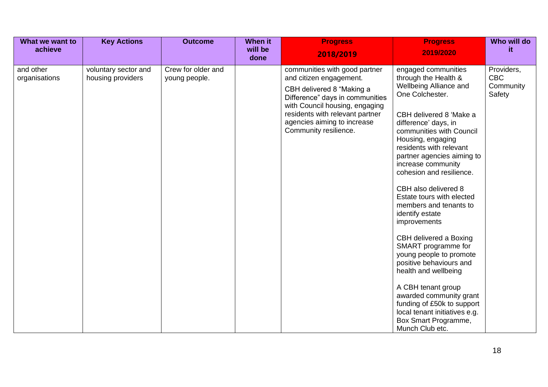| What we want to<br>achieve | <b>Key Actions</b>                        | <b>Outcome</b>                      | <b>When it</b><br>will be<br>done | <b>Progress</b><br>2018/2019                                                                                                                                                                                                                          | <b>Progress</b><br>2019/2020                                                                                                                                                                                                                                                                                                                                                                                                                                                                                                                             | Who will do<br>it.                              |
|----------------------------|-------------------------------------------|-------------------------------------|-----------------------------------|-------------------------------------------------------------------------------------------------------------------------------------------------------------------------------------------------------------------------------------------------------|----------------------------------------------------------------------------------------------------------------------------------------------------------------------------------------------------------------------------------------------------------------------------------------------------------------------------------------------------------------------------------------------------------------------------------------------------------------------------------------------------------------------------------------------------------|-------------------------------------------------|
| and other<br>organisations | voluntary sector and<br>housing providers | Crew for older and<br>young people. |                                   | communities with good partner<br>and citizen engagement.<br>CBH delivered 8 "Making a<br>Difference" days in communities<br>with Council housing, engaging<br>residents with relevant partner<br>agencies aiming to increase<br>Community resilience. | engaged communities<br>through the Health &<br>Wellbeing Alliance and<br>One Colchester.<br>CBH delivered 8 'Make a<br>difference' days, in<br>communities with Council<br>Housing, engaging<br>residents with relevant<br>partner agencies aiming to<br>increase community<br>cohesion and resilience.<br>CBH also delivered 8<br>Estate tours with elected<br>members and tenants to<br>identify estate<br>improvements<br>CBH delivered a Boxing<br>SMART programme for<br>young people to promote<br>positive behaviours and<br>health and wellbeing | Providers,<br><b>CBC</b><br>Community<br>Safety |
|                            |                                           |                                     |                                   |                                                                                                                                                                                                                                                       | A CBH tenant group<br>awarded community grant<br>funding of £50k to support<br>local tenant initiatives e.g.<br>Box Smart Programme,<br>Munch Club etc.                                                                                                                                                                                                                                                                                                                                                                                                  |                                                 |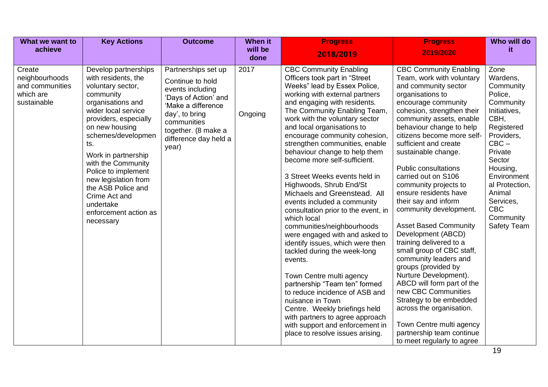| What we want to                                                         | <b>Key Actions</b>                                                                                                                                                                                                                                                                                                                                                                      | <b>Outcome</b>                                                                                                                                                                                      | <b>When it</b>  | <b>Progress</b>                                                                                                                                                                                                                                                                                                                                                                                                                                                                                                                                                                                                                                                                                                                                                                                                                                                                                                                                                                                    | <b>Progress</b>                                                                                                                                                                                                                                                                                                                                                                                                                                                                                                                                                                                                                                                                                                                                                                                                                                       | Who will do                                                                                                                                                                                                                                             |
|-------------------------------------------------------------------------|-----------------------------------------------------------------------------------------------------------------------------------------------------------------------------------------------------------------------------------------------------------------------------------------------------------------------------------------------------------------------------------------|-----------------------------------------------------------------------------------------------------------------------------------------------------------------------------------------------------|-----------------|----------------------------------------------------------------------------------------------------------------------------------------------------------------------------------------------------------------------------------------------------------------------------------------------------------------------------------------------------------------------------------------------------------------------------------------------------------------------------------------------------------------------------------------------------------------------------------------------------------------------------------------------------------------------------------------------------------------------------------------------------------------------------------------------------------------------------------------------------------------------------------------------------------------------------------------------------------------------------------------------------|-------------------------------------------------------------------------------------------------------------------------------------------------------------------------------------------------------------------------------------------------------------------------------------------------------------------------------------------------------------------------------------------------------------------------------------------------------------------------------------------------------------------------------------------------------------------------------------------------------------------------------------------------------------------------------------------------------------------------------------------------------------------------------------------------------------------------------------------------------|---------------------------------------------------------------------------------------------------------------------------------------------------------------------------------------------------------------------------------------------------------|
| achieve                                                                 |                                                                                                                                                                                                                                                                                                                                                                                         |                                                                                                                                                                                                     | will be<br>done | 2018/2019                                                                                                                                                                                                                                                                                                                                                                                                                                                                                                                                                                                                                                                                                                                                                                                                                                                                                                                                                                                          | 2019/2020                                                                                                                                                                                                                                                                                                                                                                                                                                                                                                                                                                                                                                                                                                                                                                                                                                             | it.                                                                                                                                                                                                                                                     |
| Create<br>neighbourhoods<br>and communities<br>which are<br>sustainable | Develop partnerships<br>with residents, the<br>voluntary sector,<br>community<br>organisations and<br>wider local service<br>providers, especially<br>on new housing<br>schemes/developmen<br>ts.<br>Work in partnership<br>with the Community<br>Police to implement<br>new legislation from<br>the ASB Police and<br>Crime Act and<br>undertake<br>enforcement action as<br>necessary | Partnerships set up<br>Continue to hold<br>events including<br>'Days of Action' and<br>'Make a difference<br>day', to bring<br>communities<br>together. (8 make a<br>difference day held a<br>year) | 2017<br>Ongoing | <b>CBC Community Enabling</b><br>Officers took part in "Street<br>Weeks" lead by Essex Police,<br>working with external partners<br>and engaging with residents.<br>The Community Enabling Team,<br>work with the voluntary sector<br>and local organisations to<br>encourage community cohesion,<br>strengthen communities, enable<br>behaviour change to help them<br>become more self-sufficient.<br>3 Street Weeks events held in<br>Highwoods, Shrub End/St<br>Michaels and Greenstead. All<br>events included a community<br>consultation prior to the event, in<br>which local<br>communities/neighbourhoods<br>were engaged with and asked to<br>identify issues, which were then<br>tackled during the week-long<br>events.<br>Town Centre multi agency<br>partnership "Team ten" formed<br>to reduce incidence of ASB and<br>nuisance in Town<br>Centre. Weekly briefings held<br>with partners to agree approach<br>with support and enforcement in<br>place to resolve issues arising. | <b>CBC Community Enabling</b><br>Team, work with voluntary<br>and community sector<br>organisations to<br>encourage community<br>cohesion, strengthen their<br>community assets, enable<br>behaviour change to help<br>citizens become more self-<br>sufficient and create<br>sustainable change.<br><b>Public consultations</b><br>carried out on S106<br>community projects to<br>ensure residents have<br>their say and inform<br>community development.<br><b>Asset Based Community</b><br>Development (ABCD)<br>training delivered to a<br>small group of CBC staff,<br>community leaders and<br>groups (provided by<br>Nurture Development).<br>ABCD will form part of the<br>new CBC Communities<br>Strategy to be embedded<br>across the organisation.<br>Town Centre multi agency<br>partnership team continue<br>to meet regularly to agree | Zone<br>Wardens,<br>Community<br>Police,<br>Community<br>Initiatives,<br>CBH,<br>Registered<br>Providers,<br>$CBC -$<br>Private<br>Sector<br>Housing,<br>Environment<br>al Protection,<br>Animal<br>Services,<br>CBC<br>Community<br><b>Safety Team</b> |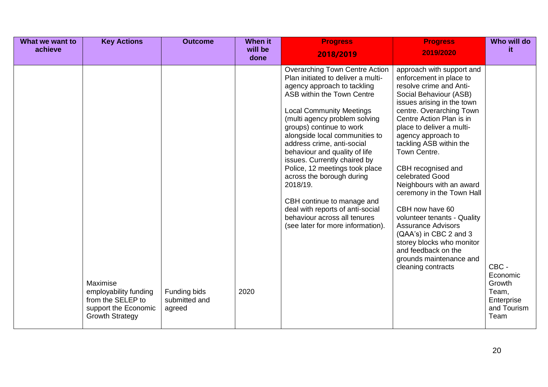| What we want to | <b>Key Actions</b>                                                                                       | <b>Outcome</b>                          | <b>When it</b>  | <b>Progress</b>                                                                                                                                                                                                                                                                                                                                                                                                                                                                                                                                                                             | <b>Progress</b>                                                                                                                                                                                                                                                                                                                                                                                                                                                                                                                                                                                               | Who will do                                                               |
|-----------------|----------------------------------------------------------------------------------------------------------|-----------------------------------------|-----------------|---------------------------------------------------------------------------------------------------------------------------------------------------------------------------------------------------------------------------------------------------------------------------------------------------------------------------------------------------------------------------------------------------------------------------------------------------------------------------------------------------------------------------------------------------------------------------------------------|---------------------------------------------------------------------------------------------------------------------------------------------------------------------------------------------------------------------------------------------------------------------------------------------------------------------------------------------------------------------------------------------------------------------------------------------------------------------------------------------------------------------------------------------------------------------------------------------------------------|---------------------------------------------------------------------------|
| achieve         |                                                                                                          |                                         | will be<br>done | 2018/2019                                                                                                                                                                                                                                                                                                                                                                                                                                                                                                                                                                                   | 2019/2020                                                                                                                                                                                                                                                                                                                                                                                                                                                                                                                                                                                                     | it.                                                                       |
|                 | Maximise<br>employability funding<br>from the SELEP to<br>support the Economic<br><b>Growth Strategy</b> | Funding bids<br>submitted and<br>agreed | 2020            | <b>Overarching Town Centre Action</b><br>Plan initiated to deliver a multi-<br>agency approach to tackling<br>ASB within the Town Centre<br><b>Local Community Meetings</b><br>(multi agency problem solving<br>groups) continue to work<br>alongside local communities to<br>address crime, anti-social<br>behaviour and quality of life<br>issues. Currently chaired by<br>Police, 12 meetings took place<br>across the borough during<br>2018/19.<br>CBH continue to manage and<br>deal with reports of anti-social<br>behaviour across all tenures<br>(see later for more information). | approach with support and<br>enforcement in place to<br>resolve crime and Anti-<br>Social Behaviour (ASB)<br>issues arising in the town<br>centre. Overarching Town<br>Centre Action Plan is in<br>place to deliver a multi-<br>agency approach to<br>tackling ASB within the<br>Town Centre.<br>CBH recognised and<br>celebrated Good<br>Neighbours with an award<br>ceremony in the Town Hall<br>CBH now have 60<br>volunteer tenants - Quality<br><b>Assurance Advisors</b><br>(QAA's) in CBC 2 and 3<br>storey blocks who monitor<br>and feedback on the<br>grounds maintenance and<br>cleaning contracts | CBC -<br>Economic<br>Growth<br>Team,<br>Enterprise<br>and Tourism<br>Team |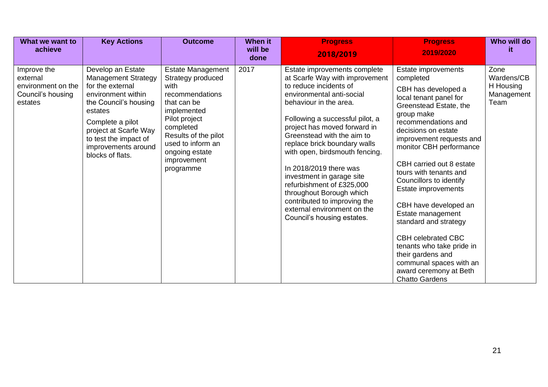| What we want to<br>achieve                                                    | <b>Key Actions</b>                                                                                                                                                                                                                             | <b>Outcome</b>                                                                                                                                                                                                           | When it<br>will be<br>done | <b>Progress</b><br>2018/2019                                                                                                                                                                                                                                                                                                                                                                                                                                                                                                    | <b>Progress</b><br>2019/2020                                                                                                                                                                                                                                                                                                                                                                                                                                                                                                                                               | Who will do<br>it.                                    |
|-------------------------------------------------------------------------------|------------------------------------------------------------------------------------------------------------------------------------------------------------------------------------------------------------------------------------------------|--------------------------------------------------------------------------------------------------------------------------------------------------------------------------------------------------------------------------|----------------------------|---------------------------------------------------------------------------------------------------------------------------------------------------------------------------------------------------------------------------------------------------------------------------------------------------------------------------------------------------------------------------------------------------------------------------------------------------------------------------------------------------------------------------------|----------------------------------------------------------------------------------------------------------------------------------------------------------------------------------------------------------------------------------------------------------------------------------------------------------------------------------------------------------------------------------------------------------------------------------------------------------------------------------------------------------------------------------------------------------------------------|-------------------------------------------------------|
| Improve the<br>external<br>environment on the<br>Council's housing<br>estates | Develop an Estate<br><b>Management Strategy</b><br>for the external<br>environment within<br>the Council's housing<br>estates<br>Complete a pilot<br>project at Scarfe Way<br>to test the impact of<br>improvements around<br>blocks of flats. | Estate Management<br>Strategy produced<br>with<br>recommendations<br>that can be<br>implemented<br>Pilot project<br>completed<br>Results of the pilot<br>used to inform an<br>ongoing estate<br>improvement<br>programme | 2017                       | Estate improvements complete<br>at Scarfe Way with improvement<br>to reduce incidents of<br>environmental anti-social<br>behaviour in the area.<br>Following a successful pilot, a<br>project has moved forward in<br>Greenstead with the aim to<br>replace brick boundary walls<br>with open, birdsmouth fencing.<br>In 2018/2019 there was<br>investment in garage site<br>refurbishment of £325,000<br>throughout Borough which<br>contributed to improving the<br>external environment on the<br>Council's housing estates. | Estate improvements<br>completed<br>CBH has developed a<br>local tenant panel for<br>Greenstead Estate, the<br>group make<br>recommendations and<br>decisions on estate<br>improvement requests and<br>monitor CBH performance<br>CBH carried out 8 estate<br>tours with tenants and<br>Councillors to identify<br>Estate improvements<br>CBH have developed an<br>Estate management<br>standard and strategy<br><b>CBH celebrated CBC</b><br>tenants who take pride in<br>their gardens and<br>communal spaces with an<br>award ceremony at Beth<br><b>Chatto Gardens</b> | Zone<br>Wardens/CB<br>H Housing<br>Management<br>Team |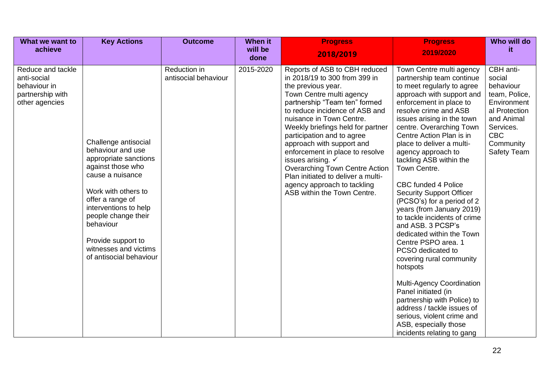| What we want to<br>achieve                                                             | <b>Key Actions</b>                                                                                                                                                                                                                                                                            | <b>Outcome</b>                       | When it<br>will be | <b>Progress</b>                                                                                                                                                                                                                                                                                                                                                                                                                                                                                                          | <b>Progress</b>                                                                                                                                                                                                                                                                                                                                                                                                                                                                                                                                                                                                                                                                                                                                                                                                                                                         | Who will do<br>it.                                                                                                                                     |
|----------------------------------------------------------------------------------------|-----------------------------------------------------------------------------------------------------------------------------------------------------------------------------------------------------------------------------------------------------------------------------------------------|--------------------------------------|--------------------|--------------------------------------------------------------------------------------------------------------------------------------------------------------------------------------------------------------------------------------------------------------------------------------------------------------------------------------------------------------------------------------------------------------------------------------------------------------------------------------------------------------------------|-------------------------------------------------------------------------------------------------------------------------------------------------------------------------------------------------------------------------------------------------------------------------------------------------------------------------------------------------------------------------------------------------------------------------------------------------------------------------------------------------------------------------------------------------------------------------------------------------------------------------------------------------------------------------------------------------------------------------------------------------------------------------------------------------------------------------------------------------------------------------|--------------------------------------------------------------------------------------------------------------------------------------------------------|
|                                                                                        |                                                                                                                                                                                                                                                                                               |                                      | done               | 2018/2019                                                                                                                                                                                                                                                                                                                                                                                                                                                                                                                | 2019/2020                                                                                                                                                                                                                                                                                                                                                                                                                                                                                                                                                                                                                                                                                                                                                                                                                                                               |                                                                                                                                                        |
| Reduce and tackle<br>anti-social<br>behaviour in<br>partnership with<br>other agencies | Challenge antisocial<br>behaviour and use<br>appropriate sanctions<br>against those who<br>cause a nuisance<br>Work with others to<br>offer a range of<br>interventions to help<br>people change their<br>behaviour<br>Provide support to<br>witnesses and victims<br>of antisocial behaviour | Reduction in<br>antisocial behaviour | 2015-2020          | Reports of ASB to CBH reduced<br>in 2018/19 to 300 from 399 in<br>the previous year.<br>Town Centre multi agency<br>partnership "Team ten" formed<br>to reduce incidence of ASB and<br>nuisance in Town Centre.<br>Weekly briefings held for partner<br>participation and to agree<br>approach with support and<br>enforcement in place to resolve<br>issues arising. $\checkmark$<br>Overarching Town Centre Action<br>Plan initiated to deliver a multi-<br>agency approach to tackling<br>ASB within the Town Centre. | Town Centre multi agency<br>partnership team continue<br>to meet regularly to agree<br>approach with support and<br>enforcement in place to<br>resolve crime and ASB<br>issues arising in the town<br>centre. Overarching Town<br>Centre Action Plan is in<br>place to deliver a multi-<br>agency approach to<br>tackling ASB within the<br>Town Centre.<br><b>CBC funded 4 Police</b><br><b>Security Support Officer</b><br>(PCSO's) for a period of 2<br>years (from January 2019)<br>to tackle incidents of crime<br>and ASB. 3 PCSP's<br>dedicated within the Town<br>Centre PSPO area. 1<br>PCSO dedicated to<br>covering rural community<br>hotspots<br><b>Multi-Agency Coordination</b><br>Panel initiated (in<br>partnership with Police) to<br>address / tackle issues of<br>serious, violent crime and<br>ASB, especially those<br>incidents relating to gang | CBH anti-<br>social<br>behaviour<br>team, Police,<br>Environment<br>al Protection<br>and Animal<br>Services.<br><b>CBC</b><br>Community<br>Safety Team |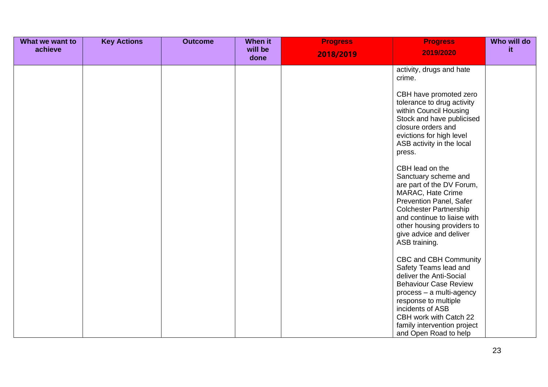| What we want to | <b>Key Actions</b> | <b>Outcome</b> | <b>When it</b>  | <b>Progress</b> | <b>Progress</b>                                                                                                                                                                                                                                                       | Who will do |
|-----------------|--------------------|----------------|-----------------|-----------------|-----------------------------------------------------------------------------------------------------------------------------------------------------------------------------------------------------------------------------------------------------------------------|-------------|
| achieve         |                    |                | will be<br>done | 2018/2019       | 2019/2020                                                                                                                                                                                                                                                             | it.         |
|                 |                    |                |                 |                 | activity, drugs and hate<br>crime.                                                                                                                                                                                                                                    |             |
|                 |                    |                |                 |                 | CBH have promoted zero<br>tolerance to drug activity<br>within Council Housing<br>Stock and have publicised<br>closure orders and<br>evictions for high level<br>ASB activity in the local<br>press.                                                                  |             |
|                 |                    |                |                 |                 | CBH lead on the<br>Sanctuary scheme and<br>are part of the DV Forum,<br>MARAC, Hate Crime<br><b>Prevention Panel, Safer</b><br><b>Colchester Partnership</b><br>and continue to liaise with<br>other housing providers to<br>give advice and deliver<br>ASB training. |             |
|                 |                    |                |                 |                 | CBC and CBH Community<br>Safety Teams lead and<br>deliver the Anti-Social<br><b>Behaviour Case Review</b><br>process - a multi-agency<br>response to multiple<br>incidents of ASB<br>CBH work with Catch 22<br>family intervention project<br>and Open Road to help   |             |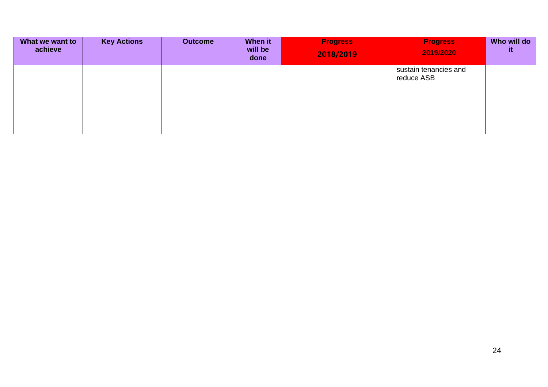| What we want to<br>achieve | <b>Key Actions</b> | <b>Outcome</b> | When it<br>will be<br>done | <b>Progress</b><br>2018/2019 | <b>Progress</b><br>2019/2020        | Who will do<br>it. |
|----------------------------|--------------------|----------------|----------------------------|------------------------------|-------------------------------------|--------------------|
|                            |                    |                |                            |                              | sustain tenancies and<br>reduce ASB |                    |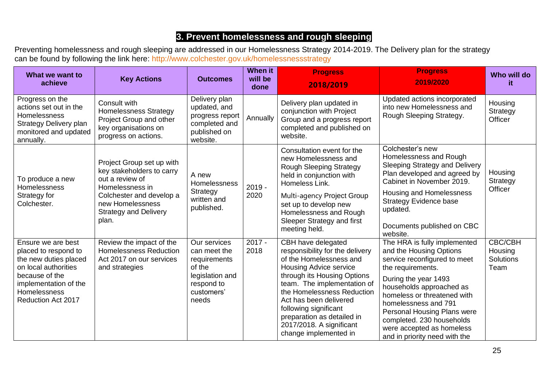#### **3. Prevent homelessness and rough sleeping**

Preventing homelessness and rough sleeping are addressed in our Homelessness Strategy 2014-2019. The Delivery plan for the strategy can be found by following the link here: <http://www.colchester.gov.uk/homelessnessstrategy>

| What we want to<br>achieve                                                                                                                                                          | <b>Key Actions</b>                                                                                                                                                                    | <b>Outcomes</b>                                                                                                | <b>When it</b><br>will be<br>done | <b>Progress</b><br>2018/2019                                                                                                                                                                                                                                                                                                                        | <b>Progress</b><br>2019/2020                                                                                                                                                                                                                                                                                                                      | Who will do<br>it                                     |
|-------------------------------------------------------------------------------------------------------------------------------------------------------------------------------------|---------------------------------------------------------------------------------------------------------------------------------------------------------------------------------------|----------------------------------------------------------------------------------------------------------------|-----------------------------------|-----------------------------------------------------------------------------------------------------------------------------------------------------------------------------------------------------------------------------------------------------------------------------------------------------------------------------------------------------|---------------------------------------------------------------------------------------------------------------------------------------------------------------------------------------------------------------------------------------------------------------------------------------------------------------------------------------------------|-------------------------------------------------------|
| Progress on the<br>actions set out in the<br><b>Homelessness</b><br><b>Strategy Delivery plan</b><br>monitored and updated<br>annually.                                             | Consult with<br><b>Homelessness Strategy</b><br>Project Group and other<br>key organisations on<br>progress on actions.                                                               | Delivery plan<br>updated, and<br>progress report<br>completed and<br>published on<br>website.                  | Annually                          | Delivery plan updated in<br>conjunction with Project<br>Group and a progress report<br>completed and published on<br>website.                                                                                                                                                                                                                       | Updated actions incorporated<br>into new Homelessness and<br>Rough Sleeping Strategy.                                                                                                                                                                                                                                                             | Housing<br>Strategy<br>Officer                        |
| To produce a new<br>Homelessness<br>Strategy for<br>Colchester.                                                                                                                     | Project Group set up with<br>key stakeholders to carry<br>out a review of<br>Homelessness in<br>Colchester and develop a<br>new Homelessness<br><b>Strategy and Delivery</b><br>plan. | A new<br>Homelessness<br>Strategy<br>written and<br>published.                                                 | $2019 -$<br>2020                  | Consultation event for the<br>new Homelessness and<br><b>Rough Sleeping Strategy</b><br>held in conjunction with<br>Homeless Link.<br>Multi-agency Project Group<br>set up to develop new<br>Homelessness and Rough<br>Sleeper Strategy and first<br>meeting held.                                                                                  | Colchester's new<br>Homelessness and Rough<br><b>Sleeping Strategy and Delivery</b><br>Plan developed and agreed by<br>Cabinet in November 2019.<br>Housing and Homelessness<br><b>Strategy Evidence base</b><br>updated.<br>Documents published on CBC<br>website.                                                                               | Housing<br>Strategy<br>Officer                        |
| Ensure we are best<br>placed to respond to<br>the new duties placed<br>on local authorities<br>because of the<br>implementation of the<br>Homelessness<br><b>Reduction Act 2017</b> | Review the impact of the<br><b>Homelessness Reduction</b><br>Act 2017 on our services<br>and strategies                                                                               | Our services<br>can meet the<br>requirements<br>of the<br>legislation and<br>respond to<br>customers'<br>needs | $2017 -$<br>2018                  | CBH have delegated<br>responsibility for the delivery<br>of the Homelessness and<br><b>Housing Advice service</b><br>through its Housing Options<br>team. The implementation of<br>the Homelessness Reduction<br>Act has been delivered<br>following significant<br>preparation as detailed in<br>2017/2018. A significant<br>change implemented in | The HRA is fully implemented<br>and the Housing Options<br>service reconfigured to meet<br>the requirements.<br>During the year 1493<br>households approached as<br>homeless or threatened with<br>homelessness and 791<br>Personal Housing Plans were<br>completed. 230 households<br>were accepted as homeless<br>and in priority need with the | <b>CBC/CBH</b><br>Housing<br><b>Solutions</b><br>Team |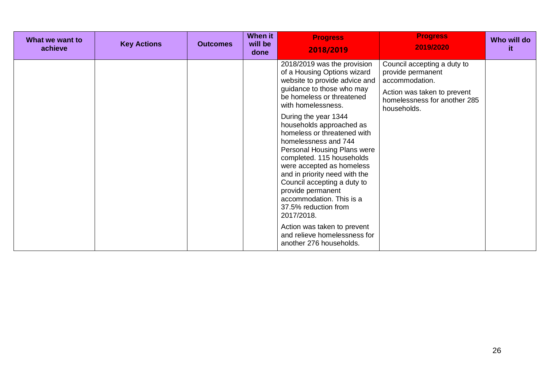| What we want to<br>achieve | <b>Key Actions</b> | <b>Outcomes</b> | <b>When it</b><br>will be<br>done | <b>Progress</b><br>2018/2019                                                                                                                                                                                                                                                                                                                                                                                                                                                                                                                                                                                                     | <b>Progress</b><br>2019/2020                                                                                                                     | Who will do<br>it |
|----------------------------|--------------------|-----------------|-----------------------------------|----------------------------------------------------------------------------------------------------------------------------------------------------------------------------------------------------------------------------------------------------------------------------------------------------------------------------------------------------------------------------------------------------------------------------------------------------------------------------------------------------------------------------------------------------------------------------------------------------------------------------------|--------------------------------------------------------------------------------------------------------------------------------------------------|-------------------|
|                            |                    |                 |                                   | 2018/2019 was the provision<br>of a Housing Options wizard<br>website to provide advice and<br>guidance to those who may<br>be homeless or threatened<br>with homelessness.<br>During the year 1344<br>households approached as<br>homeless or threatened with<br>homelessness and 744<br>Personal Housing Plans were<br>completed. 115 households<br>were accepted as homeless<br>and in priority need with the<br>Council accepting a duty to<br>provide permanent<br>accommodation. This is a<br>37.5% reduction from<br>2017/2018.<br>Action was taken to prevent<br>and relieve homelessness for<br>another 276 households. | Council accepting a duty to<br>provide permanent<br>accommodation.<br>Action was taken to prevent<br>homelessness for another 285<br>households. |                   |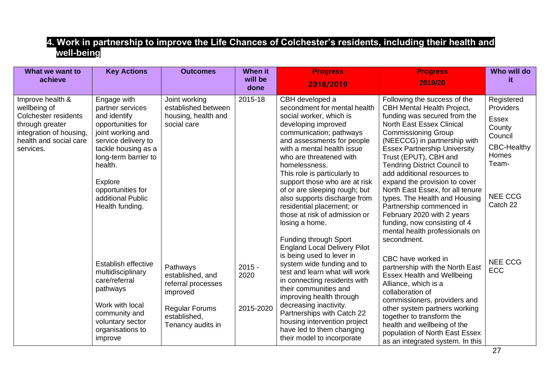#### **4. Work in partnership to improve the Life Chances of Colchester's residents, including their health and well-being**

| What we want to<br>achieve                                                                                                                           | <b>Key Actions</b>                                                                                                                                                                                                                                                                                                                                              | <b>Outcomes</b>                                                                                                                                                       | <b>When it</b><br>will be                | <b>Progress</b>                                                                                                                                                                                                                                                                                                                                                                                                                                                                                                                                                                                                                                                                                                                                                        | <b>Progress</b>                                                                                                                                                                                                                                                                                                                                                                                                                                                                                                                                                                                                                                                                                                                                                                                | Who will do                                                                                                                                                 |
|------------------------------------------------------------------------------------------------------------------------------------------------------|-----------------------------------------------------------------------------------------------------------------------------------------------------------------------------------------------------------------------------------------------------------------------------------------------------------------------------------------------------------------|-----------------------------------------------------------------------------------------------------------------------------------------------------------------------|------------------------------------------|------------------------------------------------------------------------------------------------------------------------------------------------------------------------------------------------------------------------------------------------------------------------------------------------------------------------------------------------------------------------------------------------------------------------------------------------------------------------------------------------------------------------------------------------------------------------------------------------------------------------------------------------------------------------------------------------------------------------------------------------------------------------|------------------------------------------------------------------------------------------------------------------------------------------------------------------------------------------------------------------------------------------------------------------------------------------------------------------------------------------------------------------------------------------------------------------------------------------------------------------------------------------------------------------------------------------------------------------------------------------------------------------------------------------------------------------------------------------------------------------------------------------------------------------------------------------------|-------------------------------------------------------------------------------------------------------------------------------------------------------------|
|                                                                                                                                                      |                                                                                                                                                                                                                                                                                                                                                                 |                                                                                                                                                                       | done                                     | 2018/2019                                                                                                                                                                                                                                                                                                                                                                                                                                                                                                                                                                                                                                                                                                                                                              | 2019/20                                                                                                                                                                                                                                                                                                                                                                                                                                                                                                                                                                                                                                                                                                                                                                                        | it                                                                                                                                                          |
| Improve health &<br>wellbeing of<br><b>Colchester residents</b><br>through greater<br>integration of housing,<br>health and social care<br>services. | Engage with<br>partner services<br>and identify<br>opportunities for<br>joint working and<br>service delivery to<br>tackle housing as a<br>long-term barrier to<br>health.<br>Explore<br>opportunities for<br>additional Public<br>Health funding.<br>Establish effective<br>multidisciplinary<br>care/referral<br>pathways<br>Work with local<br>community and | Joint working<br>established between<br>housing, health and<br>social care<br>Pathways<br>established, and<br>referral processes<br>improved<br><b>Regular Forums</b> | 2015-18<br>$2015 -$<br>2020<br>2015-2020 | CBH developed a<br>secondment for mental health<br>social worker, which is<br>developing improved<br>communication; pathways<br>and assessments for people<br>with a mental health issue<br>who are threatened with<br>homelessness.<br>This role is particularly to<br>support those who are at risk<br>of or are sleeping rough; but<br>also supports discharge from<br>residential placement; or<br>those at risk of admission or<br>losing a home.<br><b>Funding through Sport</b><br><b>England Local Delivery Pilot</b><br>is being used to lever in<br>system wide funding and to<br>test and learn what will work<br>in connecting residents with<br>their communities and<br>improving health through<br>decreasing inactivity.<br>Partnerships with Catch 22 | Following the success of the<br><b>CBH Mental Health Project,</b><br>funding was secured from the<br><b>North East Essex Clinical</b><br><b>Commissioning Group</b><br>(NEECCG) in partnership with<br><b>Essex Partnership University</b><br>Trust (EPUT), CBH and<br><b>Tendring District Council to</b><br>add additional resources to<br>expand the provision to cover<br>North East Essex, for all tenure<br>types. The Health and Housing<br>Partnership commenced in<br>February 2020 with 2 years<br>funding, now consisting of 4<br>mental health professionals on<br>secondment.<br>CBC have worked in<br>partnership with the North East<br>Essex Health and Wellbeing<br>Alliance, which is a<br>collaboration of<br>commissioners, providers and<br>other system partners working | Registered<br>Providers<br><b>Essex</b><br>County<br>Council<br><b>CBC-Healthy</b><br>Homes<br>Team-<br><b>NEE CCG</b><br>Catch 22<br><b>NEE CCG</b><br>ECC |
|                                                                                                                                                      | voluntary sector<br>organisations to<br>improve                                                                                                                                                                                                                                                                                                                 | established,<br>Tenancy audits in                                                                                                                                     |                                          | housing intervention project<br>have led to them changing<br>their model to incorporate                                                                                                                                                                                                                                                                                                                                                                                                                                                                                                                                                                                                                                                                                | together to transform the<br>health and wellbeing of the<br>population of North East Essex<br>as an integrated system. In this                                                                                                                                                                                                                                                                                                                                                                                                                                                                                                                                                                                                                                                                 |                                                                                                                                                             |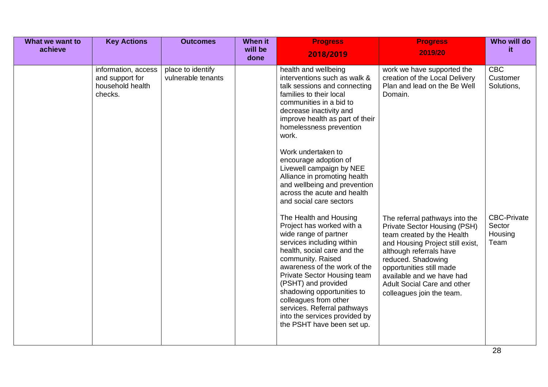| What we want to | <b>Key Actions</b>                                                    | <b>Outcomes</b>                         | When it         | <b>Progress</b>                                                                                                                                                                                                                                                                                                                                                                                                                                                                                                                                                                                                                                                                                                                                                                                                                                               | <b>Progress</b>                                                                                                                                                                                                                                                                                                                                                                                                   | Who will do                                                                             |
|-----------------|-----------------------------------------------------------------------|-----------------------------------------|-----------------|---------------------------------------------------------------------------------------------------------------------------------------------------------------------------------------------------------------------------------------------------------------------------------------------------------------------------------------------------------------------------------------------------------------------------------------------------------------------------------------------------------------------------------------------------------------------------------------------------------------------------------------------------------------------------------------------------------------------------------------------------------------------------------------------------------------------------------------------------------------|-------------------------------------------------------------------------------------------------------------------------------------------------------------------------------------------------------------------------------------------------------------------------------------------------------------------------------------------------------------------------------------------------------------------|-----------------------------------------------------------------------------------------|
| achieve         |                                                                       |                                         | will be<br>done | 2018/2019                                                                                                                                                                                                                                                                                                                                                                                                                                                                                                                                                                                                                                                                                                                                                                                                                                                     | 2019/20                                                                                                                                                                                                                                                                                                                                                                                                           | it.                                                                                     |
|                 | information, access<br>and support for<br>household health<br>checks. | place to identify<br>vulnerable tenants |                 | health and wellbeing<br>interventions such as walk &<br>talk sessions and connecting<br>families to their local<br>communities in a bid to<br>decrease inactivity and<br>improve health as part of their<br>homelessness prevention<br>work.<br>Work undertaken to<br>encourage adoption of<br>Livewell campaign by NEE<br>Alliance in promoting health<br>and wellbeing and prevention<br>across the acute and health<br>and social care sectors<br>The Health and Housing<br>Project has worked with a<br>wide range of partner<br>services including within<br>health, social care and the<br>community. Raised<br>awareness of the work of the<br>Private Sector Housing team<br>(PSHT) and provided<br>shadowing opportunities to<br>colleagues from other<br>services. Referral pathways<br>into the services provided by<br>the PSHT have been set up. | work we have supported the<br>creation of the Local Delivery<br>Plan and lead on the Be Well<br>Domain.<br>The referral pathways into the<br>Private Sector Housing (PSH)<br>team created by the Health<br>and Housing Project still exist,<br>although referrals have<br>reduced. Shadowing<br>opportunities still made<br>available and we have had<br>Adult Social Care and other<br>colleagues join the team. | <b>CBC</b><br>Customer<br>Solutions,<br><b>CBC-Private</b><br>Sector<br>Housing<br>Team |
|                 |                                                                       |                                         |                 |                                                                                                                                                                                                                                                                                                                                                                                                                                                                                                                                                                                                                                                                                                                                                                                                                                                               |                                                                                                                                                                                                                                                                                                                                                                                                                   | 28                                                                                      |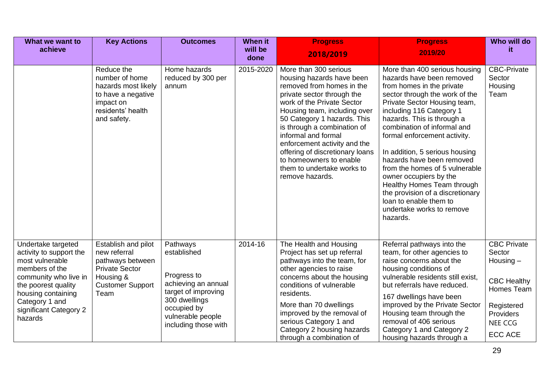| What we want to<br>achieve                                                                                                                                                                                      | <b>Key Actions</b>                                                                                                               | <b>Outcomes</b>                                                                                                                                                   | <b>When it</b><br>will be<br>done | <b>Progress</b><br>2018/2019                                                                                                                                                                                                                                                                                                                                                                                    | <b>Progress</b><br>2019/20                                                                                                                                                                                                                                                                                                                                                                                                                                                                                                                         | Who will do<br>it.                                                                                                                      |
|-----------------------------------------------------------------------------------------------------------------------------------------------------------------------------------------------------------------|----------------------------------------------------------------------------------------------------------------------------------|-------------------------------------------------------------------------------------------------------------------------------------------------------------------|-----------------------------------|-----------------------------------------------------------------------------------------------------------------------------------------------------------------------------------------------------------------------------------------------------------------------------------------------------------------------------------------------------------------------------------------------------------------|----------------------------------------------------------------------------------------------------------------------------------------------------------------------------------------------------------------------------------------------------------------------------------------------------------------------------------------------------------------------------------------------------------------------------------------------------------------------------------------------------------------------------------------------------|-----------------------------------------------------------------------------------------------------------------------------------------|
|                                                                                                                                                                                                                 | Reduce the<br>number of home<br>hazards most likely<br>to have a negative<br>impact on<br>residents' health<br>and safety.       | Home hazards<br>reduced by 300 per<br>annum                                                                                                                       | 2015-2020                         | More than 300 serious<br>housing hazards have been<br>removed from homes in the<br>private sector through the<br>work of the Private Sector<br>Housing team, including over<br>50 Category 1 hazards. This<br>is through a combination of<br>informal and formal<br>enforcement activity and the<br>offering of discretionary loans<br>to homeowners to enable<br>them to undertake works to<br>remove hazards. | More than 400 serious housing<br>hazards have been removed<br>from homes in the private<br>sector through the work of the<br>Private Sector Housing team,<br>including 116 Category 1<br>hazards. This is through a<br>combination of informal and<br>formal enforcement activity.<br>In addition, 5 serious housing<br>hazards have been removed<br>from the homes of 5 vulnerable<br>owner occupiers by the<br>Healthy Homes Team through<br>the provision of a discretionary<br>loan to enable them to<br>undertake works to remove<br>hazards. | <b>CBC-Private</b><br>Sector<br>Housing<br>Team                                                                                         |
| Undertake targeted<br>activity to support the<br>most vulnerable<br>members of the<br>community who live in<br>the poorest quality<br>housing containing<br>Category 1 and<br>significant Category 2<br>hazards | Establish and pilot<br>new referral<br>pathways between<br><b>Private Sector</b><br>Housing &<br><b>Customer Support</b><br>Team | Pathways<br>established<br>Progress to<br>achieving an annual<br>target of improving<br>300 dwellings<br>occupied by<br>vulnerable people<br>including those with | 2014-16                           | The Health and Housing<br>Project has set up referral<br>pathways into the team, for<br>other agencies to raise<br>concerns about the housing<br>conditions of vulnerable<br>residents.<br>More than 70 dwellings<br>improved by the removal of<br>serious Category 1 and<br>Category 2 housing hazards<br>through a combination of                                                                             | Referral pathways into the<br>team, for other agencies to<br>raise concerns about the<br>housing conditions of<br>vulnerable residents still exist,<br>but referrals have reduced.<br>167 dwellings have been<br>improved by the Private Sector<br>Housing team through the<br>removal of 406 serious<br>Category 1 and Category 2<br>housing hazards through a                                                                                                                                                                                    | <b>CBC Private</b><br>Sector<br>Housing $-$<br><b>CBC Healthy</b><br>Homes Team<br>Registered<br>Providers<br>NEE CCG<br><b>ECC ACE</b> |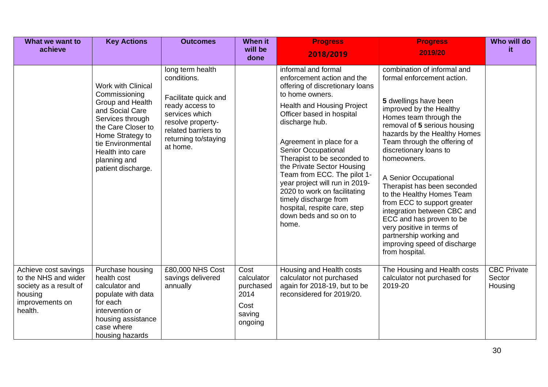| What we want to<br>achieve                                                                                      | <b>Key Actions</b>                                                                                                                                                                                                      | <b>Outcomes</b>                                                                                                                                                              | <b>When it</b><br>will be                                            | <b>Progress</b><br>2018/2019                                                                                                                                                                                                                                                                                                                                                                                                                                                                             | <b>Progress</b><br>2019/20                                                                                                                                                                                                                                                                                                                                                                                                                                                                                                                                                | Who will do<br>it.                      |
|-----------------------------------------------------------------------------------------------------------------|-------------------------------------------------------------------------------------------------------------------------------------------------------------------------------------------------------------------------|------------------------------------------------------------------------------------------------------------------------------------------------------------------------------|----------------------------------------------------------------------|----------------------------------------------------------------------------------------------------------------------------------------------------------------------------------------------------------------------------------------------------------------------------------------------------------------------------------------------------------------------------------------------------------------------------------------------------------------------------------------------------------|---------------------------------------------------------------------------------------------------------------------------------------------------------------------------------------------------------------------------------------------------------------------------------------------------------------------------------------------------------------------------------------------------------------------------------------------------------------------------------------------------------------------------------------------------------------------------|-----------------------------------------|
|                                                                                                                 | Work with Clinical<br>Commissioning<br>Group and Health<br>and Social Care<br>Services through<br>the Care Closer to<br>Home Strategy to<br>tie Environmental<br>Health into care<br>planning and<br>patient discharge. | long term health<br>conditions.<br>Facilitate quick and<br>ready access to<br>services which<br>resolve property-<br>related barriers to<br>returning to/staying<br>at home. | done                                                                 | informal and formal<br>enforcement action and the<br>offering of discretionary loans<br>to home owners.<br>Health and Housing Project<br>Officer based in hospital<br>discharge hub.<br>Agreement in place for a<br><b>Senior Occupational</b><br>Therapist to be seconded to<br>the Private Sector Housing<br>Team from ECC. The pilot 1-<br>year project will run in 2019-<br>2020 to work on facilitating<br>timely discharge from<br>hospital, respite care, step<br>down beds and so on to<br>home. | combination of informal and<br>formal enforcement action.<br>5 dwellings have been<br>improved by the Healthy<br>Homes team through the<br>removal of 5 serious housing<br>hazards by the Healthy Homes<br>Team through the offering of<br>discretionary loans to<br>homeowners.<br>A Senior Occupational<br>Therapist has been seconded<br>to the Healthy Homes Team<br>from ECC to support greater<br>integration between CBC and<br>ECC and has proven to be<br>very positive in terms of<br>partnership working and<br>improving speed of discharge<br>from hospital. |                                         |
| Achieve cost savings<br>to the NHS and wider<br>society as a result of<br>housing<br>improvements on<br>health. | Purchase housing<br>health cost<br>calculator and<br>populate with data<br>for each<br>intervention or<br>housing assistance<br>case where<br>housing hazards                                                           | £80,000 NHS Cost<br>savings delivered<br>annually                                                                                                                            | Cost<br>calculator<br>purchased<br>2014<br>Cost<br>saving<br>ongoing | Housing and Health costs<br>calculator not purchased<br>again for 2018-19, but to be<br>reconsidered for 2019/20.                                                                                                                                                                                                                                                                                                                                                                                        | The Housing and Health costs<br>calculator not purchased for<br>2019-20                                                                                                                                                                                                                                                                                                                                                                                                                                                                                                   | <b>CBC Private</b><br>Sector<br>Housing |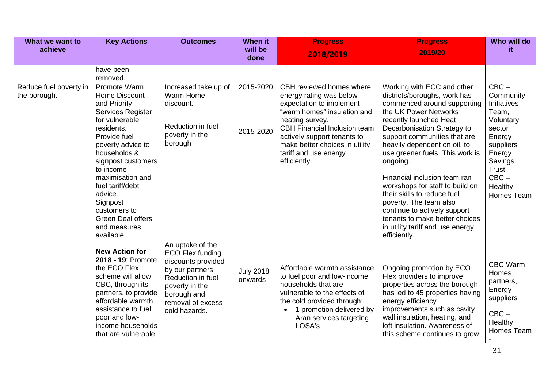| What we want to                        | <b>Key Actions</b>                                                                                                                                                                                                                                                                                                                  | <b>Outcomes</b>                                                                                                                                                                  | <b>When it</b>              | <b>Progress</b>                                                                                                                                                                                                                                                                    | <b>Progress</b>                                                                                                                                                                                                                                                                                                                                                                                                                                                                                                                              | Who will do                                                                                                                                                  |
|----------------------------------------|-------------------------------------------------------------------------------------------------------------------------------------------------------------------------------------------------------------------------------------------------------------------------------------------------------------------------------------|----------------------------------------------------------------------------------------------------------------------------------------------------------------------------------|-----------------------------|------------------------------------------------------------------------------------------------------------------------------------------------------------------------------------------------------------------------------------------------------------------------------------|----------------------------------------------------------------------------------------------------------------------------------------------------------------------------------------------------------------------------------------------------------------------------------------------------------------------------------------------------------------------------------------------------------------------------------------------------------------------------------------------------------------------------------------------|--------------------------------------------------------------------------------------------------------------------------------------------------------------|
| achieve                                |                                                                                                                                                                                                                                                                                                                                     |                                                                                                                                                                                  | will be<br>done             | 2018/2019                                                                                                                                                                                                                                                                          | 2019/20                                                                                                                                                                                                                                                                                                                                                                                                                                                                                                                                      | it.                                                                                                                                                          |
|                                        | have been<br>removed.                                                                                                                                                                                                                                                                                                               |                                                                                                                                                                                  |                             |                                                                                                                                                                                                                                                                                    |                                                                                                                                                                                                                                                                                                                                                                                                                                                                                                                                              |                                                                                                                                                              |
| Reduce fuel poverty in<br>the borough. | Promote Warm<br>Home Discount<br>and Priority<br>Services Register<br>for vulnerable<br>residents.<br>Provide fuel<br>poverty advice to<br>households &<br>signpost customers<br>to income<br>maximisation and<br>fuel tariff/debt<br>advice.<br>Signpost<br>customers to<br><b>Green Deal offers</b><br>and measures<br>available. | Increased take up of<br>Warm Home<br>discount.<br>Reduction in fuel<br>poverty in the<br>borough                                                                                 | 2015-2020<br>2015-2020      | CBH reviewed homes where<br>energy rating was below<br>expectation to implement<br>"warm homes" insulation and<br>heating survey.<br><b>CBH Financial Inclusion team</b><br>actively support tenants to<br>make better choices in utility<br>tariff and use energy<br>efficiently. | Working with ECC and other<br>districts/boroughs, work has<br>commenced around supporting<br>the UK Power Networks<br>recently launched Heat<br>Decarbonisation Strategy to<br>support communities that are<br>heavily dependent on oil, to<br>use greener fuels. This work is<br>ongoing.<br>Financial inclusion team ran<br>workshops for staff to build on<br>their skills to reduce fuel<br>poverty. The team also<br>continue to actively support<br>tenants to make better choices<br>in utility tariff and use energy<br>efficiently. | $CBC -$<br>Community<br>Initiatives<br>Team,<br>Voluntary<br>sector<br>Energy<br>suppliers<br>Energy<br>Savings<br>Trust<br>$CBC -$<br>Healthy<br>Homes Team |
|                                        | <b>New Action for</b><br>2018 - 19: Promote<br>the ECO Flex<br>scheme will allow<br>CBC, through its<br>partners, to provide<br>affordable warmth<br>assistance to fuel<br>poor and low-<br>income households<br>that are vulnerable                                                                                                | An uptake of the<br><b>ECO Flex funding</b><br>discounts provided<br>by our partners<br>Reduction in fuel<br>poverty in the<br>borough and<br>removal of excess<br>cold hazards. | <b>July 2018</b><br>onwards | Affordable warmth assistance<br>to fuel poor and low-income<br>households that are<br>vulnerable to the effects of<br>the cold provided through:<br>1 promotion delivered by<br>Aran services targeting<br>LOSA's.                                                                 | Ongoing promotion by ECO<br>Flex providers to improve<br>properties across the borough<br>has led to 45 properties having<br>energy efficiency<br>improvements such as cavity<br>wall insulation, heating, and<br>loft insulation. Awareness of<br>this scheme continues to grow                                                                                                                                                                                                                                                             | <b>CBC Warm</b><br>Homes<br>partners,<br>Energy<br>suppliers<br>$CBC -$<br>Healthy<br>Homes Team                                                             |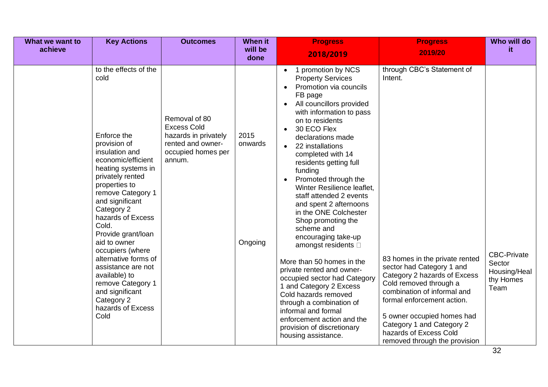| What we want to | <b>Key Actions</b>                                                                                                                                                                                                                                                                                                                                                                                                                                              | <b>Outcomes</b>                                                                                                  | When it                    | <b>Progress</b>                                                                                                                                                                                                                                                                                                                                                                                                                                                                                                                                                                                                                                                                                                                                                                                                                                      | <b>Progress</b>                                                                                                                                                                                                                                                                                                                                   | Who will do                                                             |
|-----------------|-----------------------------------------------------------------------------------------------------------------------------------------------------------------------------------------------------------------------------------------------------------------------------------------------------------------------------------------------------------------------------------------------------------------------------------------------------------------|------------------------------------------------------------------------------------------------------------------|----------------------------|------------------------------------------------------------------------------------------------------------------------------------------------------------------------------------------------------------------------------------------------------------------------------------------------------------------------------------------------------------------------------------------------------------------------------------------------------------------------------------------------------------------------------------------------------------------------------------------------------------------------------------------------------------------------------------------------------------------------------------------------------------------------------------------------------------------------------------------------------|---------------------------------------------------------------------------------------------------------------------------------------------------------------------------------------------------------------------------------------------------------------------------------------------------------------------------------------------------|-------------------------------------------------------------------------|
| achieve         |                                                                                                                                                                                                                                                                                                                                                                                                                                                                 |                                                                                                                  | will be<br>done            | 2018/2019                                                                                                                                                                                                                                                                                                                                                                                                                                                                                                                                                                                                                                                                                                                                                                                                                                            | 2019/20                                                                                                                                                                                                                                                                                                                                           | it.                                                                     |
|                 | to the effects of the<br>cold<br>Enforce the<br>provision of<br>insulation and<br>economic/efficient<br>heating systems in<br>privately rented<br>properties to<br>remove Category 1<br>and significant<br>Category 2<br>hazards of Excess<br>Cold.<br>Provide grant/loan<br>aid to owner<br>occupiers (where<br>alternative forms of<br>assistance are not<br>available) to<br>remove Category 1<br>and significant<br>Category 2<br>hazards of Excess<br>Cold | Removal of 80<br><b>Excess Cold</b><br>hazards in privately<br>rented and owner-<br>occupied homes per<br>annum. | 2015<br>onwards<br>Ongoing | 1 promotion by NCS<br>$\bullet$<br><b>Property Services</b><br>Promotion via councils<br>$\bullet$<br>FB page<br>All councillors provided<br>$\bullet$<br>with information to pass<br>on to residents<br>30 ECO Flex<br>declarations made<br>22 installations<br>$\bullet$<br>completed with 14<br>residents getting full<br>funding<br>Promoted through the<br>Winter Resilience leaflet,<br>staff attended 2 events<br>and spent 2 afternoons<br>in the ONE Colchester<br>Shop promoting the<br>scheme and<br>encouraging take-up<br>amongst residents <b>D</b><br>More than 50 homes in the<br>private rented and owner-<br>occupied sector had Category<br>1 and Category 2 Excess<br>Cold hazards removed<br>through a combination of<br>informal and formal<br>enforcement action and the<br>provision of discretionary<br>housing assistance. | through CBC's Statement of<br>Intent.<br>83 homes in the private rented<br>sector had Category 1 and<br>Category 2 hazards of Excess<br>Cold removed through a<br>combination of informal and<br>formal enforcement action.<br>5 owner occupied homes had<br>Category 1 and Category 2<br>hazards of Excess Cold<br>removed through the provision | <b>CBC-Private</b><br>Sector<br>Housing/Heal<br>thy Homes<br>Team<br>32 |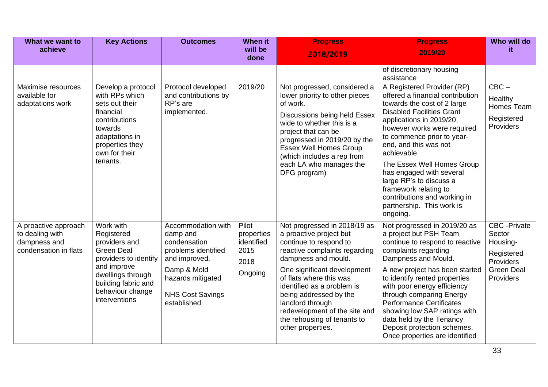| What we want to<br>achieve                                                       | <b>Key Actions</b>                                                                                                                                                                     | <b>Outcomes</b>                                                                                                                                                      | <b>When it</b><br>will be                                    | <b>Progress</b>                                                                                                                                                                                                                                                                                                                                                      | <b>Progress</b>                                                                                                                                                                                                                                                                                                                                                                                                                                           | Who will do<br>it.                                                                                      |
|----------------------------------------------------------------------------------|----------------------------------------------------------------------------------------------------------------------------------------------------------------------------------------|----------------------------------------------------------------------------------------------------------------------------------------------------------------------|--------------------------------------------------------------|----------------------------------------------------------------------------------------------------------------------------------------------------------------------------------------------------------------------------------------------------------------------------------------------------------------------------------------------------------------------|-----------------------------------------------------------------------------------------------------------------------------------------------------------------------------------------------------------------------------------------------------------------------------------------------------------------------------------------------------------------------------------------------------------------------------------------------------------|---------------------------------------------------------------------------------------------------------|
|                                                                                  |                                                                                                                                                                                        |                                                                                                                                                                      | done                                                         | 2018/2019                                                                                                                                                                                                                                                                                                                                                            | 2019/20                                                                                                                                                                                                                                                                                                                                                                                                                                                   |                                                                                                         |
|                                                                                  |                                                                                                                                                                                        |                                                                                                                                                                      |                                                              |                                                                                                                                                                                                                                                                                                                                                                      | of discretionary housing<br>assistance                                                                                                                                                                                                                                                                                                                                                                                                                    |                                                                                                         |
| Maximise resources<br>available for<br>adaptations work                          | Develop a protocol<br>with RPs which<br>sets out their<br>financial<br>contributions<br>towards<br>adaptations in<br>properties they<br>own for their<br>tenants.                      | Protocol developed<br>and contributions by<br>RP's are<br>implemented.                                                                                               | 2019/20                                                      | Not progressed, considered a<br>lower priority to other pieces<br>of work.<br>Discussions being held Essex<br>wide to whether this is a<br>project that can be<br>progressed in 2019/20 by the<br><b>Essex Well Homes Group</b><br>(which includes a rep from<br>each LA who manages the<br>DFG program)                                                             | A Registered Provider (RP)<br>offered a financial contribution<br>towards the cost of 2 large<br><b>Disabled Facilities Grant</b><br>applications in 2019/20,<br>however works were required<br>to commence prior to year-<br>end, and this was not<br>achievable.<br>The Essex Well Homes Group<br>has engaged with several<br>large RP's to discuss a<br>framework relating to<br>contributions and working in<br>partnership. This work is<br>ongoing. | $CBC -$<br>Healthy<br>Homes Team<br>Registered<br>Providers                                             |
| A proactive approach<br>to dealing with<br>dampness and<br>condensation in flats | Work with<br>Registered<br>providers and<br><b>Green Deal</b><br>providers to identify<br>and improve<br>dwellings through<br>building fabric and<br>behaviour change<br>interventions | Accommodation with<br>damp and<br>condensation<br>problems identified<br>and improved.<br>Damp & Mold<br>hazards mitigated<br><b>NHS Cost Savings</b><br>established | Pilot<br>properties<br>identified<br>2015<br>2018<br>Ongoing | Not progressed in 2018/19 as<br>a proactive project but<br>continue to respond to<br>reactive complaints regarding<br>dampness and mould.<br>One significant development<br>of flats where this was<br>identified as a problem is<br>being addressed by the<br>landlord through<br>redevelopment of the site and<br>the rehousing of tenants to<br>other properties. | Not progressed in 2019/20 as<br>a project but PSH Team<br>continue to respond to reactive<br>complaints regarding<br>Dampness and Mould.<br>A new project has been started<br>to identify rented properties<br>with poor energy efficiency<br>through comparing Energy<br><b>Performance Certificates</b><br>showing low SAP ratings with<br>data held by the Tenancy<br>Deposit protection schemes.<br>Once properties are identified                    | <b>CBC</b> - Private<br>Sector<br>Housing-<br>Registered<br>Providers<br><b>Green Deal</b><br>Providers |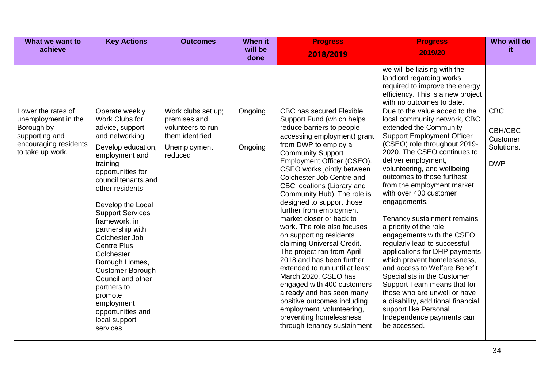| What we want to                                                                                                        | <b>Key Actions</b>                                                                                                                                                                                                                                                                                                                                                                                                                                                                        | <b>Outcomes</b>                                                                                       | <b>When it</b>     | <b>Progress</b>                                                                                                                                                                                                                                                                                                                                                                                                                                                                                                                                                                                                                                                                                                                                                                                                      | <b>Progress</b>                                                                                                                                                                                                                                                                                                                                                                                                                                                                                                                                                                                                                                                                                                                                                                                                                                                                                                                                           | Who will do                                                   |
|------------------------------------------------------------------------------------------------------------------------|-------------------------------------------------------------------------------------------------------------------------------------------------------------------------------------------------------------------------------------------------------------------------------------------------------------------------------------------------------------------------------------------------------------------------------------------------------------------------------------------|-------------------------------------------------------------------------------------------------------|--------------------|----------------------------------------------------------------------------------------------------------------------------------------------------------------------------------------------------------------------------------------------------------------------------------------------------------------------------------------------------------------------------------------------------------------------------------------------------------------------------------------------------------------------------------------------------------------------------------------------------------------------------------------------------------------------------------------------------------------------------------------------------------------------------------------------------------------------|-----------------------------------------------------------------------------------------------------------------------------------------------------------------------------------------------------------------------------------------------------------------------------------------------------------------------------------------------------------------------------------------------------------------------------------------------------------------------------------------------------------------------------------------------------------------------------------------------------------------------------------------------------------------------------------------------------------------------------------------------------------------------------------------------------------------------------------------------------------------------------------------------------------------------------------------------------------|---------------------------------------------------------------|
| achieve                                                                                                                |                                                                                                                                                                                                                                                                                                                                                                                                                                                                                           |                                                                                                       | will be<br>done    | 2018/2019                                                                                                                                                                                                                                                                                                                                                                                                                                                                                                                                                                                                                                                                                                                                                                                                            | 2019/20                                                                                                                                                                                                                                                                                                                                                                                                                                                                                                                                                                                                                                                                                                                                                                                                                                                                                                                                                   | it.                                                           |
| Lower the rates of<br>unemployment in the<br>Borough by<br>supporting and<br>encouraging residents<br>to take up work. | Operate weekly<br>Work Clubs for<br>advice, support<br>and networking<br>Develop education,<br>employment and<br>training<br>opportunities for<br>council tenants and<br>other residents<br>Develop the Local<br><b>Support Services</b><br>framework, in<br>partnership with<br>Colchester Job<br>Centre Plus,<br>Colchester<br>Borough Homes,<br><b>Customer Borough</b><br>Council and other<br>partners to<br>promote<br>employment<br>opportunities and<br>local support<br>services | Work clubs set up;<br>premises and<br>volunteers to run<br>them identified<br>Unemployment<br>reduced | Ongoing<br>Ongoing | <b>CBC has secured Flexible</b><br>Support Fund (which helps<br>reduce barriers to people<br>accessing employment) grant<br>from DWP to employ a<br><b>Community Support</b><br>Employment Officer (CSEO).<br>CSEO works jointly between<br>Colchester Job Centre and<br>CBC locations (Library and<br>Community Hub). The role is<br>designed to support those<br>further from employment<br>market closer or back to<br>work. The role also focuses<br>on supporting residents<br>claiming Universal Credit.<br>The project ran from April<br>2018 and has been further<br>extended to run until at least<br>March 2020. CSEO has<br>engaged with 400 customers<br>already and has seen many<br>positive outcomes including<br>employment, volunteering,<br>preventing homelessness<br>through tenancy sustainment | we will be liaising with the<br>landlord regarding works<br>required to improve the energy<br>efficiency. This is a new project<br>with no outcomes to date.<br>Due to the value added to the<br>local community network, CBC<br>extended the Community<br><b>Support Employment Officer</b><br>(CSEO) role throughout 2019-<br>2020. The CSEO continues to<br>deliver employment,<br>volunteering, and wellbeing<br>outcomes to those furthest<br>from the employment market<br>with over 400 customer<br>engagements.<br>Tenancy sustainment remains<br>a priority of the role:<br>engagements with the CSEO<br>regularly lead to successful<br>applications for DHP payments<br>which prevent homelessness,<br>and access to Welfare Benefit<br>Specialists in the Customer<br>Support Team means that for<br>those who are unwell or have<br>a disability, additional financial<br>support like Personal<br>Independence payments can<br>be accessed. | <b>CBC</b><br>CBH/CBC<br>Customer<br>Solutions.<br><b>DWP</b> |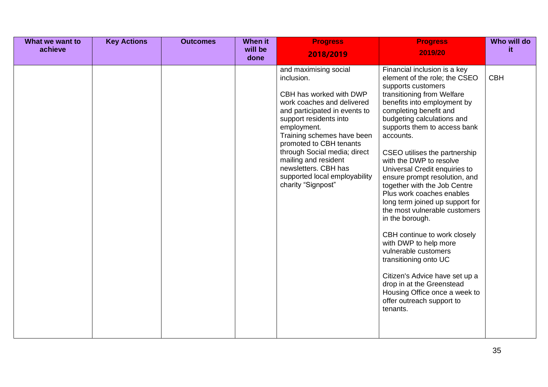| What we want to<br>achieve | <b>Key Actions</b> | <b>Outcomes</b> | When it<br>will be<br>done | <b>Progress</b><br>2018/2019                                                                                                                                                                                                                                                                                                                                           | <b>Progress</b><br>2019/20                                                                                                                                                                                                                                                                                                                                                                                                                                                                                                                                                                                                                                                                                                                                                                 | Who will do<br>it |
|----------------------------|--------------------|-----------------|----------------------------|------------------------------------------------------------------------------------------------------------------------------------------------------------------------------------------------------------------------------------------------------------------------------------------------------------------------------------------------------------------------|--------------------------------------------------------------------------------------------------------------------------------------------------------------------------------------------------------------------------------------------------------------------------------------------------------------------------------------------------------------------------------------------------------------------------------------------------------------------------------------------------------------------------------------------------------------------------------------------------------------------------------------------------------------------------------------------------------------------------------------------------------------------------------------------|-------------------|
|                            |                    |                 |                            | and maximising social<br>inclusion.<br>CBH has worked with DWP<br>work coaches and delivered<br>and participated in events to<br>support residents into<br>employment.<br>Training schemes have been<br>promoted to CBH tenants<br>through Social media; direct<br>mailing and resident<br>newsletters. CBH has<br>supported local employability<br>charity "Signpost" | Financial inclusion is a key<br>element of the role; the CSEO<br>supports customers<br>transitioning from Welfare<br>benefits into employment by<br>completing benefit and<br>budgeting calculations and<br>supports them to access bank<br>accounts.<br>CSEO utilises the partnership<br>with the DWP to resolve<br>Universal Credit enquiries to<br>ensure prompt resolution, and<br>together with the Job Centre<br>Plus work coaches enables<br>long term joined up support for<br>the most vulnerable customers<br>in the borough.<br>CBH continue to work closely<br>with DWP to help more<br>vulnerable customers<br>transitioning onto UC<br>Citizen's Advice have set up a<br>drop in at the Greenstead<br>Housing Office once a week to<br>offer outreach support to<br>tenants. | <b>CBH</b>        |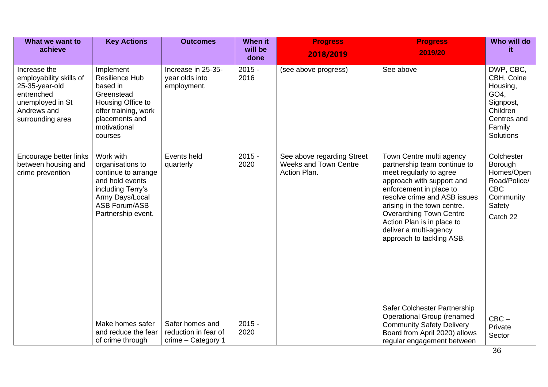| What we want to<br>achieve                                                                                                     | <b>Key Actions</b>                                                                                                                                            | <b>Outcomes</b>                                               | When it<br>will be | <b>Progress</b>                                                            | <b>Progress</b><br>2019/20                                                                                                                                                                                                                                                                                                        | Who will do<br>it.                                                                                         |
|--------------------------------------------------------------------------------------------------------------------------------|---------------------------------------------------------------------------------------------------------------------------------------------------------------|---------------------------------------------------------------|--------------------|----------------------------------------------------------------------------|-----------------------------------------------------------------------------------------------------------------------------------------------------------------------------------------------------------------------------------------------------------------------------------------------------------------------------------|------------------------------------------------------------------------------------------------------------|
|                                                                                                                                |                                                                                                                                                               |                                                               | done               | 2018/2019                                                                  |                                                                                                                                                                                                                                                                                                                                   |                                                                                                            |
| Increase the<br>employability skills of<br>25-35-year-old<br>entrenched<br>unemployed in St<br>Andrews and<br>surrounding area | Implement<br><b>Resilience Hub</b><br>based in<br>Greenstead<br>Housing Office to<br>offer training, work<br>placements and<br>motivational<br>courses        | Increase in 25-35-<br>year olds into<br>employment.           | $2015 -$<br>2016   | (see above progress)                                                       | See above                                                                                                                                                                                                                                                                                                                         | DWP, CBC,<br>CBH, Colne<br>Housing,<br>GO4,<br>Signpost,<br>Children<br>Centres and<br>Family<br>Solutions |
| Encourage better links<br>between housing and<br>crime prevention                                                              | Work with<br>organisations to<br>continue to arrange<br>and hold events<br>including Terry's<br>Army Days/Local<br><b>ASB Forum/ASB</b><br>Partnership event. | Events held<br>quarterly                                      | $2015 -$<br>2020   | See above regarding Street<br><b>Weeks and Town Centre</b><br>Action Plan. | Town Centre multi agency<br>partnership team continue to<br>meet regularly to agree<br>approach with support and<br>enforcement in place to<br>resolve crime and ASB issues<br>arising in the town centre.<br><b>Overarching Town Centre</b><br>Action Plan is in place to<br>deliver a multi-agency<br>approach to tackling ASB. | Colchester<br>Borough<br>Homes/Open<br>Road/Police/<br><b>CBC</b><br>Community<br>Safety<br>Catch 22       |
|                                                                                                                                | Make homes safer<br>and reduce the fear<br>of crime through                                                                                                   | Safer homes and<br>reduction in fear of<br>crime - Category 1 | $2015 -$<br>2020   |                                                                            | Safer Colchester Partnership<br><b>Operational Group (renamed</b><br><b>Community Safety Delivery</b><br>Board from April 2020) allows<br>regular engagement between                                                                                                                                                              | $CBC -$<br>Private<br>Sector                                                                               |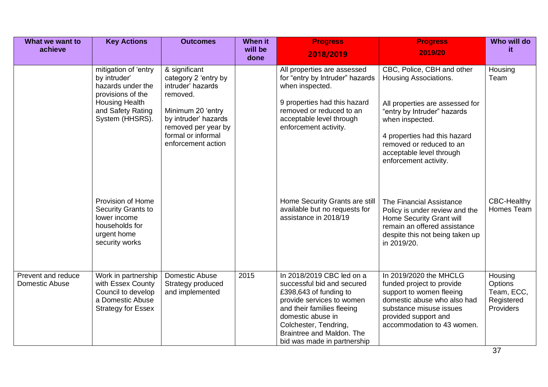| What we want to<br>achieve           | <b>Key Actions</b>                                                                                                                              | <b>Outcomes</b>                                                                                                                                                                        | When it<br>will be<br>done | <b>Progress</b><br>2018/2019                                                                                                                                                                                                                           | <b>Progress</b><br>2019/20                                                                                                                                                                                                                                | Who will do<br>it                                                  |
|--------------------------------------|-------------------------------------------------------------------------------------------------------------------------------------------------|----------------------------------------------------------------------------------------------------------------------------------------------------------------------------------------|----------------------------|--------------------------------------------------------------------------------------------------------------------------------------------------------------------------------------------------------------------------------------------------------|-----------------------------------------------------------------------------------------------------------------------------------------------------------------------------------------------------------------------------------------------------------|--------------------------------------------------------------------|
|                                      | mitigation of 'entry<br>by intruder'<br>hazards under the<br>provisions of the<br><b>Housing Health</b><br>and Safety Rating<br>System (HHSRS). | & significant<br>category 2 'entry by<br>intruder' hazards<br>removed.<br>Minimum 20 'entry<br>by intruder' hazards<br>removed per year by<br>formal or informal<br>enforcement action |                            | All properties are assessed<br>for "entry by Intruder" hazards<br>when inspected.<br>9 properties had this hazard<br>removed or reduced to an<br>acceptable level through<br>enforcement activity.                                                     | CBC, Police, CBH and other<br>Housing Associations.<br>All properties are assessed for<br>"entry by Intruder" hazards<br>when inspected.<br>4 properties had this hazard<br>removed or reduced to an<br>acceptable level through<br>enforcement activity. | Housing<br>Team                                                    |
|                                      | Provision of Home<br>Security Grants to<br>lower income<br>households for<br>urgent home<br>security works                                      |                                                                                                                                                                                        |                            | Home Security Grants are still<br>available but no requests for<br>assistance in 2018/19                                                                                                                                                               | The Financial Assistance<br>Policy is under review and the<br>Home Security Grant will<br>remain an offered assistance<br>despite this not being taken up<br>in 2019/20.                                                                                  | <b>CBC-Healthy</b><br>Homes Team                                   |
| Prevent and reduce<br>Domestic Abuse | Work in partnership<br>with Essex County<br>Council to develop<br>a Domestic Abuse<br><b>Strategy for Essex</b>                                 | Domestic Abuse<br>Strategy produced<br>and implemented                                                                                                                                 | 2015                       | In 2018/2019 CBC led on a<br>successful bid and secured<br>£398,643 of funding to<br>provide services to women<br>and their families fleeing<br>domestic abuse in<br>Colchester, Tendring,<br>Braintree and Maldon. The<br>bid was made in partnership | In 2019/2020 the MHCLG<br>funded project to provide<br>support to women fleeing<br>domestic abuse who also had<br>substance misuse issues<br>provided support and<br>accommodation to 43 women.                                                           | Housing<br>Options<br>Team, ECC,<br>Registered<br><b>Providers</b> |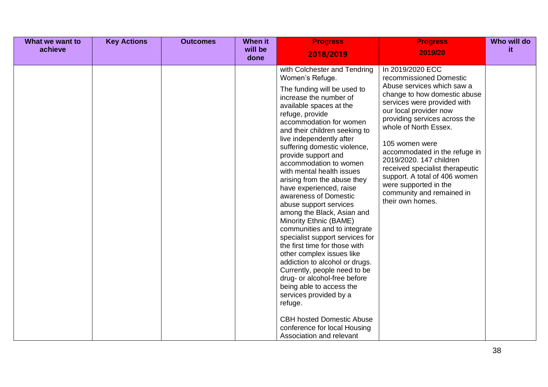| What we want to<br>achieve | <b>Key Actions</b> | <b>Outcomes</b> | When it<br>will be<br>done | <b>Progress</b><br>2018/2019                                                                                                                                                                                                                                                                                                                                                                                                                                                                                                                                                                                                                                                                                                                                                                                                                                                                                                          | <b>Progress</b><br>2019/20                                                                                                                                                                                                                                                                                                                                                                                                                               | Who will do<br>it. |
|----------------------------|--------------------|-----------------|----------------------------|---------------------------------------------------------------------------------------------------------------------------------------------------------------------------------------------------------------------------------------------------------------------------------------------------------------------------------------------------------------------------------------------------------------------------------------------------------------------------------------------------------------------------------------------------------------------------------------------------------------------------------------------------------------------------------------------------------------------------------------------------------------------------------------------------------------------------------------------------------------------------------------------------------------------------------------|----------------------------------------------------------------------------------------------------------------------------------------------------------------------------------------------------------------------------------------------------------------------------------------------------------------------------------------------------------------------------------------------------------------------------------------------------------|--------------------|
|                            |                    |                 |                            | with Colchester and Tendring<br>Women's Refuge.<br>The funding will be used to<br>increase the number of<br>available spaces at the<br>refuge, provide<br>accommodation for women<br>and their children seeking to<br>live independently after<br>suffering domestic violence,<br>provide support and<br>accommodation to women<br>with mental health issues<br>arising from the abuse they<br>have experienced, raise<br>awareness of Domestic<br>abuse support services<br>among the Black, Asian and<br>Minority Ethnic (BAME)<br>communities and to integrate<br>specialist support services for<br>the first time for those with<br>other complex issues like<br>addiction to alcohol or drugs.<br>Currently, people need to be<br>drug- or alcohol-free before<br>being able to access the<br>services provided by a<br>refuge.<br><b>CBH hosted Domestic Abuse</b><br>conference for local Housing<br>Association and relevant | In 2019/2020 ECC<br>recommissioned Domestic<br>Abuse services which saw a<br>change to how domestic abuse<br>services were provided with<br>our local provider now<br>providing services across the<br>whole of North Essex.<br>105 women were<br>accommodated in the refuge in<br>2019/2020. 147 children<br>received specialist therapeutic<br>support. A total of 406 women<br>were supported in the<br>community and remained in<br>their own homes. |                    |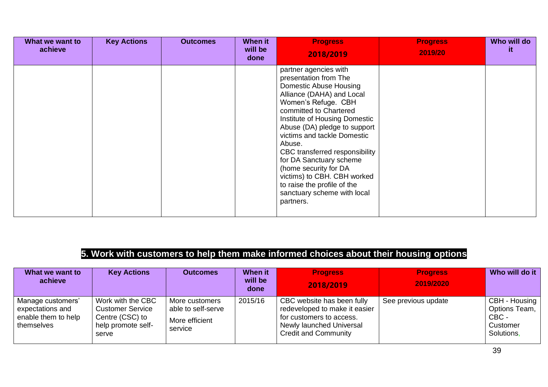| What we want to<br>achieve | <b>Key Actions</b> | <b>Outcomes</b> | When it<br>will be<br>done | <b>Progress</b><br>2018/2019                                                                                                                                                                                                                                                                                                                                                                                                                                            | <b>Progress</b><br>2019/20 | Who will do<br>it. |
|----------------------------|--------------------|-----------------|----------------------------|-------------------------------------------------------------------------------------------------------------------------------------------------------------------------------------------------------------------------------------------------------------------------------------------------------------------------------------------------------------------------------------------------------------------------------------------------------------------------|----------------------------|--------------------|
|                            |                    |                 |                            | partner agencies with<br>presentation from The<br><b>Domestic Abuse Housing</b><br>Alliance (DAHA) and Local<br>Women's Refuge. CBH<br>committed to Chartered<br>Institute of Housing Domestic<br>Abuse (DA) pledge to support<br>victims and tackle Domestic<br>Abuse.<br>CBC transferred responsibility<br>for DA Sanctuary scheme<br>(home security for DA<br>victims) to CBH. CBH worked<br>to raise the profile of the<br>sanctuary scheme with local<br>partners. |                            |                    |

## **5. Work with customers to help them make informed choices about their housing options**

| What we want to<br>achieve                                                 | <b>Key Actions</b>                                                                             | <b>Outcomes</b>                                                   | When it<br>will be<br>done | <b>Progress</b><br>2018/2019                                                                                                                       | <b>Progress</b><br>2019/2020 | Who will do it                                                    |
|----------------------------------------------------------------------------|------------------------------------------------------------------------------------------------|-------------------------------------------------------------------|----------------------------|----------------------------------------------------------------------------------------------------------------------------------------------------|------------------------------|-------------------------------------------------------------------|
| Manage customers'<br>expectations and<br>enable them to help<br>themselves | Work with the CBC<br><b>Customer Service</b><br>Centre (CSC) to<br>help promote self-<br>serve | More customers<br>able to self-serve<br>More efficient<br>service | 2015/16                    | CBC website has been fully<br>redeveloped to make it easier<br>for customers to access.<br>Newly launched Universal<br><b>Credit and Community</b> | See previous update          | CBH - Housing<br>Options Team,<br>CBC -<br>Customer<br>Solutions, |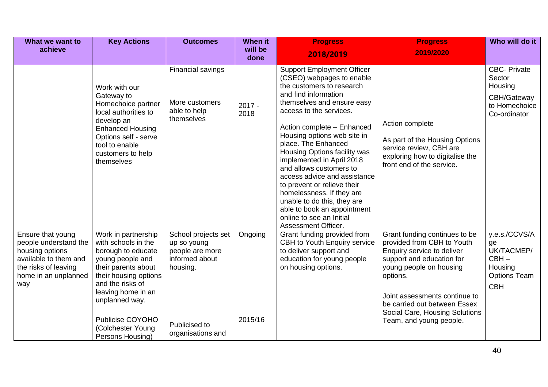| What we want to<br>achieve                                                                                                                    | <b>Key Actions</b>                                                                                                                                                                                                                                            | <b>Outcomes</b>                                                                                                           | <b>When it</b><br>will be<br>done | <b>Progress</b><br>2018/2019                                                                                                                                                                                                                                                                                                                                                                                                                                                                                                                                          | <b>Progress</b><br>2019/2020                                                                                                                                                                                                                                                                | Who will do it                                                                               |
|-----------------------------------------------------------------------------------------------------------------------------------------------|---------------------------------------------------------------------------------------------------------------------------------------------------------------------------------------------------------------------------------------------------------------|---------------------------------------------------------------------------------------------------------------------------|-----------------------------------|-----------------------------------------------------------------------------------------------------------------------------------------------------------------------------------------------------------------------------------------------------------------------------------------------------------------------------------------------------------------------------------------------------------------------------------------------------------------------------------------------------------------------------------------------------------------------|---------------------------------------------------------------------------------------------------------------------------------------------------------------------------------------------------------------------------------------------------------------------------------------------|----------------------------------------------------------------------------------------------|
|                                                                                                                                               | Work with our<br>Gateway to<br>Homechoice partner<br>local authorities to<br>develop an<br><b>Enhanced Housing</b><br>Options self - serve<br>tool to enable<br>customers to help<br>themselves                                                               | Financial savings<br>More customers<br>able to help<br>themselves                                                         | $2017 -$<br>2018                  | <b>Support Employment Officer</b><br>(CSEO) webpages to enable<br>the customers to research<br>and find information<br>themselves and ensure easy<br>access to the services.<br>Action complete - Enhanced<br>Housing options web site in<br>place. The Enhanced<br>Housing Options facility was<br>implemented in April 2018<br>and allows customers to<br>access advice and assistance<br>to prevent or relieve their<br>homelessness. If they are<br>unable to do this, they are<br>able to book an appointment<br>online to see an Initial<br>Assessment Officer. | Action complete<br>As part of the Housing Options<br>service review, CBH are<br>exploring how to digitalise the<br>front end of the service.                                                                                                                                                | <b>CBC-Private</b><br>Sector<br>Housing<br>CBH/Gateway<br>to Homechoice<br>Co-ordinator      |
| Ensure that young<br>people understand the<br>housing options<br>available to them and<br>the risks of leaving<br>home in an unplanned<br>way | Work in partnership<br>with schools in the<br>borough to educate<br>young people and<br>their parents about<br>their housing options<br>and the risks of<br>leaving home in an<br>unplanned way.<br>Publicise COYOHO<br>(Colchester Young<br>Persons Housing) | School projects set<br>up so young<br>people are more<br>informed about<br>housing.<br>Publicised to<br>organisations and | Ongoing<br>2015/16                | Grant funding provided from<br>CBH to Youth Enquiry service<br>to deliver support and<br>education for young people<br>on housing options.                                                                                                                                                                                                                                                                                                                                                                                                                            | Grant funding continues to be<br>provided from CBH to Youth<br>Enquiry service to deliver<br>support and education for<br>young people on housing<br>options.<br>Joint assessments continue to<br>be carried out between Essex<br>Social Care, Housing Solutions<br>Team, and young people. | y.e.s./CCVS/A<br>ge<br>UK/TACMEP/<br>$CBH -$<br>Housing<br><b>Options Team</b><br><b>CBH</b> |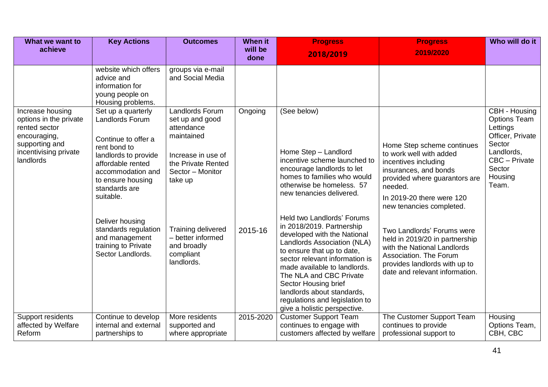| What we want to<br>achieve                                                                                                          | <b>Key Actions</b>                                                                                                                                                                                | <b>Outcomes</b>                                                                                                                                  | <b>When it</b><br>will be | <b>Progress</b>                                                                                                                                                                                                                                                                                                                                                          | <b>Progress</b>                                                                                                                                                                                             | Who will do it                                                                                                                              |
|-------------------------------------------------------------------------------------------------------------------------------------|---------------------------------------------------------------------------------------------------------------------------------------------------------------------------------------------------|--------------------------------------------------------------------------------------------------------------------------------------------------|---------------------------|--------------------------------------------------------------------------------------------------------------------------------------------------------------------------------------------------------------------------------------------------------------------------------------------------------------------------------------------------------------------------|-------------------------------------------------------------------------------------------------------------------------------------------------------------------------------------------------------------|---------------------------------------------------------------------------------------------------------------------------------------------|
|                                                                                                                                     |                                                                                                                                                                                                   |                                                                                                                                                  | done                      | 2018/2019                                                                                                                                                                                                                                                                                                                                                                | 2019/2020                                                                                                                                                                                                   |                                                                                                                                             |
|                                                                                                                                     | website which offers<br>advice and<br>information for<br>young people on<br>Housing problems.                                                                                                     | groups via e-mail<br>and Social Media                                                                                                            |                           |                                                                                                                                                                                                                                                                                                                                                                          |                                                                                                                                                                                                             |                                                                                                                                             |
| Increase housing<br>options in the private<br>rented sector<br>encouraging,<br>supporting and<br>incentivising private<br>landlords | Set up a quarterly<br>Landlords Forum<br>Continue to offer a<br>rent bond to<br>landlords to provide<br>affordable rented<br>accommodation and<br>to ensure housing<br>standards are<br>suitable. | <b>Landlords Forum</b><br>set up and good<br>attendance<br>maintained<br>Increase in use of<br>the Private Rented<br>Sector - Monitor<br>take up | Ongoing                   | (See below)<br>Home Step - Landlord<br>incentive scheme launched to<br>encourage landlords to let<br>homes to families who would<br>otherwise be homeless. 57<br>new tenancies delivered.                                                                                                                                                                                | Home Step scheme continues<br>to work well with added<br>incentives including<br>insurances, and bonds<br>provided where guarantors are<br>needed.<br>In 2019-20 there were 120<br>new tenancies completed. | CBH - Housing<br><b>Options Team</b><br>Lettings<br>Officer, Private<br>Sector<br>Landlords,<br>CBC - Private<br>Sector<br>Housing<br>Team. |
|                                                                                                                                     | Deliver housing<br>standards regulation<br>and management<br>training to Private<br>Sector Landlords.                                                                                             | Training delivered<br>- better informed<br>and broadly<br>compliant<br>landlords.                                                                | 2015-16                   | Held two Landlords' Forums<br>in 2018/2019. Partnership<br>developed with the National<br>Landlords Association (NLA)<br>to ensure that up to date,<br>sector relevant information is<br>made available to landlords.<br>The NLA and CBC Private<br>Sector Housing brief<br>landlords about standards,<br>regulations and legislation to<br>give a holistic perspective. | Two Landlords' Forums were<br>held in 2019/20 in partnership<br>with the National Landlords<br>Association. The Forum<br>provides landlords with up to<br>date and relevant information.                    |                                                                                                                                             |
| Support residents<br>affected by Welfare<br>Reform                                                                                  | Continue to develop<br>internal and external<br>partnerships to                                                                                                                                   | More residents<br>supported and<br>where appropriate                                                                                             | 2015-2020                 | <b>Customer Support Team</b><br>continues to engage with<br>customers affected by welfare                                                                                                                                                                                                                                                                                | The Customer Support Team<br>continues to provide<br>professional support to                                                                                                                                | Housing<br>Options Team,<br>CBH, CBC                                                                                                        |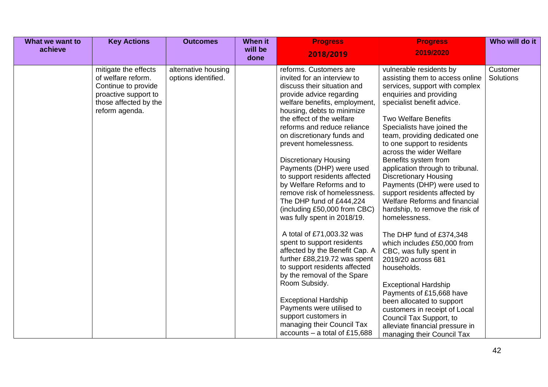| What we want to<br>achieve | <b>Key Actions</b>                                                                                                                   | <b>Outcomes</b>                            | <b>When it</b><br>will be<br>done | <b>Progress</b><br>2018/2019                                                                                                                                                                                                                                                                                                                                                                                                                                                                                                                                                                                                                                                                                                                                                                                                                                                                                               | <b>Progress</b><br>2019/2020                                                                                                                                                                                                                                                                                                                                                                                                                                                                                                                                                                                                                                                                                                                                                                                                                                                                                            | Who will do it        |
|----------------------------|--------------------------------------------------------------------------------------------------------------------------------------|--------------------------------------------|-----------------------------------|----------------------------------------------------------------------------------------------------------------------------------------------------------------------------------------------------------------------------------------------------------------------------------------------------------------------------------------------------------------------------------------------------------------------------------------------------------------------------------------------------------------------------------------------------------------------------------------------------------------------------------------------------------------------------------------------------------------------------------------------------------------------------------------------------------------------------------------------------------------------------------------------------------------------------|-------------------------------------------------------------------------------------------------------------------------------------------------------------------------------------------------------------------------------------------------------------------------------------------------------------------------------------------------------------------------------------------------------------------------------------------------------------------------------------------------------------------------------------------------------------------------------------------------------------------------------------------------------------------------------------------------------------------------------------------------------------------------------------------------------------------------------------------------------------------------------------------------------------------------|-----------------------|
|                            | mitigate the effects<br>of welfare reform.<br>Continue to provide<br>proactive support to<br>those affected by the<br>reform agenda. | alternative housing<br>options identified. |                                   | reforms. Customers are<br>invited for an interview to<br>discuss their situation and<br>provide advice regarding<br>welfare benefits, employment,<br>housing, debts to minimize<br>the effect of the welfare<br>reforms and reduce reliance<br>on discretionary funds and<br>prevent homelessness.<br><b>Discretionary Housing</b><br>Payments (DHP) were used<br>to support residents affected<br>by Welfare Reforms and to<br>remove risk of homelessness.<br>The DHP fund of £444,224<br>(including £50,000 from CBC)<br>was fully spent in 2018/19.<br>A total of £71,003.32 was<br>spent to support residents<br>affected by the Benefit Cap. A<br>further £88,219.72 was spent<br>to support residents affected<br>by the removal of the Spare<br>Room Subsidy.<br><b>Exceptional Hardship</b><br>Payments were utilised to<br>support customers in<br>managing their Council Tax<br>$accounts - a total of £15,688$ | vulnerable residents by<br>assisting them to access online<br>services, support with complex<br>enquiries and providing<br>specialist benefit advice.<br><b>Two Welfare Benefits</b><br>Specialists have joined the<br>team, providing dedicated one<br>to one support to residents<br>across the wider Welfare<br>Benefits system from<br>application through to tribunal.<br><b>Discretionary Housing</b><br>Payments (DHP) were used to<br>support residents affected by<br><b>Welfare Reforms and financial</b><br>hardship, to remove the risk of<br>homelessness.<br>The DHP fund of £374,348<br>which includes £50,000 from<br>CBC, was fully spent in<br>2019/20 across 681<br>households.<br><b>Exceptional Hardship</b><br>Payments of £15,668 have<br>been allocated to support<br>customers in receipt of Local<br>Council Tax Support, to<br>alleviate financial pressure in<br>managing their Council Tax | Customer<br>Solutions |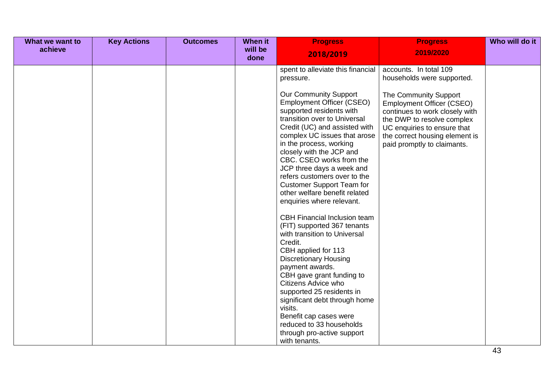| What we want to | <b>Key Actions</b> | <b>Outcomes</b> | When it         | <b>Progress</b>                                                                                                                                                                                                                                                                                                                                                                                                                                                                                                                                                                                                                                                                                                                                                                                                               | <b>Progress</b>                                                                                                                                                                                                           | Who will do it |
|-----------------|--------------------|-----------------|-----------------|-------------------------------------------------------------------------------------------------------------------------------------------------------------------------------------------------------------------------------------------------------------------------------------------------------------------------------------------------------------------------------------------------------------------------------------------------------------------------------------------------------------------------------------------------------------------------------------------------------------------------------------------------------------------------------------------------------------------------------------------------------------------------------------------------------------------------------|---------------------------------------------------------------------------------------------------------------------------------------------------------------------------------------------------------------------------|----------------|
| achieve         |                    |                 | will be<br>done | 2018/2019                                                                                                                                                                                                                                                                                                                                                                                                                                                                                                                                                                                                                                                                                                                                                                                                                     | 2019/2020                                                                                                                                                                                                                 |                |
|                 |                    |                 |                 | spent to alleviate this financial<br>pressure.                                                                                                                                                                                                                                                                                                                                                                                                                                                                                                                                                                                                                                                                                                                                                                                | accounts. In total 109<br>households were supported.                                                                                                                                                                      |                |
|                 |                    |                 |                 | <b>Our Community Support</b><br><b>Employment Officer (CSEO)</b><br>supported residents with<br>transition over to Universal<br>Credit (UC) and assisted with<br>complex UC issues that arose<br>in the process, working<br>closely with the JCP and<br>CBC. CSEO works from the<br>JCP three days a week and<br>refers customers over to the<br><b>Customer Support Team for</b><br>other welfare benefit related<br>enquiries where relevant.<br><b>CBH Financial Inclusion team</b><br>(FIT) supported 367 tenants<br>with transition to Universal<br>Credit.<br>CBH applied for 113<br><b>Discretionary Housing</b><br>payment awards.<br>CBH gave grant funding to<br>Citizens Advice who<br>supported 25 residents in<br>significant debt through home<br>visits.<br>Benefit cap cases were<br>reduced to 33 households | The Community Support<br><b>Employment Officer (CSEO)</b><br>continues to work closely with<br>the DWP to resolve complex<br>UC enquiries to ensure that<br>the correct housing element is<br>paid promptly to claimants. |                |
|                 |                    |                 |                 | through pro-active support<br>with tenants.                                                                                                                                                                                                                                                                                                                                                                                                                                                                                                                                                                                                                                                                                                                                                                                   |                                                                                                                                                                                                                           |                |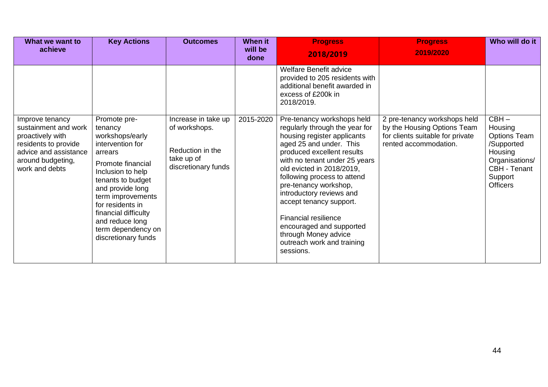| What we want to<br>achieve                                                                                                                          | <b>Key Actions</b>                                                                                                                                                                                                                                                                            | <b>Outcomes</b>                                                                               | When it<br>will be<br>done | <b>Progress</b><br>2018/2019                                                                                                                                                                                                                                                                                                                                                                                                                                    | <b>Progress</b><br>2019/2020                                                                                             | Who will do it                                                                                                                     |
|-----------------------------------------------------------------------------------------------------------------------------------------------------|-----------------------------------------------------------------------------------------------------------------------------------------------------------------------------------------------------------------------------------------------------------------------------------------------|-----------------------------------------------------------------------------------------------|----------------------------|-----------------------------------------------------------------------------------------------------------------------------------------------------------------------------------------------------------------------------------------------------------------------------------------------------------------------------------------------------------------------------------------------------------------------------------------------------------------|--------------------------------------------------------------------------------------------------------------------------|------------------------------------------------------------------------------------------------------------------------------------|
|                                                                                                                                                     |                                                                                                                                                                                                                                                                                               |                                                                                               |                            | <b>Welfare Benefit advice</b><br>provided to 205 residents with<br>additional benefit awarded in<br>excess of £200k in<br>2018/2019.                                                                                                                                                                                                                                                                                                                            |                                                                                                                          |                                                                                                                                    |
| Improve tenancy<br>sustainment and work<br>proactively with<br>residents to provide<br>advice and assistance<br>around budgeting,<br>work and debts | Promote pre-<br>tenancy<br>workshops/early<br>intervention for<br>arrears<br>Promote financial<br>Inclusion to help<br>tenants to budget<br>and provide long<br>term improvements<br>for residents in<br>financial difficulty<br>and reduce long<br>term dependency on<br>discretionary funds | Increase in take up<br>of workshops.<br>Reduction in the<br>take up of<br>discretionary funds | 2015-2020                  | Pre-tenancy workshops held<br>regularly through the year for<br>housing register applicants<br>aged 25 and under. This<br>produced excellent results<br>with no tenant under 25 years<br>old evicted in 2018/2019,<br>following process to attend<br>pre-tenancy workshop,<br>introductory reviews and<br>accept tenancy support.<br><b>Financial resilience</b><br>encouraged and supported<br>through Money advice<br>outreach work and training<br>sessions. | 2 pre-tenancy workshops held<br>by the Housing Options Team<br>for clients suitable for private<br>rented accommodation. | $CBH -$<br>Housing<br><b>Options Team</b><br>/Supported<br>Housing<br>Organisations/<br>CBH - Tenant<br>Support<br><b>Officers</b> |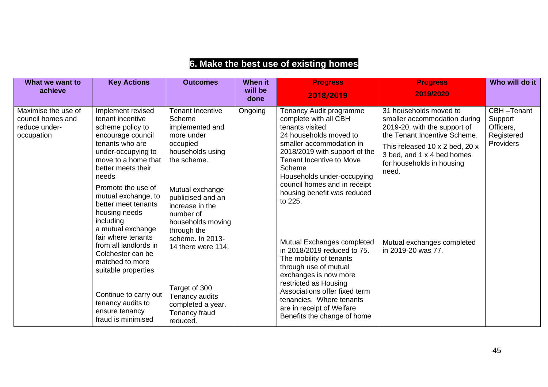| What we want to<br>achieve                                              | <b>Key Actions</b>                                                                                                                                                                                                                                                                                                                                                                                                                                               | <b>Outcomes</b>                                                                                                                                                                                                                                                                                                                 | <b>When it</b><br>will be<br>done                        | <b>Progress</b><br>2018/2019                                                                                                                                                                                                                                                                                                                                                                                                                                                                                                                     | <b>Progress</b><br>2019/2020                                                                                                                                                                                                                                                     | Who will do it                                                |
|-------------------------------------------------------------------------|------------------------------------------------------------------------------------------------------------------------------------------------------------------------------------------------------------------------------------------------------------------------------------------------------------------------------------------------------------------------------------------------------------------------------------------------------------------|---------------------------------------------------------------------------------------------------------------------------------------------------------------------------------------------------------------------------------------------------------------------------------------------------------------------------------|----------------------------------------------------------|--------------------------------------------------------------------------------------------------------------------------------------------------------------------------------------------------------------------------------------------------------------------------------------------------------------------------------------------------------------------------------------------------------------------------------------------------------------------------------------------------------------------------------------------------|----------------------------------------------------------------------------------------------------------------------------------------------------------------------------------------------------------------------------------------------------------------------------------|---------------------------------------------------------------|
| Maximise the use of<br>council homes and<br>reduce under-<br>occupation | Implement revised<br>tenant incentive<br>scheme policy to<br>encourage council<br>tenants who are<br>under-occupying to<br>move to a home that<br>better meets their<br>needs<br>Promote the use of<br>mutual exchange, to<br>better meet tenants<br>housing needs<br>including<br>a mutual exchange<br>fair where tenants<br>from all landlords in<br>Colchester can be<br>matched to more<br>suitable properties<br>Continue to carry out<br>tenancy audits to | <b>Tenant Incentive</b><br>Scheme<br>implemented and<br>more under<br>occupied<br>households using<br>the scheme.<br>Mutual exchange<br>publicised and an<br>increase in the<br>number of<br>households moving<br>through the<br>scheme. In 2013-<br>14 there were 114.<br>Target of 300<br>Tenancy audits<br>completed a year. | Ongoing                                                  | Tenancy Audit programme<br>complete with all CBH<br>tenants visited.<br>24 households moved to<br>smaller accommodation in<br>2018/2019 with support of the<br><b>Tenant Incentive to Move</b><br>Scheme<br>Households under-occupying<br>council homes and in receipt<br>housing benefit was reduced<br>to 225.<br>Mutual Exchanges completed<br>in 2018/2019 reduced to 75.<br>The mobility of tenants<br>through use of mutual<br>exchanges is now more<br>restricted as Housing<br>Associations offer fixed term<br>tenancies. Where tenants | 31 households moved to<br>smaller accommodation during<br>2019-20, with the support of<br>the Tenant Incentive Scheme.<br>This released 10 x 2 bed, 20 x<br>3 bed, and 1 x 4 bed homes<br>for households in housing<br>need.<br>Mutual exchanges completed<br>in 2019-20 was 77. | CBH-Tenant<br>Support<br>Officers,<br>Registered<br>Providers |
|                                                                         | ensure tenancy<br><b>Tenancy fraud</b><br>fraud is minimised<br>reduced.                                                                                                                                                                                                                                                                                                                                                                                         |                                                                                                                                                                                                                                                                                                                                 | are in receipt of Welfare<br>Benefits the change of home |                                                                                                                                                                                                                                                                                                                                                                                                                                                                                                                                                  |                                                                                                                                                                                                                                                                                  |                                                               |

## **6. Make the best use of existing homes**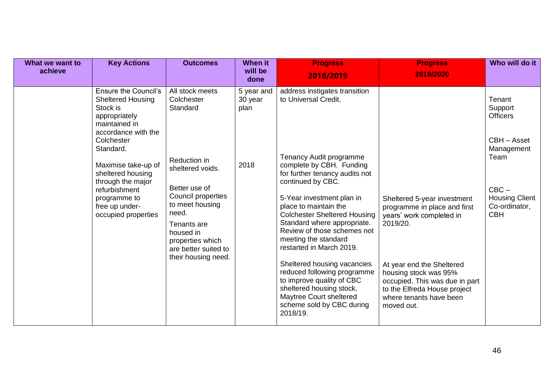| What we want to<br>achieve | <b>Key Actions</b>                                                                                                                                                                                                                                                                                 | <b>Outcomes</b>                                                                                                                                                                                                                                 | <b>When it</b><br>will be<br>done     | <b>Progress</b><br>2018/2019                                                                                                                                                                                                                                                                                                                                                                                                                                                                                                                                                  | <b>Progress</b><br>2019/2020                                                                                                                                                                                                                                         | Who will do it                                                                                                                               |
|----------------------------|----------------------------------------------------------------------------------------------------------------------------------------------------------------------------------------------------------------------------------------------------------------------------------------------------|-------------------------------------------------------------------------------------------------------------------------------------------------------------------------------------------------------------------------------------------------|---------------------------------------|-------------------------------------------------------------------------------------------------------------------------------------------------------------------------------------------------------------------------------------------------------------------------------------------------------------------------------------------------------------------------------------------------------------------------------------------------------------------------------------------------------------------------------------------------------------------------------|----------------------------------------------------------------------------------------------------------------------------------------------------------------------------------------------------------------------------------------------------------------------|----------------------------------------------------------------------------------------------------------------------------------------------|
|                            | <b>Ensure the Council's</b><br><b>Sheltered Housing</b><br>Stock is<br>appropriately<br>maintained in<br>accordance with the<br>Colchester<br>Standard.<br>Maximise take-up of<br>sheltered housing<br>through the major<br>refurbishment<br>programme to<br>free up under-<br>occupied properties | All stock meets<br>Colchester<br>Standard<br>Reduction in<br>sheltered voids.<br>Better use of<br>Council properties<br>to meet housing<br>need.<br>Tenants are<br>housed in<br>properties which<br>are better suited to<br>their housing need. | 5 year and<br>30 year<br>plan<br>2018 | address instigates transition<br>to Universal Credit.<br>Tenancy Audit programme<br>complete by CBH. Funding<br>for further tenancy audits not<br>continued by CBC.<br>5-Year investment plan in<br>place to maintain the<br><b>Colchester Sheltered Housing</b><br>Standard where appropriate.<br>Review of those schemes not<br>meeting the standard<br>restarted in March 2019.<br>Sheltered housing vacancies<br>reduced following programme<br>to improve quality of CBC<br>sheltered housing stock.<br>Maytree Court sheltered<br>scheme sold by CBC during<br>2018/19. | Sheltered 5-year investment<br>programme in place and first<br>years' work completed in<br>2019/20.<br>At year end the Sheltered<br>housing stock was 95%<br>occupied. This was due in part<br>to the Elfreda House project<br>where tenants have been<br>moved out. | Tenant<br>Support<br><b>Officers</b><br>CBH - Asset<br>Management<br>Team<br>$CBC -$<br><b>Housing Client</b><br>Co-ordinator,<br><b>CBH</b> |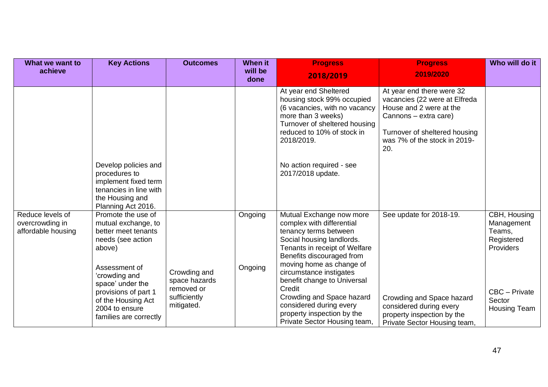| What we want to                                           | <b>Key Actions</b>                                                                                                                | <b>Outcomes</b>                                           | <b>When it</b>     | <b>Progress</b>                                                                                                                                                                                                                  | <b>Progress</b>                                                                                                                                                                        | Who will do it                                                  |
|-----------------------------------------------------------|-----------------------------------------------------------------------------------------------------------------------------------|-----------------------------------------------------------|--------------------|----------------------------------------------------------------------------------------------------------------------------------------------------------------------------------------------------------------------------------|----------------------------------------------------------------------------------------------------------------------------------------------------------------------------------------|-----------------------------------------------------------------|
| achieve                                                   |                                                                                                                                   |                                                           | will be<br>done    | 2018/2019                                                                                                                                                                                                                        | 2019/2020                                                                                                                                                                              |                                                                 |
|                                                           |                                                                                                                                   |                                                           |                    | At year end Sheltered<br>housing stock 99% occupied<br>(6 vacancies, with no vacancy<br>more than 3 weeks)<br>Turnover of sheltered housing<br>reduced to 10% of stock in<br>2018/2019.                                          | At year end there were 32<br>vacancies (22 were at Elfreda<br>House and 2 were at the<br>Cannons - extra care)<br>Turnover of sheltered housing<br>was 7% of the stock in 2019-<br>20. |                                                                 |
|                                                           | Develop policies and<br>procedures to<br>implement fixed term<br>tenancies in line with<br>the Housing and<br>Planning Act 2016.  |                                                           |                    | No action required - see<br>2017/2018 update.                                                                                                                                                                                    |                                                                                                                                                                                        |                                                                 |
| Reduce levels of<br>overcrowding in<br>affordable housing | Promote the use of<br>mutual exchange, to<br>better meet tenants<br>needs (see action<br>above)<br>Assessment of<br>'crowding and | Crowding and                                              | Ongoing<br>Ongoing | Mutual Exchange now more<br>complex with differential<br>tenancy terms between<br>Social housing landlords.<br>Tenants in receipt of Welfare<br>Benefits discouraged from<br>moving home as change of<br>circumstance instigates | See update for 2018-19.                                                                                                                                                                | CBH, Housing<br>Management<br>Teams,<br>Registered<br>Providers |
|                                                           | space' under the<br>provisions of part 1<br>of the Housing Act<br>2004 to ensure<br>families are correctly                        | space hazards<br>removed or<br>sufficiently<br>mitigated. |                    | benefit change to Universal<br>Credit<br>Crowding and Space hazard<br>considered during every<br>property inspection by the<br>Private Sector Housing team,                                                                      | Crowding and Space hazard<br>considered during every<br>property inspection by the<br>Private Sector Housing team,                                                                     | CBC - Private<br>Sector<br>Housing Team                         |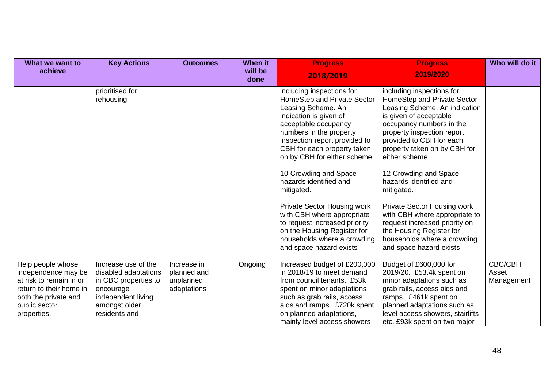| What we want to                                                                                                                                        | <b>Key Actions</b>                                                                                                                       | <b>Outcomes</b>                                        | <b>When it</b>  | <b>Progress</b>                                                                                                                                                                                                                                                                                                                                                                                                                                                                                                            | <b>Progress</b>                                                                                                                                                                                                                                                                                                                                                                                                                                                                                                           | Who will do it                        |
|--------------------------------------------------------------------------------------------------------------------------------------------------------|------------------------------------------------------------------------------------------------------------------------------------------|--------------------------------------------------------|-----------------|----------------------------------------------------------------------------------------------------------------------------------------------------------------------------------------------------------------------------------------------------------------------------------------------------------------------------------------------------------------------------------------------------------------------------------------------------------------------------------------------------------------------------|---------------------------------------------------------------------------------------------------------------------------------------------------------------------------------------------------------------------------------------------------------------------------------------------------------------------------------------------------------------------------------------------------------------------------------------------------------------------------------------------------------------------------|---------------------------------------|
| achieve                                                                                                                                                |                                                                                                                                          |                                                        | will be<br>done | 2018/2019                                                                                                                                                                                                                                                                                                                                                                                                                                                                                                                  | 2019/2020                                                                                                                                                                                                                                                                                                                                                                                                                                                                                                                 |                                       |
|                                                                                                                                                        | prioritised for<br>rehousing                                                                                                             |                                                        |                 | including inspections for<br>HomeStep and Private Sector<br>Leasing Scheme. An<br>indication is given of<br>acceptable occupancy<br>numbers in the property<br>inspection report provided to<br>CBH for each property taken<br>on by CBH for either scheme.<br>10 Crowding and Space<br>hazards identified and<br>mitigated.<br><b>Private Sector Housing work</b><br>with CBH where appropriate<br>to request increased priority<br>on the Housing Register for<br>households where a crowding<br>and space hazard exists | including inspections for<br>HomeStep and Private Sector<br>Leasing Scheme. An indication<br>is given of acceptable<br>occupancy numbers in the<br>property inspection report<br>provided to CBH for each<br>property taken on by CBH for<br>either scheme<br>12 Crowding and Space<br>hazards identified and<br>mitigated.<br><b>Private Sector Housing work</b><br>with CBH where appropriate to<br>request increased priority on<br>the Housing Register for<br>households where a crowding<br>and space hazard exists |                                       |
| Help people whose<br>independence may be<br>at risk to remain in or<br>return to their home in<br>both the private and<br>public sector<br>properties. | Increase use of the<br>disabled adaptations<br>in CBC properties to<br>encourage<br>independent living<br>amongst older<br>residents and | Increase in<br>planned and<br>unplanned<br>adaptations | Ongoing         | Increased budget of £200,000<br>in 2018/19 to meet demand<br>from council tenants. £53k<br>spent on minor adaptations<br>such as grab rails, access<br>aids and ramps. £720k spent<br>on planned adaptations,<br>mainly level access showers                                                                                                                                                                                                                                                                               | Budget of £600,000 for<br>2019/20. £53.4k spent on<br>minor adaptations such as<br>grab rails, access aids and<br>ramps. £461k spent on<br>planned adaptations such as<br>level access showers, stairlifts<br>etc. £93k spent on two major                                                                                                                                                                                                                                                                                | <b>CBC/CBH</b><br>Asset<br>Management |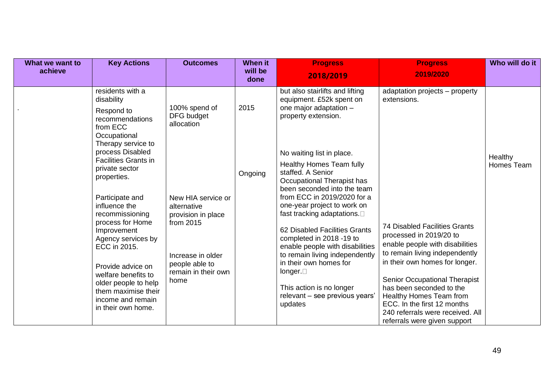| What we want to<br>achieve | <b>Key Actions</b>                                                                                                                                                                                                                                                                                                                                                                                                                                                          | <b>Outcomes</b>                                                                                                                                                                         | <b>When it</b><br>will be<br>done | <b>Progress</b><br>2018/2019                                                                                                                                                                                                                                                                                                                                                                                                                                                                                                                                                                                         | <b>Progress</b><br>2019/2020                                                                                                                                                                                                                                                                                                                                                                                       | Who will do it        |
|----------------------------|-----------------------------------------------------------------------------------------------------------------------------------------------------------------------------------------------------------------------------------------------------------------------------------------------------------------------------------------------------------------------------------------------------------------------------------------------------------------------------|-----------------------------------------------------------------------------------------------------------------------------------------------------------------------------------------|-----------------------------------|----------------------------------------------------------------------------------------------------------------------------------------------------------------------------------------------------------------------------------------------------------------------------------------------------------------------------------------------------------------------------------------------------------------------------------------------------------------------------------------------------------------------------------------------------------------------------------------------------------------------|--------------------------------------------------------------------------------------------------------------------------------------------------------------------------------------------------------------------------------------------------------------------------------------------------------------------------------------------------------------------------------------------------------------------|-----------------------|
|                            | residents with a<br>disability<br>Respond to<br>recommendations<br>from ECC<br>Occupational<br>Therapy service to<br>process Disabled<br><b>Facilities Grants in</b><br>private sector<br>properties.<br>Participate and<br>influence the<br>recommissioning<br>process for Home<br>Improvement<br>Agency services by<br>ECC in 2015.<br>Provide advice on<br>welfare benefits to<br>older people to help<br>them maximise their<br>income and remain<br>in their own home. | 100% spend of<br>DFG budget<br>allocation<br>New HIA service or<br>alternative<br>provision in place<br>from 2015<br>Increase in older<br>people able to<br>remain in their own<br>home | 2015<br>Ongoing                   | but also stairlifts and lifting<br>equipment. £52k spent on<br>one major adaptation -<br>property extension.<br>No waiting list in place.<br><b>Healthy Homes Team fully</b><br>staffed. A Senior<br>Occupational Therapist has<br>been seconded into the team<br>from ECC in 2019/2020 for a<br>one-year project to work on<br>fast tracking adaptations. $\square$<br>62 Disabled Facilities Grants<br>completed in 2018 -19 to<br>enable people with disabilities<br>to remain living independently<br>in their own homes for<br>longer.<br>This action is no longer<br>relevant - see previous years'<br>updates | adaptation projects – property<br>extensions.<br><b>74 Disabled Facilities Grants</b><br>processed in 2019/20 to<br>enable people with disabilities<br>to remain living independently<br>in their own homes for longer.<br>Senior Occupational Therapist<br>has been seconded to the<br>Healthy Homes Team from<br>ECC. In the first 12 months<br>240 referrals were received. All<br>referrals were given support | Healthy<br>Homes Team |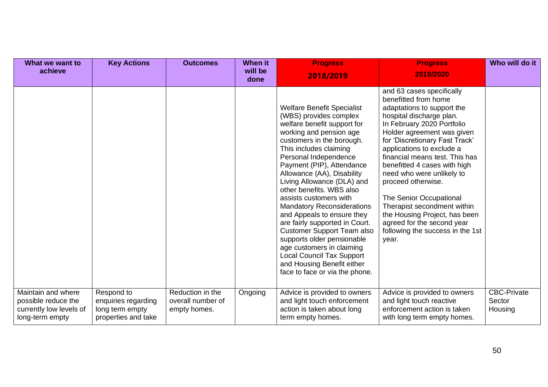| What we want to                                                                         | <b>Key Actions</b>                                                          | <b>Outcomes</b>                                       | <b>When it</b>  | <b>Progress</b>                                                                                                                                                                                                                                                                                                                                                                                                                                                                                                                                                                                                                                               | <b>Progress</b>                                                                                                                                                                                                                                                                                                                                                                                                                                                                                                                   | Who will do it                          |
|-----------------------------------------------------------------------------------------|-----------------------------------------------------------------------------|-------------------------------------------------------|-----------------|---------------------------------------------------------------------------------------------------------------------------------------------------------------------------------------------------------------------------------------------------------------------------------------------------------------------------------------------------------------------------------------------------------------------------------------------------------------------------------------------------------------------------------------------------------------------------------------------------------------------------------------------------------------|-----------------------------------------------------------------------------------------------------------------------------------------------------------------------------------------------------------------------------------------------------------------------------------------------------------------------------------------------------------------------------------------------------------------------------------------------------------------------------------------------------------------------------------|-----------------------------------------|
| achieve                                                                                 |                                                                             |                                                       | will be<br>done | 2018/2019                                                                                                                                                                                                                                                                                                                                                                                                                                                                                                                                                                                                                                                     | 2019/2020                                                                                                                                                                                                                                                                                                                                                                                                                                                                                                                         |                                         |
|                                                                                         |                                                                             |                                                       |                 | <b>Welfare Benefit Specialist</b><br>(WBS) provides complex<br>welfare benefit support for<br>working and pension age<br>customers in the borough.<br>This includes claiming<br>Personal Independence<br>Payment (PIP), Attendance<br>Allowance (AA), Disability<br>Living Allowance (DLA) and<br>other benefits. WBS also<br>assists customers with<br><b>Mandatory Reconsiderations</b><br>and Appeals to ensure they<br>are fairly supported in Court.<br><b>Customer Support Team also</b><br>supports older pensionable<br>age customers in claiming<br><b>Local Council Tax Support</b><br>and Housing Benefit either<br>face to face or via the phone. | and 63 cases specifically<br>benefitted from home<br>adaptations to support the<br>hospital discharge plan.<br>In February 2020 Portfolio<br>Holder agreement was given<br>for 'Discretionary Fast Track'<br>applications to exclude a<br>financial means test. This has<br>benefitted 4 cases with high<br>need who were unlikely to<br>proceed otherwise.<br>The Senior Occupational<br>Therapist secondment within<br>the Housing Project, has been<br>agreed for the second year<br>following the success in the 1st<br>year. |                                         |
| Maintain and where<br>possible reduce the<br>currently low levels of<br>long-term empty | Respond to<br>enquiries regarding<br>long term empty<br>properties and take | Reduction in the<br>overall number of<br>empty homes. | Ongoing         | Advice is provided to owners<br>and light touch enforcement<br>action is taken about long<br>term empty homes.                                                                                                                                                                                                                                                                                                                                                                                                                                                                                                                                                | Advice is provided to owners<br>and light touch reactive<br>enforcement action is taken<br>with long term empty homes.                                                                                                                                                                                                                                                                                                                                                                                                            | <b>CBC-Private</b><br>Sector<br>Housing |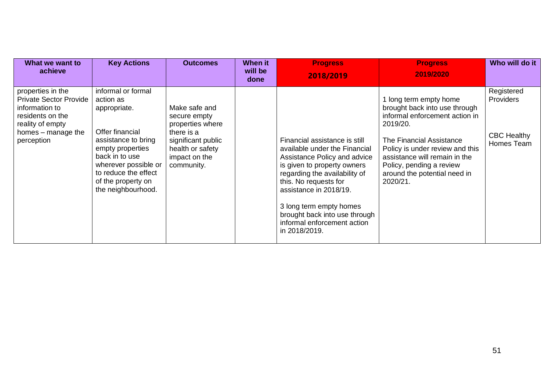| What we want to<br>achieve                                                                                                                       | <b>Key Actions</b>                                                                                                                                                                                                          | <b>Outcomes</b>                                                                                                                          | When it<br>will be<br>done | <b>Progress</b><br>2018/2019                                                                                                                                                                                                                                                                                                  | <b>Progress</b><br>2019/2020                                                                                                                                                                                                                                                | Who will do it                                              |
|--------------------------------------------------------------------------------------------------------------------------------------------------|-----------------------------------------------------------------------------------------------------------------------------------------------------------------------------------------------------------------------------|------------------------------------------------------------------------------------------------------------------------------------------|----------------------------|-------------------------------------------------------------------------------------------------------------------------------------------------------------------------------------------------------------------------------------------------------------------------------------------------------------------------------|-----------------------------------------------------------------------------------------------------------------------------------------------------------------------------------------------------------------------------------------------------------------------------|-------------------------------------------------------------|
| properties in the<br><b>Private Sector Provide</b><br>information to<br>residents on the<br>reality of empty<br>homes – manage the<br>perception | informal or formal<br>action as<br>appropriate.<br>Offer financial<br>assistance to bring<br>empty properties<br>back in to use<br>wherever possible or<br>to reduce the effect<br>of the property on<br>the neighbourhood. | Make safe and<br>secure empty<br>properties where<br>there is a<br>significant public<br>health or safety<br>impact on the<br>community. |                            | Financial assistance is still<br>available under the Financial<br>Assistance Policy and advice<br>is given to property owners<br>regarding the availability of<br>this. No requests for<br>assistance in 2018/19.<br>3 long term empty homes<br>brought back into use through<br>informal enforcement action<br>in 2018/2019. | long term empty home<br>brought back into use through<br>informal enforcement action in<br>2019/20.<br>The Financial Assistance<br>Policy is under review and this<br>assistance will remain in the<br>Policy, pending a review<br>around the potential need in<br>2020/21. | Registered<br>Providers<br><b>CBC Healthy</b><br>Homes Team |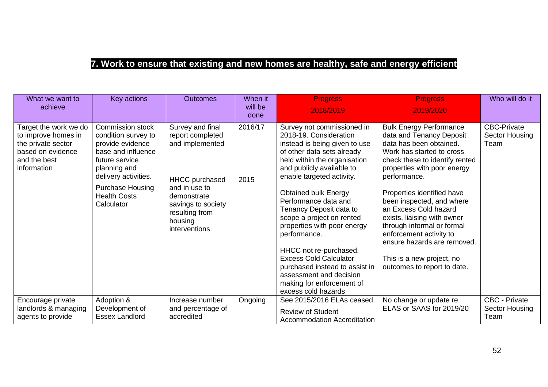## **7. Work to ensure that existing and new homes are healthy, safe and energy efficient**

| What we want to<br>achieve                                                                                             | Key actions                                                                                                                                                                                                 | <b>Outcomes</b>                                                                                                                                                                      | When it<br>will be<br>done | <b>Progress</b><br>2018/2019                                                                                                                                                                                                                                                                                                                                                                                                                                                                                                                            | <b>Progress</b><br>2019/2020                                                                                                                                                                                                                                                                                                                                                                                                                                               | Who will do it                                 |
|------------------------------------------------------------------------------------------------------------------------|-------------------------------------------------------------------------------------------------------------------------------------------------------------------------------------------------------------|--------------------------------------------------------------------------------------------------------------------------------------------------------------------------------------|----------------------------|---------------------------------------------------------------------------------------------------------------------------------------------------------------------------------------------------------------------------------------------------------------------------------------------------------------------------------------------------------------------------------------------------------------------------------------------------------------------------------------------------------------------------------------------------------|----------------------------------------------------------------------------------------------------------------------------------------------------------------------------------------------------------------------------------------------------------------------------------------------------------------------------------------------------------------------------------------------------------------------------------------------------------------------------|------------------------------------------------|
| Target the work we do<br>to improve homes in<br>the private sector<br>based on evidence<br>and the best<br>information | Commission stock<br>condition survey to<br>provide evidence<br>base and influence<br>future service<br>planning and<br>delivery activities.<br><b>Purchase Housing</b><br><b>Health Costs</b><br>Calculator | Survey and final<br>report completed<br>and implemented<br><b>HHCC</b> purchased<br>and in use to<br>demonstrate<br>savings to society<br>resulting from<br>housing<br>interventions | 2016/17<br>2015            | Survey not commissioned in<br>2018-19. Consideration<br>instead is being given to use<br>of other data sets already<br>held within the organisation<br>and publicly available to<br>enable targeted activity.<br><b>Obtained bulk Energy</b><br>Performance data and<br>Tenancy Deposit data to<br>scope a project on rented<br>properties with poor energy<br>performance.<br>HHCC not re-purchased.<br><b>Excess Cold Calculator</b><br>purchased instead to assist in<br>assessment and decision<br>making for enforcement of<br>excess cold hazards | <b>Bulk Energy Performance</b><br>data and Tenancy Deposit<br>data has been obtained.<br>Work has started to cross<br>check these to identify rented<br>properties with poor energy<br>performance.<br>Properties identified have<br>been inspected, and where<br>an Excess Cold hazard<br>exists, liaising with owner<br>through informal or formal<br>enforcement activity to<br>ensure hazards are removed.<br>This is a new project, no<br>outcomes to report to date. | <b>CBC-Private</b><br>Sector Housing<br>Team   |
| Encourage private<br>landlords & managing<br>agents to provide                                                         | Adoption &<br>Development of<br><b>Essex Landlord</b>                                                                                                                                                       | Increase number<br>and percentage of<br>accredited                                                                                                                                   | Ongoing                    | See 2015/2016 ELAs ceased.<br><b>Review of Student</b><br><b>Accommodation Accreditation</b>                                                                                                                                                                                                                                                                                                                                                                                                                                                            | No change or update re<br>ELAS or SAAS for 2019/20                                                                                                                                                                                                                                                                                                                                                                                                                         | <b>CBC - Private</b><br>Sector Housing<br>Team |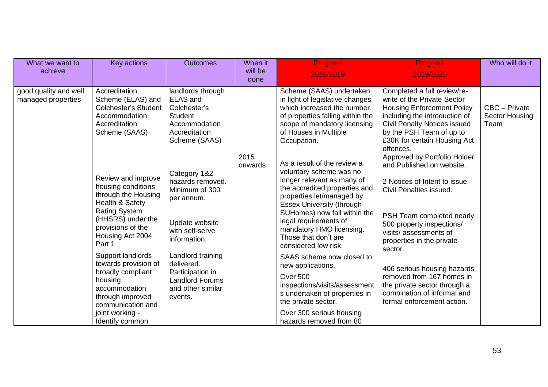| What we want to<br>achieve                  | Key actions                                                                                                                                                                        | <b>Outcomes</b>                                                                                                           | When it<br>will be<br>done | <b>Progress</b><br>2018/2019                                                                                                                                                                                                                                                                                                | <b>Progress</b><br>2019/2020                                                                                                                                                                                                                                                     | Who will do it                          |
|---------------------------------------------|------------------------------------------------------------------------------------------------------------------------------------------------------------------------------------|---------------------------------------------------------------------------------------------------------------------------|----------------------------|-----------------------------------------------------------------------------------------------------------------------------------------------------------------------------------------------------------------------------------------------------------------------------------------------------------------------------|----------------------------------------------------------------------------------------------------------------------------------------------------------------------------------------------------------------------------------------------------------------------------------|-----------------------------------------|
| good quality and well<br>managed properties | Accreditation<br>Scheme (ELAS) and<br><b>Colchester's Student</b><br>Accommodation<br>Accreditation<br>Scheme (SAAS)                                                               | landlords through<br><b>ELAS and</b><br>Colchester's<br><b>Student</b><br>Accommodation<br>Accreditation<br>Scheme (SAAS) | 2015                       | Scheme (SAAS) undertaken<br>in light of legislative changes<br>which increased the number<br>of properties falling within the<br>scope of mandatory licensing<br>of Houses in Multiple<br>Occupation.                                                                                                                       | Completed a full review/re-<br>write of the Private Sector<br><b>Housing Enforcement Policy</b><br>including the introduction of<br><b>Civil Penalty Notices issued</b><br>by the PSH Team of up to<br>£30K for certain Housing Act<br>offences.<br>Approved by Portfolio Holder | CBC - Private<br>Sector Housing<br>Team |
|                                             | Review and improve<br>housing conditions<br>through the Housing<br>Health & Safety<br><b>Rating System</b><br>(HHSRS) under the<br>provisions of the<br>Housing Act 2004<br>Part 1 | Category 1&2<br>hazards removed.<br>Minimum of 300<br>per annum.<br>Update website<br>with self-serve<br>information.     | onwards                    | As a result of the review a<br>voluntary scheme was no<br>longer relevant as many of<br>the accredited properties and<br>properties let/managed by<br><b>Essex University (through</b><br>SUHomes) now fall within the<br>legal requirements of<br>mandatory HMO licensing.<br>Those that don't are<br>considered low risk. | and Published on website.<br>2 Notices of Intent to issue<br>Civil Penalties issued.<br>PSH Team completed nearly<br>500 property inspections/<br>visits/assessments of<br>properties in the private<br>sector.                                                                  |                                         |
|                                             | Support landlords<br>towards provision of<br>broadly compliant<br>housing<br>accommodation<br>through improved<br>communication and<br>joint working -<br>Identify common          | Landlord training<br>delivered.<br>Participation in<br><b>Landlord Forums</b><br>and other similar<br>events.             |                            | SAAS scheme now closed to<br>new applications.<br>Over 500<br>inspections/visits/assessment<br>s undertaken of properties in<br>the private sector.<br>Over 300 serious housing<br>hazards removed from 80                                                                                                                  | 406 serious housing hazards<br>removed from 167 homes in<br>the private sector through a<br>combination of informal and<br>formal enforcement action.                                                                                                                            |                                         |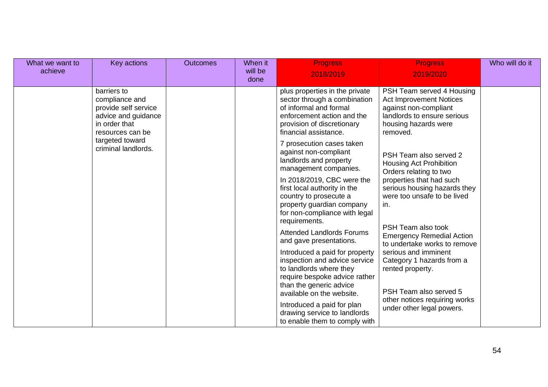| What we want to<br>achieve | Key actions                                                                                                       | <b>Outcomes</b>                                                                                                                                                                     | When it<br>will be<br>done                                                                                                                                                    | <b>Progress</b><br>2018/2019                                                                                                                            | <b>Progress</b><br>2019/2020                                                           | Who will do it |
|----------------------------|-------------------------------------------------------------------------------------------------------------------|-------------------------------------------------------------------------------------------------------------------------------------------------------------------------------------|-------------------------------------------------------------------------------------------------------------------------------------------------------------------------------|---------------------------------------------------------------------------------------------------------------------------------------------------------|----------------------------------------------------------------------------------------|----------------|
|                            | barriers to<br>compliance and<br>provide self service<br>advice and guidance<br>in order that<br>resources can be |                                                                                                                                                                                     | plus properties in the private<br>sector through a combination<br>of informal and formal<br>enforcement action and the<br>provision of discretionary<br>financial assistance. | PSH Team served 4 Housing<br><b>Act Improvement Notices</b><br>against non-compliant<br>landlords to ensure serious<br>housing hazards were<br>removed. |                                                                                        |                |
|                            | targeted toward<br>criminal landlords.                                                                            |                                                                                                                                                                                     |                                                                                                                                                                               | 7 prosecution cases taken<br>against non-compliant<br>landlords and property<br>management companies.                                                   | PSH Team also served 2<br>Housing Act Prohibition<br>Orders relating to two            |                |
|                            |                                                                                                                   |                                                                                                                                                                                     | In 2018/2019, CBC were the<br>first local authority in the<br>country to prosecute a<br>property guardian company<br>for non-compliance with legal<br>requirements.           | properties that had such<br>serious housing hazards they<br>were too unsafe to be lived<br>in.                                                          |                                                                                        |                |
|                            |                                                                                                                   |                                                                                                                                                                                     |                                                                                                                                                                               | <b>Attended Landlords Forums</b><br>and gave presentations.                                                                                             | PSH Team also took<br><b>Emergency Remedial Action</b><br>to undertake works to remove |                |
|                            |                                                                                                                   | Introduced a paid for property<br>inspection and advice service<br>to landlords where they<br>require bespoke advice rather<br>than the generic advice<br>available on the website. | serious and imminent<br>Category 1 hazards from a<br>rented property.<br>PSH Team also served 5                                                                               |                                                                                                                                                         |                                                                                        |                |
|                            |                                                                                                                   |                                                                                                                                                                                     | Introduced a paid for plan<br>drawing service to landlords<br>to enable them to comply with                                                                                   | other notices requiring works<br>under other legal powers.                                                                                              |                                                                                        |                |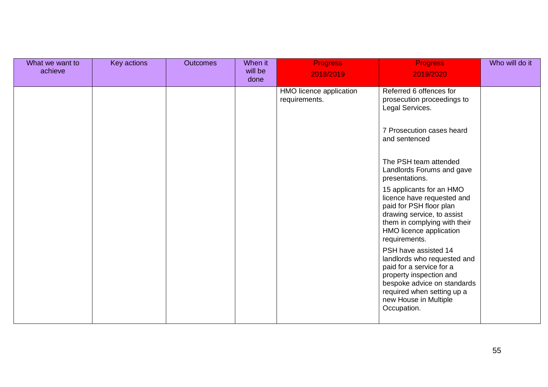| What we want to<br>achieve | Key actions | <b>Outcomes</b> | When it<br>will be<br>done | <b>Progress</b><br>2018/2019             | <b>Progress</b><br>2019/2020                                                                                                                                                                                    | Who will do it |
|----------------------------|-------------|-----------------|----------------------------|------------------------------------------|-----------------------------------------------------------------------------------------------------------------------------------------------------------------------------------------------------------------|----------------|
|                            |             |                 |                            | HMO licence application<br>requirements. | Referred 6 offences for<br>prosecution proceedings to<br>Legal Services.                                                                                                                                        |                |
|                            |             |                 |                            |                                          | 7 Prosecution cases heard<br>and sentenced                                                                                                                                                                      |                |
|                            |             |                 |                            |                                          | The PSH team attended<br>Landlords Forums and gave<br>presentations.                                                                                                                                            |                |
|                            |             |                 |                            |                                          | 15 applicants for an HMO<br>licence have requested and<br>paid for PSH floor plan<br>drawing service, to assist<br>them in complying with their<br>HMO licence application<br>requirements.                     |                |
|                            |             |                 |                            |                                          | PSH have assisted 14<br>landlords who requested and<br>paid for a service for a<br>property inspection and<br>bespoke advice on standards<br>required when setting up a<br>new House in Multiple<br>Occupation. |                |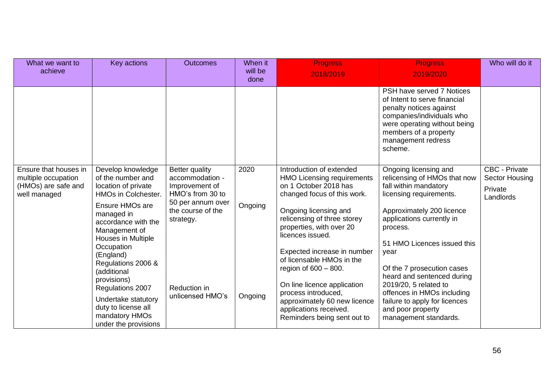| What we want to<br>achieve                                                          | Key actions                                                                                                                                                                                                                                                                                                                                                                           | <b>Outcomes</b>                                                                                                                                                           | When it<br>will be<br>done | <b>Progress</b><br>2018/2019                                                                                                                                                                                                                                                                                                                                                                                                                                        | <b>Progress</b><br>2019/2020                                                                                                                                                                                                                                                                                                                                                                                             | Who will do it                                                 |
|-------------------------------------------------------------------------------------|---------------------------------------------------------------------------------------------------------------------------------------------------------------------------------------------------------------------------------------------------------------------------------------------------------------------------------------------------------------------------------------|---------------------------------------------------------------------------------------------------------------------------------------------------------------------------|----------------------------|---------------------------------------------------------------------------------------------------------------------------------------------------------------------------------------------------------------------------------------------------------------------------------------------------------------------------------------------------------------------------------------------------------------------------------------------------------------------|--------------------------------------------------------------------------------------------------------------------------------------------------------------------------------------------------------------------------------------------------------------------------------------------------------------------------------------------------------------------------------------------------------------------------|----------------------------------------------------------------|
|                                                                                     |                                                                                                                                                                                                                                                                                                                                                                                       |                                                                                                                                                                           |                            |                                                                                                                                                                                                                                                                                                                                                                                                                                                                     | PSH have served 7 Notices<br>of Intent to serve financial<br>penalty notices against<br>companies/individuals who<br>were operating without being<br>members of a property<br>management redress<br>scheme.                                                                                                                                                                                                              |                                                                |
| Ensure that houses in<br>multiple occupation<br>(HMOs) are safe and<br>well managed | Develop knowledge<br>of the number and<br>location of private<br>HMOs in Colchester.<br><b>Ensure HMOs are</b><br>managed in<br>accordance with the<br>Management of<br>Houses in Multiple<br>Occupation<br>(England)<br>Regulations 2006 &<br>(additional<br>provisions)<br>Regulations 2007<br>Undertake statutory<br>duty to license all<br>mandatory HMOs<br>under the provisions | <b>Better quality</b><br>accommodation -<br>Improvement of<br>HMO's from 30 to<br>50 per annum over<br>the course of the<br>strategy.<br>Reduction in<br>unlicensed HMO's | 2020<br>Ongoing<br>Ongoing | Introduction of extended<br><b>HMO Licensing requirements</b><br>on 1 October 2018 has<br>changed focus of this work.<br>Ongoing licensing and<br>relicensing of three storey<br>properties, with over 20<br>licences issued.<br>Expected increase in number<br>of licensable HMOs in the<br>region of $600 - 800$ .<br>On line licence application<br>process introduced,<br>approximately 60 new licence<br>applications received.<br>Reminders being sent out to | Ongoing licensing and<br>relicensing of HMOs that now<br>fall within mandatory<br>licensing requirements.<br>Approximately 200 licence<br>applications currently in<br>process.<br>51 HMO Licences issued this<br>year<br>Of the 7 prosecution cases<br>heard and sentenced during<br>2019/20, 5 related to<br>offences in HMOs including<br>failure to apply for licences<br>and poor property<br>management standards. | <b>CBC - Private</b><br>Sector Housing<br>Private<br>Landlords |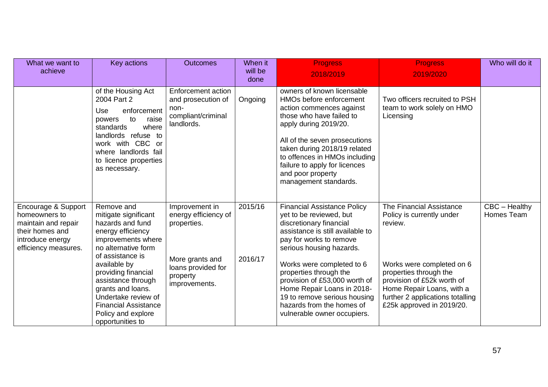| What we want to<br>achieve                                                                                                 | Key actions                                                                                                                                                                                                                                                                                                                    | <b>Outcomes</b>                                                                                                             | When it<br>will be<br>done | <b>Progress</b><br>2018/2019                                                                                                                                                                                                                                                                                                                                                                          | <b>Progress</b><br>2019/2020                                                                                                                                                                                                                        | Who will do it              |
|----------------------------------------------------------------------------------------------------------------------------|--------------------------------------------------------------------------------------------------------------------------------------------------------------------------------------------------------------------------------------------------------------------------------------------------------------------------------|-----------------------------------------------------------------------------------------------------------------------------|----------------------------|-------------------------------------------------------------------------------------------------------------------------------------------------------------------------------------------------------------------------------------------------------------------------------------------------------------------------------------------------------------------------------------------------------|-----------------------------------------------------------------------------------------------------------------------------------------------------------------------------------------------------------------------------------------------------|-----------------------------|
|                                                                                                                            | of the Housing Act<br>2004 Part 2<br>enforcement<br>Use<br>powers<br>to<br>raise<br>where<br>standards<br>landlords refuse to<br>work with CBC or<br>where landlords fail<br>to licence properties<br>as necessary.                                                                                                            | Enforcement action<br>and prosecution of<br>non-<br>compliant/criminal<br>landlords.                                        | Ongoing                    | owners of known licensable<br>HMOs before enforcement<br>action commences against<br>those who have failed to<br>apply during 2019/20.<br>All of the seven prosecutions<br>taken during 2018/19 related<br>to offences in HMOs including<br>failure to apply for licences<br>and poor property<br>management standards.                                                                               | Two officers recruited to PSH<br>team to work solely on HMO<br>Licensing                                                                                                                                                                            |                             |
| Encourage & Support<br>homeowners to<br>maintain and repair<br>their homes and<br>introduce energy<br>efficiency measures. | Remove and<br>mitigate significant<br>hazards and fund<br>energy efficiency<br>improvements where<br>no alternative form<br>of assistance is<br>available by<br>providing financial<br>assistance through<br>grants and loans.<br>Undertake review of<br><b>Financial Assistance</b><br>Policy and explore<br>opportunities to | Improvement in<br>energy efficiency of<br>properties.<br>More grants and<br>loans provided for<br>property<br>improvements. | 2015/16<br>2016/17         | <b>Financial Assistance Policy</b><br>yet to be reviewed, but<br>discretionary financial<br>assistance is still available to<br>pay for works to remove<br>serious housing hazards.<br>Works were completed to 6<br>properties through the<br>provision of £53,000 worth of<br>Home Repair Loans in 2018-<br>19 to remove serious housing<br>hazards from the homes of<br>vulnerable owner occupiers. | The Financial Assistance<br>Policy is currently under<br>review.<br>Works were completed on 6<br>properties through the<br>provision of £52k worth of<br>Home Repair Loans, with a<br>further 2 applications totalling<br>£25k approved in 2019/20. | CBC - Healthy<br>Homes Team |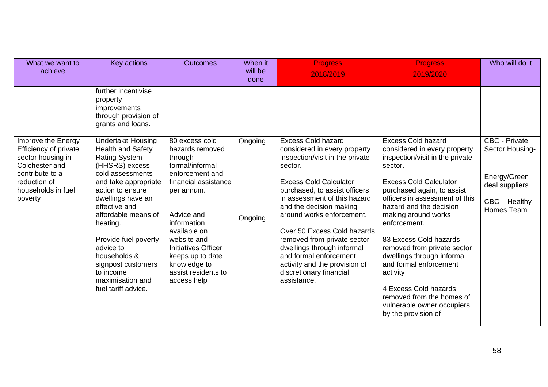| What we want to<br>achieve                                                                                                                             | Key actions                                                                                                                                                                                                                                                                                                                                    | <b>Outcomes</b>                                                                                                                                                                                                                                                            | When it<br>will be<br>done | <b>Progress</b><br>2018/2019                                                                                                                                                                                                                                                                                                                                                                                                          | <b>Progress</b><br>2019/2020                                                                                                                                                                                                                                                                                                                                                                                                                                                          | Who will do it                                                                   |
|--------------------------------------------------------------------------------------------------------------------------------------------------------|------------------------------------------------------------------------------------------------------------------------------------------------------------------------------------------------------------------------------------------------------------------------------------------------------------------------------------------------|----------------------------------------------------------------------------------------------------------------------------------------------------------------------------------------------------------------------------------------------------------------------------|----------------------------|---------------------------------------------------------------------------------------------------------------------------------------------------------------------------------------------------------------------------------------------------------------------------------------------------------------------------------------------------------------------------------------------------------------------------------------|---------------------------------------------------------------------------------------------------------------------------------------------------------------------------------------------------------------------------------------------------------------------------------------------------------------------------------------------------------------------------------------------------------------------------------------------------------------------------------------|----------------------------------------------------------------------------------|
|                                                                                                                                                        | further incentivise<br>property<br>improvements<br>through provision of<br>grants and loans.<br><b>Undertake Housing</b>                                                                                                                                                                                                                       | 80 excess cold                                                                                                                                                                                                                                                             |                            | <b>Excess Cold hazard</b>                                                                                                                                                                                                                                                                                                                                                                                                             | <b>Excess Cold hazard</b>                                                                                                                                                                                                                                                                                                                                                                                                                                                             | CBC - Private                                                                    |
| Improve the Energy<br>Efficiency of private<br>sector housing in<br>Colchester and<br>contribute to a<br>reduction of<br>households in fuel<br>poverty | <b>Health and Safety</b><br><b>Rating System</b><br>(HHSRS) excess<br>cold assessments<br>and take appropriate<br>action to ensure<br>dwellings have an<br>effective and<br>affordable means of<br>heating.<br>Provide fuel poverty<br>advice to<br>households &<br>signpost customers<br>to income<br>maximisation and<br>fuel tariff advice. | hazards removed<br>through<br>formal/informal<br>enforcement and<br>financial assistance<br>per annum.<br>Advice and<br>information<br>available on<br>website and<br><b>Initiatives Officer</b><br>keeps up to date<br>knowledge to<br>assist residents to<br>access help | Ongoing<br>Ongoing         | considered in every property<br>inspection/visit in the private<br>sector.<br><b>Excess Cold Calculator</b><br>purchased, to assist officers<br>in assessment of this hazard<br>and the decision making<br>around works enforcement.<br>Over 50 Excess Cold hazards<br>removed from private sector<br>dwellings through informal<br>and formal enforcement<br>activity and the provision of<br>discretionary financial<br>assistance. | considered in every property<br>inspection/visit in the private<br>sector.<br><b>Excess Cold Calculator</b><br>purchased again, to assist<br>officers in assessment of this<br>hazard and the decision<br>making around works<br>enforcement.<br>83 Excess Cold hazards<br>removed from private sector<br>dwellings through informal<br>and formal enforcement<br>activity<br>4 Excess Cold hazards<br>removed from the homes of<br>vulnerable owner occupiers<br>by the provision of | Sector Housing-<br>Energy/Green<br>deal suppliers<br>CBC - Healthy<br>Homes Team |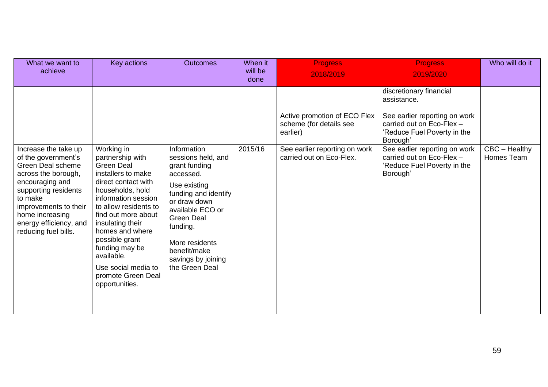| What we want to<br>achieve                                                                                                                                                                                                                  | Key actions                                                                                                                                                                                                                                                                                                                                         | <b>Outcomes</b>                                                                                                                                                                                                                                        | When it<br>will be<br>done | <b>Progress</b><br>2018/2019                                                                                                     | <b>Progress</b><br>2019/2020                                                                                                                                                                                                                             | Who will do it                |
|---------------------------------------------------------------------------------------------------------------------------------------------------------------------------------------------------------------------------------------------|-----------------------------------------------------------------------------------------------------------------------------------------------------------------------------------------------------------------------------------------------------------------------------------------------------------------------------------------------------|--------------------------------------------------------------------------------------------------------------------------------------------------------------------------------------------------------------------------------------------------------|----------------------------|----------------------------------------------------------------------------------------------------------------------------------|----------------------------------------------------------------------------------------------------------------------------------------------------------------------------------------------------------------------------------------------------------|-------------------------------|
| Increase the take up<br>of the government's<br>Green Deal scheme<br>across the borough,<br>encouraging and<br>supporting residents<br>to make<br>improvements to their<br>home increasing<br>energy efficiency, and<br>reducing fuel bills. | Working in<br>partnership with<br><b>Green Deal</b><br>installers to make<br>direct contact with<br>households, hold<br>information session<br>to allow residents to<br>find out more about<br>insulating their<br>homes and where<br>possible grant<br>funding may be<br>available.<br>Use social media to<br>promote Green Deal<br>opportunities. | Information<br>sessions held, and<br>grant funding<br>accessed.<br>Use existing<br>funding and identify<br>or draw down<br>available ECO or<br><b>Green Deal</b><br>funding.<br>More residents<br>benefit/make<br>savings by joining<br>the Green Deal | 2015/16                    | Active promotion of ECO Flex<br>scheme (for details see<br>earlier)<br>See earlier reporting on work<br>carried out on Eco-Flex. | discretionary financial<br>assistance.<br>See earlier reporting on work<br>carried out on Eco-Flex -<br>'Reduce Fuel Poverty in the<br>Borough'<br>See earlier reporting on work<br>carried out on Eco-Flex -<br>'Reduce Fuel Poverty in the<br>Borough' | $CBC - Healthy$<br>Homes Team |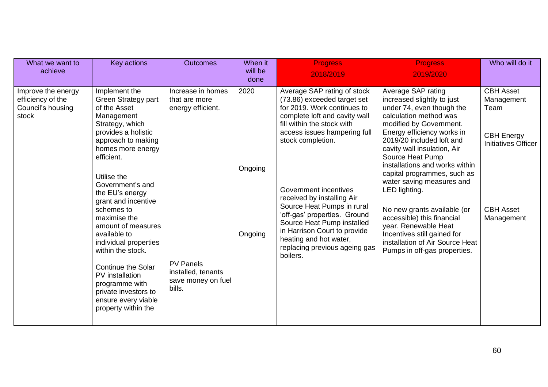| What we want to<br>achieve                                            | Key actions                                                                                                                                                                                                                                                                                                                         | <b>Outcomes</b>                                                        | When it<br>will be<br>done | <b>Progress</b><br>2018/2019                                                                                                                                                                                                                           | <b>Progress</b><br>2019/2020                                                                                                                                                                                                                                                       | Who will do it                                                                            |
|-----------------------------------------------------------------------|-------------------------------------------------------------------------------------------------------------------------------------------------------------------------------------------------------------------------------------------------------------------------------------------------------------------------------------|------------------------------------------------------------------------|----------------------------|--------------------------------------------------------------------------------------------------------------------------------------------------------------------------------------------------------------------------------------------------------|------------------------------------------------------------------------------------------------------------------------------------------------------------------------------------------------------------------------------------------------------------------------------------|-------------------------------------------------------------------------------------------|
| Improve the energy<br>efficiency of the<br>Council's housing<br>stock | Implement the<br>Green Strategy part<br>of the Asset<br>Management<br>Strategy, which<br>provides a holistic<br>approach to making<br>homes more energy<br>efficient.                                                                                                                                                               | Increase in homes<br>that are more<br>energy efficient.                | 2020<br>Ongoing            | Average SAP rating of stock<br>(73.86) exceeded target set<br>for 2019. Work continues to<br>complete loft and cavity wall<br>fill within the stock with<br>access issues hampering full<br>stock completion.                                          | Average SAP rating<br>increased slightly to just<br>under 74, even though the<br>calculation method was<br>modified by Government.<br>Energy efficiency works in<br>2019/20 included loft and<br>cavity wall insulation, Air<br>Source Heat Pump<br>installations and works within | <b>CBH Asset</b><br>Management<br>Team<br><b>CBH Energy</b><br><b>Initiatives Officer</b> |
|                                                                       | Utilise the<br>Government's and<br>the EU's energy<br>grant and incentive<br>schemes to<br>maximise the<br>amount of measures<br>available to<br>individual properties<br>within the stock.<br><b>Continue the Solar</b><br>PV installation<br>programme with<br>private investors to<br>ensure every viable<br>property within the | <b>PV Panels</b><br>installed, tenants<br>save money on fuel<br>bills. | Ongoing                    | Government incentives<br>received by installing Air<br>Source Heat Pumps in rural<br>'off-gas' properties. Ground<br>Source Heat Pump installed<br>in Harrison Court to provide<br>heating and hot water,<br>replacing previous ageing gas<br>boilers. | capital programmes, such as<br>water saving measures and<br>LED lighting.<br>No new grants available (or<br>accessible) this financial<br>year. Renewable Heat<br>Incentives still gained for<br>installation of Air Source Heat<br>Pumps in off-gas properties.                   | <b>CBH Asset</b><br>Management                                                            |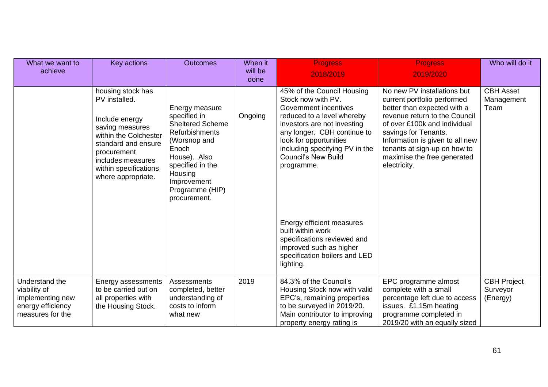| What we want to<br>achieve                                                                  | Key actions                                                                                                                                                                                                | <b>Outcomes</b>                                                                                                                                                                                       | When it<br>will be<br>done | <b>Progress</b><br>2018/2019                                                                                                                                                                                                                                                                                                                                                                                                            | <b>Progress</b><br>2019/2020                                                                                                                                                                                                                                                                         | Who will do it                             |
|---------------------------------------------------------------------------------------------|------------------------------------------------------------------------------------------------------------------------------------------------------------------------------------------------------------|-------------------------------------------------------------------------------------------------------------------------------------------------------------------------------------------------------|----------------------------|-----------------------------------------------------------------------------------------------------------------------------------------------------------------------------------------------------------------------------------------------------------------------------------------------------------------------------------------------------------------------------------------------------------------------------------------|------------------------------------------------------------------------------------------------------------------------------------------------------------------------------------------------------------------------------------------------------------------------------------------------------|--------------------------------------------|
|                                                                                             | housing stock has<br>PV installed.<br>Include energy<br>saving measures<br>within the Colchester<br>standard and ensure<br>procurement<br>includes measures<br>within specifications<br>where appropriate. | Energy measure<br>specified in<br><b>Sheltered Scheme</b><br>Refurbishments<br>(Worsnop and<br>Enoch<br>House). Also<br>specified in the<br>Housing<br>Improvement<br>Programme (HIP)<br>procurement. | Ongoing                    | 45% of the Council Housing<br>Stock now with PV.<br>Government incentives<br>reduced to a level whereby<br>investors are not investing<br>any longer. CBH continue to<br>look for opportunities<br>including specifying PV in the<br><b>Council's New Build</b><br>programme.<br>Energy efficient measures<br>built within work<br>specifications reviewed and<br>improved such as higher<br>specification boilers and LED<br>lighting. | No new PV installations but<br>current portfolio performed<br>better than expected with a<br>revenue return to the Council<br>of over £100k and individual<br>savings for Tenants.<br>Information is given to all new<br>tenants at sign-up on how to<br>maximise the free generated<br>electricity. | <b>CBH Asset</b><br>Management<br>Team     |
| Understand the<br>viability of<br>implementing new<br>energy efficiency<br>measures for the | Energy assessments<br>to be carried out on<br>all properties with<br>the Housing Stock.                                                                                                                    | Assessments<br>completed, better<br>understanding of<br>costs to inform<br>what new                                                                                                                   | 2019                       | 84.3% of the Council's<br>Housing Stock now with valid<br>EPC's, remaining properties<br>to be surveyed in 2019/20.<br>Main contributor to improving<br>property energy rating is                                                                                                                                                                                                                                                       | EPC programme almost<br>complete with a small<br>percentage left due to access<br>issues. £1.15m heating<br>programme completed in<br>2019/20 with an equally sized                                                                                                                                  | <b>CBH Project</b><br>Surveyor<br>(Energy) |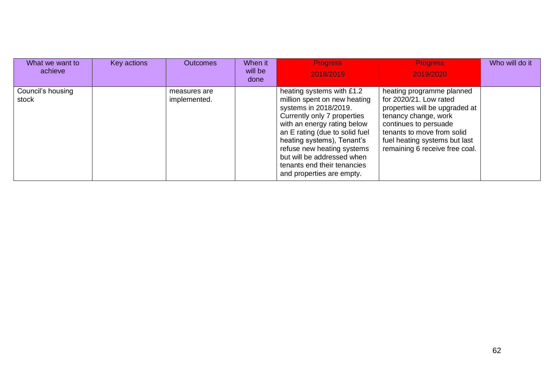| What we want to<br>achieve | Key actions | <b>Outcomes</b>              | When it<br>will be<br>done | <b>Progress</b><br>2018/2019                                                                                                                                                                                                                                                                                                             | <b>Progress</b><br>2019/2020                                                                                                                                                                                                            | Who will do it |
|----------------------------|-------------|------------------------------|----------------------------|------------------------------------------------------------------------------------------------------------------------------------------------------------------------------------------------------------------------------------------------------------------------------------------------------------------------------------------|-----------------------------------------------------------------------------------------------------------------------------------------------------------------------------------------------------------------------------------------|----------------|
| Council's housing<br>stock |             | measures are<br>implemented. |                            | heating systems with £1.2<br>million spent on new heating<br>systems in 2018/2019.<br>Currently only 7 properties<br>with an energy rating below<br>an E rating (due to solid fuel<br>heating systems), Tenant's<br>refuse new heating systems<br>but will be addressed when<br>tenants end their tenancies<br>and properties are empty. | heating programme planned<br>for 2020/21. Low rated<br>properties will be upgraded at<br>tenancy change, work<br>continues to persuade<br>tenants to move from solid<br>fuel heating systems but last<br>remaining 6 receive free coal. |                |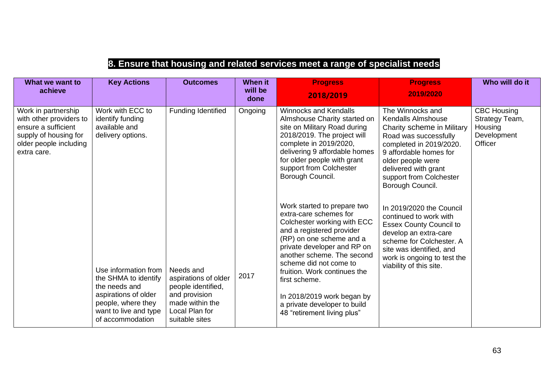## **8. Ensure that housing and related services meet a range of specialist needs**

| What we want to<br>achieve                                                                                                              | <b>Key Actions</b>                                                                                                                                       | <b>Outcomes</b>                                                                                                                 | When it<br>will be<br>done | <b>Progress</b><br>2018/2019                                                                                                                                                                                                                                                                                                                                                       | <b>Progress</b><br>2019/2020                                                                                                                                                                                                                          | Who will do it                                                            |
|-----------------------------------------------------------------------------------------------------------------------------------------|----------------------------------------------------------------------------------------------------------------------------------------------------------|---------------------------------------------------------------------------------------------------------------------------------|----------------------------|------------------------------------------------------------------------------------------------------------------------------------------------------------------------------------------------------------------------------------------------------------------------------------------------------------------------------------------------------------------------------------|-------------------------------------------------------------------------------------------------------------------------------------------------------------------------------------------------------------------------------------------------------|---------------------------------------------------------------------------|
| Work in partnership<br>with other providers to<br>ensure a sufficient<br>supply of housing for<br>older people including<br>extra care. | Work with ECC to<br>identify funding<br>available and<br>delivery options.                                                                               | Funding Identified                                                                                                              | Ongoing                    | <b>Winnocks and Kendalls</b><br>Almshouse Charity started on<br>site on Military Road during<br>2018/2019. The project will<br>complete in 2019/2020,<br>delivering 9 affordable homes<br>for older people with grant<br>support from Colchester<br>Borough Council.                                                                                                               | The Winnocks and<br><b>Kendalls Almshouse</b><br>Charity scheme in Military<br>Road was successfully<br>completed in 2019/2020.<br>9 affordable homes for<br>older people were<br>delivered with grant<br>support from Colchester<br>Borough Council. | <b>CBC Housing</b><br>Strategy Team,<br>Housing<br>Development<br>Officer |
|                                                                                                                                         | Use information from<br>the SHMA to identify<br>the needs and<br>aspirations of older<br>people, where they<br>want to live and type<br>of accommodation | Needs and<br>aspirations of older<br>people identified,<br>and provision<br>made within the<br>Local Plan for<br>suitable sites | 2017                       | Work started to prepare two<br>extra-care schemes for<br>Colchester working with ECC<br>and a registered provider<br>(RP) on one scheme and a<br>private developer and RP on<br>another scheme. The second<br>scheme did not come to<br>fruition. Work continues the<br>first scheme.<br>In 2018/2019 work began by<br>a private developer to build<br>48 "retirement living plus" | In 2019/2020 the Council<br>continued to work with<br><b>Essex County Council to</b><br>develop an extra-care<br>scheme for Colchester, A<br>site was identified, and<br>work is ongoing to test the<br>viability of this site.                       |                                                                           |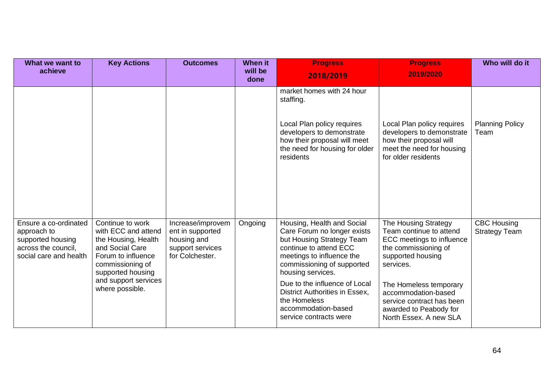| What we want to<br>achieve                                                                                 | <b>Key Actions</b>                                                                                                                                                                          | <b>Outcomes</b>                                                                             | <b>When it</b><br>will be<br>done | <b>Progress</b><br>2018/2019                                                                                                                                                                                                                                                                                                         | <b>Progress</b><br>2019/2020                                                                                                                                                                                                                                             | Who will do it                             |
|------------------------------------------------------------------------------------------------------------|---------------------------------------------------------------------------------------------------------------------------------------------------------------------------------------------|---------------------------------------------------------------------------------------------|-----------------------------------|--------------------------------------------------------------------------------------------------------------------------------------------------------------------------------------------------------------------------------------------------------------------------------------------------------------------------------------|--------------------------------------------------------------------------------------------------------------------------------------------------------------------------------------------------------------------------------------------------------------------------|--------------------------------------------|
|                                                                                                            |                                                                                                                                                                                             |                                                                                             |                                   | market homes with 24 hour<br>staffing.<br>Local Plan policy requires<br>developers to demonstrate<br>how their proposal will meet<br>the need for housing for older<br>residents                                                                                                                                                     | Local Plan policy requires<br>developers to demonstrate<br>how their proposal will<br>meet the need for housing<br>for older residents                                                                                                                                   | <b>Planning Policy</b><br>Team             |
| Ensure a co-ordinated<br>approach to<br>supported housing<br>across the council,<br>social care and health | Continue to work<br>with ECC and attend<br>the Housing, Health<br>and Social Care<br>Forum to influence<br>commissioning of<br>supported housing<br>and support services<br>where possible. | Increase/improvem<br>ent in supported<br>housing and<br>support services<br>for Colchester. | Ongoing                           | Housing, Health and Social<br>Care Forum no longer exists<br>but Housing Strategy Team<br>continue to attend ECC<br>meetings to influence the<br>commissioning of supported<br>housing services.<br>Due to the influence of Local<br>District Authorities in Essex,<br>the Homeless<br>accommodation-based<br>service contracts were | The Housing Strategy<br>Team continue to attend<br>ECC meetings to influence<br>the commissioning of<br>supported housing<br>services.<br>The Homeless temporary<br>accommodation-based<br>service contract has been<br>awarded to Peabody for<br>North Essex. A new SLA | <b>CBC Housing</b><br><b>Strategy Team</b> |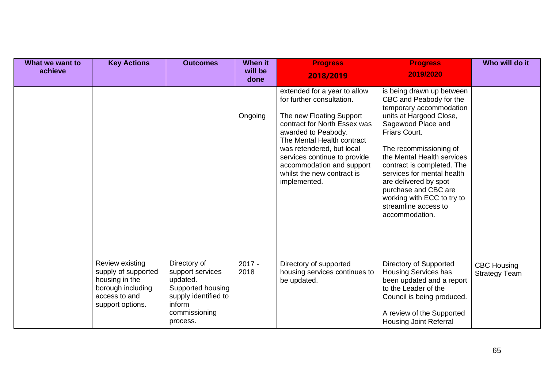| What we want to<br>achieve | <b>Key Actions</b>                                                                                                 | <b>Outcomes</b>                                                                                                                  | When it<br>will be<br>done | <b>Progress</b><br>2018/2019                                                                                                                                                                                                                                                                                       | <b>Progress</b><br>2019/2020                                                                                                                                                                                                                                                                                                                                                                   | Who will do it                             |
|----------------------------|--------------------------------------------------------------------------------------------------------------------|----------------------------------------------------------------------------------------------------------------------------------|----------------------------|--------------------------------------------------------------------------------------------------------------------------------------------------------------------------------------------------------------------------------------------------------------------------------------------------------------------|------------------------------------------------------------------------------------------------------------------------------------------------------------------------------------------------------------------------------------------------------------------------------------------------------------------------------------------------------------------------------------------------|--------------------------------------------|
|                            |                                                                                                                    |                                                                                                                                  | Ongoing                    | extended for a year to allow<br>for further consultation.<br>The new Floating Support<br>contract for North Essex was<br>awarded to Peabody.<br>The Mental Health contract<br>was retendered, but local<br>services continue to provide<br>accommodation and support<br>whilst the new contract is<br>implemented. | is being drawn up between<br>CBC and Peabody for the<br>temporary accommodation<br>units at Hargood Close,<br>Sagewood Place and<br>Friars Court.<br>The recommissioning of<br>the Mental Health services<br>contract is completed. The<br>services for mental health<br>are delivered by spot<br>purchase and CBC are<br>working with ECC to try to<br>streamline access to<br>accommodation. |                                            |
|                            | Review existing<br>supply of supported<br>housing in the<br>borough including<br>access to and<br>support options. | Directory of<br>support services<br>updated.<br>Supported housing<br>supply identified to<br>inform<br>commissioning<br>process. | $2017 -$<br>2018           | Directory of supported<br>housing services continues to<br>be updated.                                                                                                                                                                                                                                             | Directory of Supported<br>Housing Services has<br>been updated and a report<br>to the Leader of the<br>Council is being produced.<br>A review of the Supported<br><b>Housing Joint Referral</b>                                                                                                                                                                                                | <b>CBC Housing</b><br><b>Strategy Team</b> |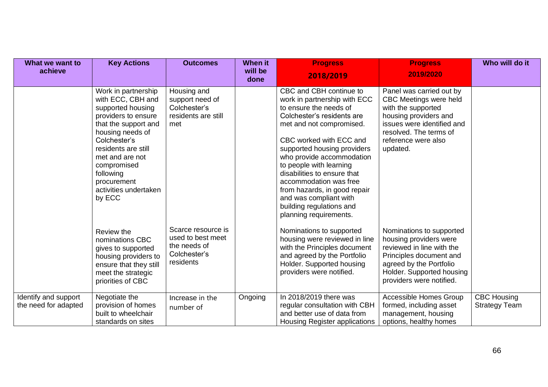| What we want to                              | <b>Key Actions</b>                                                                                                                                                                                                                                                       | <b>Outcomes</b>                                                                      | <b>When it</b>  | <b>Progress</b>                                                                                                                                                                                                                                                                                                                                                                                                                        | <b>Progress</b>                                                                                                                                                                                | Who will do it                             |
|----------------------------------------------|--------------------------------------------------------------------------------------------------------------------------------------------------------------------------------------------------------------------------------------------------------------------------|--------------------------------------------------------------------------------------|-----------------|----------------------------------------------------------------------------------------------------------------------------------------------------------------------------------------------------------------------------------------------------------------------------------------------------------------------------------------------------------------------------------------------------------------------------------------|------------------------------------------------------------------------------------------------------------------------------------------------------------------------------------------------|--------------------------------------------|
| achieve                                      |                                                                                                                                                                                                                                                                          |                                                                                      | will be<br>done | 2018/2019                                                                                                                                                                                                                                                                                                                                                                                                                              | 2019/2020                                                                                                                                                                                      |                                            |
|                                              | Work in partnership<br>with ECC, CBH and<br>supported housing<br>providers to ensure<br>that the support and<br>housing needs of<br>Colchester's<br>residents are still<br>met and are not<br>compromised<br>following<br>procurement<br>activities undertaken<br>by ECC | Housing and<br>support need of<br>Colchester's<br>residents are still<br>met         |                 | CBC and CBH continue to<br>work in partnership with ECC<br>to ensure the needs of<br>Colchester's residents are<br>met and not compromised.<br>CBC worked with ECC and<br>supported housing providers<br>who provide accommodation<br>to people with learning<br>disabilities to ensure that<br>accommodation was free<br>from hazards, in good repair<br>and was compliant with<br>building regulations and<br>planning requirements. | Panel was carried out by<br>CBC Meetings were held<br>with the supported<br>housing providers and<br>issues were identified and<br>resolved. The terms of<br>reference were also<br>updated.   |                                            |
|                                              | Review the<br>nominations CBC<br>gives to supported<br>housing providers to<br>ensure that they still<br>meet the strategic<br>priorities of CBC                                                                                                                         | Scarce resource is<br>used to best meet<br>the needs of<br>Colchester's<br>residents |                 | Nominations to supported<br>housing were reviewed in line<br>with the Principles document<br>and agreed by the Portfolio<br>Holder. Supported housing<br>providers were notified.                                                                                                                                                                                                                                                      | Nominations to supported<br>housing providers were<br>reviewed in line with the<br>Principles document and<br>agreed by the Portfolio<br>Holder. Supported housing<br>providers were notified. |                                            |
| Identify and support<br>the need for adapted | Negotiate the<br>provision of homes<br>built to wheelchair<br>standards on sites                                                                                                                                                                                         | Increase in the<br>number of                                                         | Ongoing         | In 2018/2019 there was<br>regular consultation with CBH<br>and better use of data from<br>Housing Register applications                                                                                                                                                                                                                                                                                                                | Accessible Homes Group<br>formed, including asset<br>management, housing<br>options, healthy homes                                                                                             | <b>CBC Housing</b><br><b>Strategy Team</b> |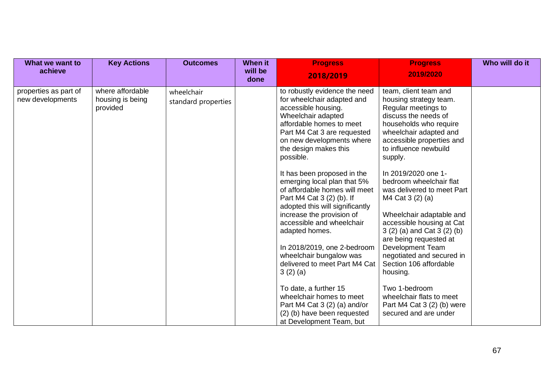| What we want to<br>achieve                | <b>Key Actions</b>                               | <b>Outcomes</b>                   | When it<br>will be<br>done | <b>Progress</b><br>2018/2019                                                                                                                                                                                                                                                                                                                                                                                                                                                                                                                                                                                                                 | <b>Progress</b><br>2019/2020                                                                                                                                                                                                                                                                                                                                                                                                                                                                                                                                                  | Who will do it |
|-------------------------------------------|--------------------------------------------------|-----------------------------------|----------------------------|----------------------------------------------------------------------------------------------------------------------------------------------------------------------------------------------------------------------------------------------------------------------------------------------------------------------------------------------------------------------------------------------------------------------------------------------------------------------------------------------------------------------------------------------------------------------------------------------------------------------------------------------|-------------------------------------------------------------------------------------------------------------------------------------------------------------------------------------------------------------------------------------------------------------------------------------------------------------------------------------------------------------------------------------------------------------------------------------------------------------------------------------------------------------------------------------------------------------------------------|----------------|
| properties as part of<br>new developments | where affordable<br>housing is being<br>provided | wheelchair<br>standard properties |                            | to robustly evidence the need<br>for wheelchair adapted and<br>accessible housing.<br>Wheelchair adapted<br>affordable homes to meet<br>Part M4 Cat 3 are requested<br>on new developments where<br>the design makes this<br>possible.<br>It has been proposed in the<br>emerging local plan that 5%<br>of affordable homes will meet<br>Part M4 Cat 3 (2) (b). If<br>adopted this will significantly<br>increase the provision of<br>accessible and wheelchair<br>adapted homes.<br>In 2018/2019, one 2-bedroom<br>wheelchair bungalow was<br>delivered to meet Part M4 Cat<br>3(2)(a)<br>To date, a further 15<br>wheelchair homes to meet | team, client team and<br>housing strategy team.<br>Regular meetings to<br>discuss the needs of<br>households who require<br>wheelchair adapted and<br>accessible properties and<br>to influence newbuild<br>supply.<br>In 2019/2020 one 1-<br>bedroom wheelchair flat<br>was delivered to meet Part<br>M4 Cat 3 (2) (a)<br>Wheelchair adaptable and<br>accessible housing at Cat<br>3 (2) (a) and Cat 3 (2) (b)<br>are being requested at<br>Development Team<br>negotiated and secured in<br>Section 106 affordable<br>housing.<br>Two 1-bedroom<br>wheelchair flats to meet |                |
|                                           |                                                  |                                   |                            | Part M4 Cat $3(2)(a)$ and/or<br>(2) (b) have been requested<br>at Development Team, but                                                                                                                                                                                                                                                                                                                                                                                                                                                                                                                                                      | Part M4 Cat $3(2)$ (b) were<br>secured and are under                                                                                                                                                                                                                                                                                                                                                                                                                                                                                                                          |                |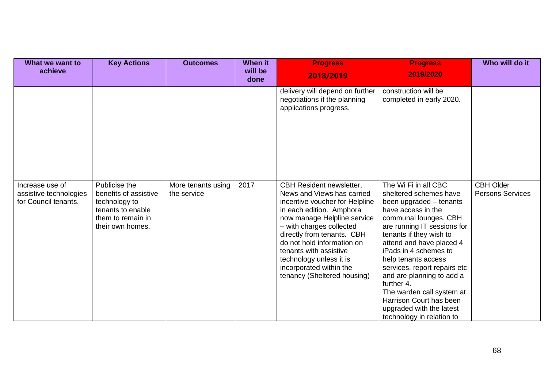| What we want to<br>achieve                                        | <b>Key Actions</b>                                                                                                    | <b>Outcomes</b>                   | When it<br>will be | <b>Progress</b><br>2018/2019                                                                                                                                                                                                                                                                                                                               | <b>Progress</b><br>2019/2020                                                                                                                                                                                                                                                                                                                                                                                                                               | Who will do it                              |
|-------------------------------------------------------------------|-----------------------------------------------------------------------------------------------------------------------|-----------------------------------|--------------------|------------------------------------------------------------------------------------------------------------------------------------------------------------------------------------------------------------------------------------------------------------------------------------------------------------------------------------------------------------|------------------------------------------------------------------------------------------------------------------------------------------------------------------------------------------------------------------------------------------------------------------------------------------------------------------------------------------------------------------------------------------------------------------------------------------------------------|---------------------------------------------|
|                                                                   |                                                                                                                       |                                   | done               |                                                                                                                                                                                                                                                                                                                                                            |                                                                                                                                                                                                                                                                                                                                                                                                                                                            |                                             |
|                                                                   |                                                                                                                       |                                   |                    | delivery will depend on further<br>negotiations if the planning<br>applications progress.                                                                                                                                                                                                                                                                  | construction will be<br>completed in early 2020.                                                                                                                                                                                                                                                                                                                                                                                                           |                                             |
| Increase use of<br>assistive technologies<br>for Council tenants. | Publicise the<br>benefits of assistive<br>technology to<br>tenants to enable<br>them to remain in<br>their own homes. | More tenants using<br>the service | 2017               | CBH Resident newsletter,<br>News and Views has carried<br>incentive voucher for Helpline<br>in each edition. Amphora<br>now manage Helpline service<br>- with charges collected<br>directly from tenants. CBH<br>do not hold information on<br>tenants with assistive<br>technology unless it is<br>incorporated within the<br>tenancy (Sheltered housing) | The Wi Fi in all CBC<br>sheltered schemes have<br>been upgraded – tenants<br>have access in the<br>communal lounges. CBH<br>are running IT sessions for<br>tenants if they wish to<br>attend and have placed 4<br>iPads in 4 schemes to<br>help tenants access<br>services, report repairs etc<br>and are planning to add a<br>further 4.<br>The warden call system at<br>Harrison Court has been<br>upgraded with the latest<br>technology in relation to | <b>CBH Older</b><br><b>Persons Services</b> |